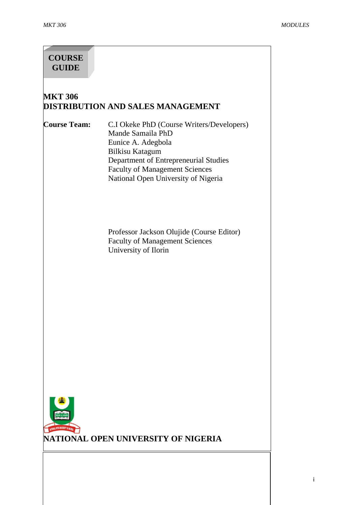# **COURSE GUIDE**

# **MKT 306 DISTRIBUTION AND SALES MANAGEMENT**

**Course Team:** C.I Okeke PhD (Course Writers/Developers) Mande Samaila PhD Eunice A. Adegbola Bilkisu Katagum Department of Entrepreneurial Studies Faculty of Management Sciences National Open University of Nigeria

> Professor Jackson Olujide (Course Editor) Faculty of Management Sciences University of Ilorin

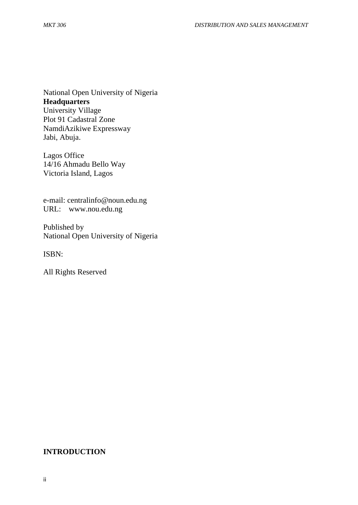National Open University of Nigeria **Headquarters** University Village Plot 91 Cadastral Zone NamdiAzikiwe Expressway Jabi, Abuja.

Lagos Office 14/16 Ahmadu Bello Way Victoria Island, Lagos

e-mail: [centralinfo@noun.edu.ng](mailto:centralinfo@noun.edu.ng) URL: [www.nou.edu.ng](http://www.nou.edu.ng/)

Published by National Open University of Nigeria

ISBN:

All Rights Reserved

#### **INTRODUCTION**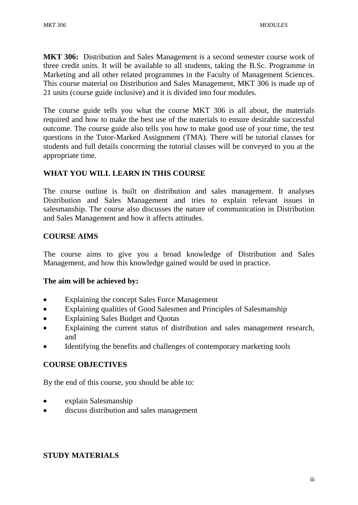**MKT 306:** Distribution and Sales Management is a second semester course work of three credit units. It will be available to all students, taking the B.Sc. Programme in Marketing and all other related programmes in the Faculty of Management Sciences. This course material on Distribution and Sales Management, MKT 306 is made up of 21 units (course guide inclusive) and it is divided into four modules.

The course guide tells you what the course MKT 306 is all about, the materials required and how to make the best use of the materials to ensure desirable successful outcome. The course guide also tells you how to make good use of your time, the test questions in the Tutor-Marked Assignment (TMA). There will be tutorial classes for students and full details concerning the tutorial classes will be conveyed to you at the appropriate time.

### **WHAT YOU WILL LEARN IN THIS COURSE**

The course outline is built on distribution and sales management. It analyses Distribution and Sales Management and tries to explain relevant issues in salesmanship. The course also discusses the nature of communication in Distribution and Sales Management and how it affects attitudes.

### **COURSE AIMS**

The course aims to give you a broad knowledge of Distribution and Sales Management, and how this knowledge gained would be used in practice.

#### **The aim will be achieved by:**

- Explaining the concept Sales Force Management
- Explaining qualities of Good Salesmen and Principles of Salesmanship
- Explaining Sales Budget and Quotas
- Explaining the current status of distribution and sales management research, and
- Identifying the benefits and challenges of contemporary marketing tools

# **COURSE OBJECTIVES**

By the end of this course, you should be able to:

- explain Salesmanship
- discuss distribution and sales management

# **STUDY MATERIALS**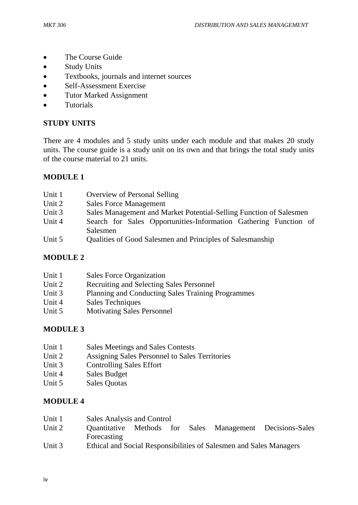- The Course Guide
- Study Units
- Textbooks, journals and internet sources
- Self-Assessment Exercise
- Tutor Marked Assignment
- **•** Tutorials

### **STUDY UNITS**

There are 4 modules and 5 study units under each module and that makes 20 study units. The course guide is a study unit on its own and that brings the total study units of the course material to 21 units.

# **MODULE 1**

| Unit 1 | Overview of Personal Selling                                                 |
|--------|------------------------------------------------------------------------------|
| Unit 2 | <b>Sales Force Management</b>                                                |
| Unit 3 | Sales Management and Market Potential-Selling Function of Salesmen           |
| Unit 4 | Search for Sales Opportunities-Information Gathering Function of<br>Salesmen |
| Unit 5 | Qualities of Good Salesmen and Principles of Salesmanship                    |

# **MODULE 2**

| Unit 1 | Sales Force Organization                          |
|--------|---------------------------------------------------|
| Unit 2 | <b>Recruiting and Selecting Sales Personnel</b>   |
| Unit 3 | Planning and Conducting Sales Training Programmes |
| Unit 4 | <b>Sales Techniques</b>                           |
| Unit 5 | <b>Motivating Sales Personnel</b>                 |
|        |                                                   |

# **MODULE 3**

- Unit 1 Sales Meetings and Sales Contests
- Unit 2 Assigning Sales Personnel to Sales Territories
- Unit 3 Controlling Sales Effort
- Unit 4 Sales Budget
- Unit 5 Sales Quotas

# **MODULE 4**

- Unit 1 Sales Analysis and Control
- Unit 2 Quantitative Methods for Sales Management Decisions-Sales Forecasting
- Unit 3 Ethical and Social Responsibilities of Salesmen and Sales Managers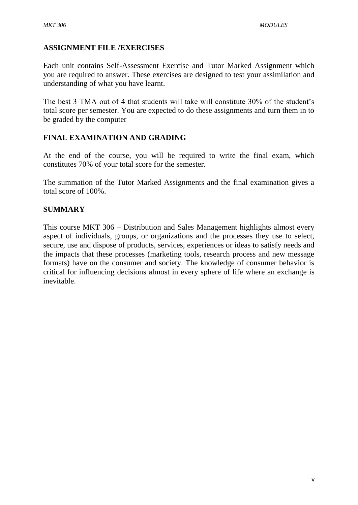### **ASSIGNMENT FILE /EXERCISES**

Each unit contains Self-Assessment Exercise and Tutor Marked Assignment which you are required to answer. These exercises are designed to test your assimilation and understanding of what you have learnt.

The best 3 TMA out of 4 that students will take will constitute 30% of the student's total score per semester. You are expected to do these assignments and turn them in to be graded by the computer

# **FINAL EXAMINATION AND GRADING**

At the end of the course, you will be required to write the final exam, which constitutes 70% of your total score for the semester.

The summation of the Tutor Marked Assignments and the final examination gives a total score of 100%.

#### **SUMMARY**

This course MKT 306 – Distribution and Sales Management highlights almost every aspect of individuals, groups, or organizations and the processes they use to select, secure, use and dispose of products, services, experiences or ideas to satisfy needs and the impacts that these processes (marketing tools, research process and new message formats) have on the consumer and society. The knowledge of consumer behavior is critical for influencing decisions almost in every sphere of life where an exchange is inevitable.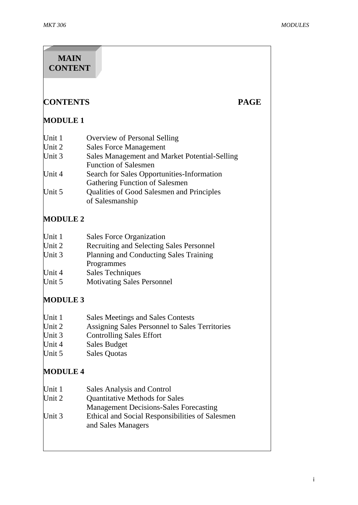# **CONTENTS PAGE MODULE 1** Unit 1 Overview of Personal Selling Unit 2 Sales Force Management Unit 3 Sales Management and Market Potential-Selling Function of Salesmen Unit 4 Search for Sales Opportunities-Information Gathering Function of Salesmen Unit 5 Qualities of Good Salesmen and Principles of Salesmanship **MODULE 2** Unit 1 Sales Force Organization Unit 2 Recruiting and Selecting Sales Personnel Unit 3 Planning and Conducting Sales Training Programmes Unit 4 Sales Techniques Unit 5 Motivating Sales Personnel **MODULE 3** Unit 1 Sales Meetings and Sales Contests Unit 2 Assigning Sales Personnel to Sales Territories Unit 3 Controlling Sales Effort Unit 4 Sales Budget Unit 5 Sales Quotas **MODULE 4** Unit 1 Sales Analysis and Control Unit 2 Ouantitative Methods for Sales Management Decisions-Sales Forecasting Unit 3 Ethical and Social Responsibilities of Salesmen and Sales Managers **MAIN CONTENT**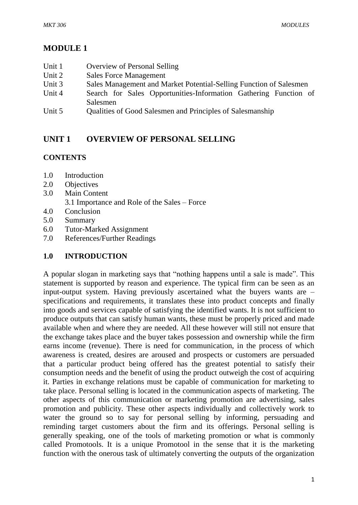# **MODULE 1**

- Unit 1 Overview of Personal Selling
- Unit 2 Sales Force Management
- Unit 3 Sales Management and Market Potential-Selling Function of Salesmen
- Unit 4 Search for Sales Opportunities-Information Gathering Function of Salesmen
- Unit 5 Qualities of Good Salesmen and Principles of Salesmanship

# **UNIT 1 OVERVIEW OF PERSONAL SELLING**

# **CONTENTS**

- 1.0 Introduction
- 2.0 Objectives
- 3.0 Main Content 3.1 Importance and Role of the Sales – Force
- 4.0 Conclusion
- 5.0 Summary
- 6.0 Tutor-Marked Assignment
- 7.0 References/Further Readings

# **1.0 INTRODUCTION**

A popular slogan in marketing says that "nothing happens until a sale is made". This statement is supported by reason and experience. The typical firm can be seen as an input-output system. Having previously ascertained what the buyers wants are – specifications and requirements, it translates these into product concepts and finally into goods and services capable of satisfying the identified wants. It is not sufficient to produce outputs that can satisfy human wants, these must be properly priced and made available when and where they are needed. All these however will still not ensure that the exchange takes place and the buyer takes possession and ownership while the firm earns income (revenue). There is need for communication, in the process of which awareness is created, desires are aroused and prospects or customers are persuaded that a particular product being offered has the greatest potential to satisfy their consumption needs and the benefit of using the product outweigh the cost of acquiring it. Parties in exchange relations must be capable of communication for marketing to take place. Personal selling is located in the communication aspects of marketing. The other aspects of this communication or marketing promotion are advertising, sales promotion and publicity. These other aspects individually and collectively work to water the ground so to say for personal selling by informing, persuading and reminding target customers about the firm and its offerings. Personal selling is generally speaking, one of the tools of marketing promotion or what is commonly called Promotools. It is a unique Promotool in the sense that it is the marketing function with the onerous task of ultimately converting the outputs of the organization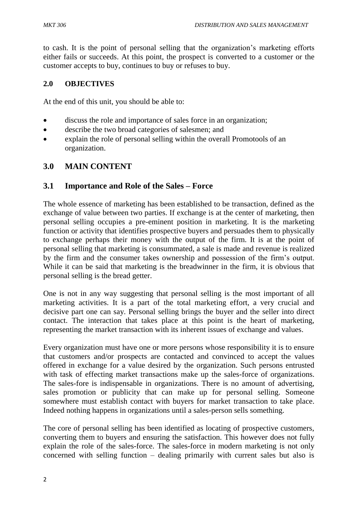to cash. It is the point of personal selling that the organization's marketing efforts either fails or succeeds. At this point, the prospect is converted to a customer or the customer accepts to buy, continues to buy or refuses to buy.

### **2.0 OBJECTIVES**

At the end of this unit, you should be able to:

- discuss the role and importance of sales force in an organization;
- describe the two broad categories of salesmen; and
- explain the role of personal selling within the overall Promotools of an organization.

# **3.0 MAIN CONTENT**

### **3.1 Importance and Role of the Sales – Force**

The whole essence of marketing has been established to be transaction, defined as the exchange of value between two parties. If exchange is at the center of marketing, then personal selling occupies a pre-eminent position in marketing. It is the marketing function or activity that identifies prospective buyers and persuades them to physically to exchange perhaps their money with the output of the firm. It is at the point of personal selling that marketing is consummated, a sale is made and revenue is realized by the firm and the consumer takes ownership and possession of the firm's output. While it can be said that marketing is the breadwinner in the firm, it is obvious that personal selling is the bread getter.

One is not in any way suggesting that personal selling is the most important of all marketing activities. It is a part of the total marketing effort, a very crucial and decisive part one can say. Personal selling brings the buyer and the seller into direct contact. The interaction that takes place at this point is the heart of marketing, representing the market transaction with its inherent issues of exchange and values.

Every organization must have one or more persons whose responsibility it is to ensure that customers and/or prospects are contacted and convinced to accept the values offered in exchange for a value desired by the organization. Such persons entrusted with task of effecting market transactions make up the sales-force of organizations. The sales-fore is indispensable in organizations. There is no amount of advertising, sales promotion or publicity that can make up for personal selling. Someone somewhere must establish contact with buyers for market transaction to take place. Indeed nothing happens in organizations until a sales-person sells something.

The core of personal selling has been identified as locating of prospective customers, converting them to buyers and ensuring the satisfaction. This however does not fully explain the role of the sales-force. The sales-force in modern marketing is not only concerned with selling function – dealing primarily with current sales but also is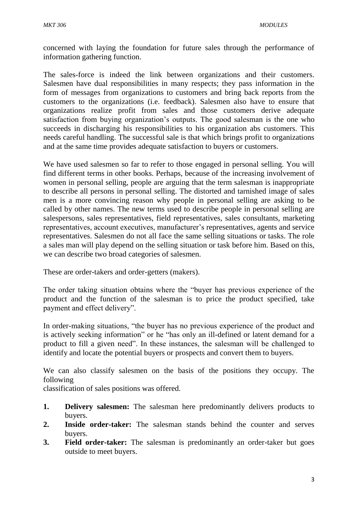concerned with laying the foundation for future sales through the performance of information gathering function.

The sales-force is indeed the link between organizations and their customers. Salesmen have dual responsibilities in many respects; they pass information in the form of messages from organizations to customers and bring back reports from the customers to the organizations (i.e. feedback). Salesmen also have to ensure that organizations realize profit from sales and those customers derive adequate satisfaction from buying organization's outputs. The good salesman is the one who succeeds in discharging his responsibilities to his organization abs customers. This needs careful handling. The successful sale is that which brings profit to organizations and at the same time provides adequate satisfaction to buyers or customers.

We have used salesmen so far to refer to those engaged in personal selling. You will find different terms in other books. Perhaps, because of the increasing involvement of women in personal selling, people are arguing that the term salesman is inappropriate to describe all persons in personal selling. The distorted and tarnished image of sales men is a more convincing reason why people in personal selling are asking to be called by other names. The new terms used to describe people in personal selling are salespersons, sales representatives, field representatives, sales consultants, marketing representatives, account executives, manufacturer's representatives, agents and service representatives. Salesmen do not all face the same selling situations or tasks. The role a sales man will play depend on the selling situation or task before him. Based on this, we can describe two broad categories of salesmen.

These are order-takers and order-getters (makers).

The order taking situation obtains where the "buyer has previous experience of the product and the function of the salesman is to price the product specified, take payment and effect delivery".

In order-making situations, "the buyer has no previous experience of the product and is actively seeking information" or he "has only an ill-defined or latent demand for a product to fill a given need". In these instances, the salesman will be challenged to identify and locate the potential buyers or prospects and convert them to buyers.

We can also classify salesmen on the basis of the positions they occupy. The following

classification of sales positions was offered.

- **1. Delivery salesmen:** The salesman here predominantly delivers products to buyers.
- **2. Inside order-taker:** The salesman stands behind the counter and serves buyers.
- **3. Field order-taker:** The salesman is predominantly an order-taker but goes outside to meet buyers.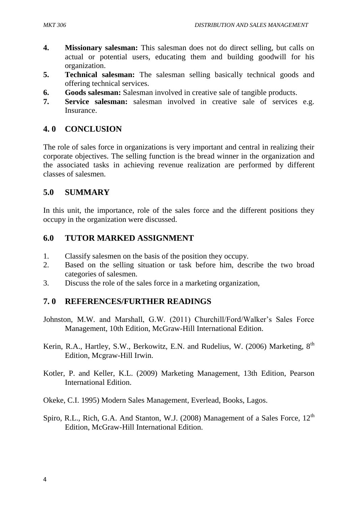- **4. Missionary salesman:** This salesman does not do direct selling, but calls on actual or potential users, educating them and building goodwill for his organization.
- **5. Technical salesman:** The salesman selling basically technical goods and offering technical services.
- **6. Goods salesman:** Salesman involved in creative sale of tangible products.
- **7. Service salesman:** salesman involved in creative sale of services e.g. **Insurance**

# **4. 0 CONCLUSION**

The role of sales force in organizations is very important and central in realizing their corporate objectives. The selling function is the bread winner in the organization and the associated tasks in achieving revenue realization are performed by different classes of salesmen.

# **5.0 SUMMARY**

In this unit, the importance, role of the sales force and the different positions they occupy in the organization were discussed.

# **6.0 TUTOR MARKED ASSIGNMENT**

- 1. Classify salesmen on the basis of the position they occupy.
- 2. Based on the selling situation or task before him, describe the two broad categories of salesmen.
- 3. Discuss the role of the sales force in a marketing organization,

# **7. 0 REFERENCES/FURTHER READINGS**

- Johnston, M.W. and Marshall, G.W. (2011) Churchill/Ford/Walker's Sales Force Management, 10th Edition, McGraw-Hill International Edition.
- Kerin, R.A., Hartley, S.W., Berkowitz, E.N. and Rudelius, W. (2006) Marketing, 8<sup>th</sup> Edition, Mcgraw-Hill Irwin.
- Kotler, P. and Keller, K.L. (2009) Marketing Management, 13th Edition, Pearson International Edition.
- Okeke, C.I. 1995) Modern Sales Management, Everlead, Books, Lagos.
- Spiro, R.L., Rich, G.A. And Stanton, W.J. (2008) Management of a Sales Force,  $12<sup>th</sup>$ Edition, McGraw-Hill International Edition.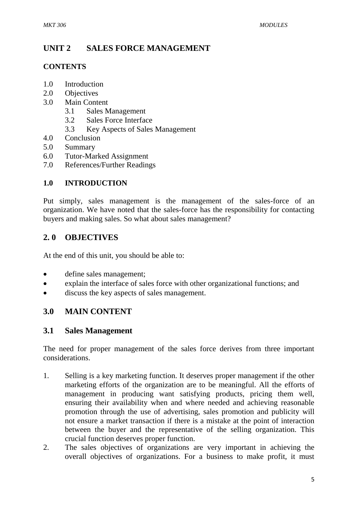# **UNIT 2 SALES FORCE MANAGEMENT**

### **CONTENTS**

- 1.0 Introduction
- 2.0 Objectives
- 3.0 Main Content
	- 3.1 Sales Management
	- 3.2 Sales Force Interface
	- 3.3 Key Aspects of Sales Management
- 4.0 Conclusion
- 5.0 Summary
- 6.0 Tutor-Marked Assignment
- 7.0 References/Further Readings

# **1.0 INTRODUCTION**

Put simply, sales management is the management of the sales-force of an organization. We have noted that the sales-force has the responsibility for contacting buyers and making sales. So what about sales management?

# **2. 0 OBJECTIVES**

At the end of this unit, you should be able to:

- define sales management;
- explain the interface of sales force with other organizational functions; and
- discuss the key aspects of sales management.

# **3.0 MAIN CONTENT**

# **3.1 Sales Management**

The need for proper management of the sales force derives from three important considerations.

- 1. Selling is a key marketing function. It deserves proper management if the other marketing efforts of the organization are to be meaningful. All the efforts of management in producing want satisfying products, pricing them well, ensuring their availability when and where needed and achieving reasonable promotion through the use of advertising, sales promotion and publicity will not ensure a market transaction if there is a mistake at the point of interaction between the buyer and the representative of the selling organization. This crucial function deserves proper function.
- 2. The sales objectives of organizations are very important in achieving the overall objectives of organizations. For a business to make profit, it must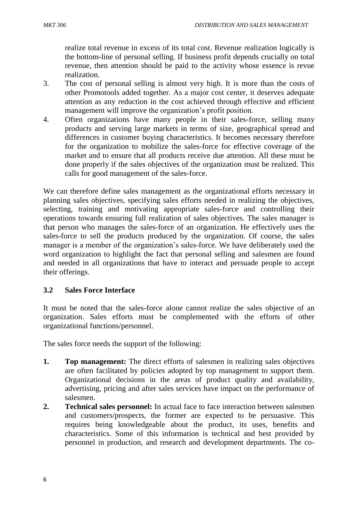realize total revenue in excess of its total cost. Revenue realization logically is the bottom-line of personal selling. If business profit depends crucially on total revenue, then attention should be paid to the activity whose essence is revue realization.

- 3. The cost of personal selling is almost very high. It is more than the costs of other Promotools added together. As a major cost center, it deserves adequate attention as any reduction in the cost achieved through effective and efficient management will improve the organization's profit position.
- 4. Often organizations have many people in their sales-force, selling many products and serving large markets in terms of size, geographical spread and differences in customer buying characteristics. It becomes necessary therefore for the organization to mobilize the sales-force for effective coverage of the market and to ensure that all products receive due attention. All these must be done properly if the sales objectives of the organization must be realized. This calls for good management of the sales-force.

We can therefore define sales management as the organizational efforts necessary in planning sales objectives, specifying sales efforts needed in realizing the objectives, selecting, training and motivating appropriate sales-force and controlling their operations towards ensuring full realization of sales objectives. The sales manager is that person who manages the sales-force of an organization. He effectively uses the sales-force to sell the products produced by the organization. Of course, the sales manager is a member of the organization's sales-force. We have deliberately used the word organization to highlight the fact that personal selling and salesmen are found and needed in all organizations that have to interact and persuade people to accept their offerings.

# **3.2 Sales Force Interface**

It must be noted that the sales-force alone cannot realize the sales objective of an organization. Sales efforts must be complemented with the efforts of other organizational functions/personnel.

The sales force needs the support of the following:

- **1. Top management:** The direct efforts of salesmen in realizing sales objectives are often facilitated by policies adopted by top management to support them. Organizational decisions in the areas of product quality and availability, advertising, pricing and after sales services have impact on the performance of salesmen.
- **2. Technical sales personnel:** In actual face to face interaction between salesmen and customers/prospects, the former are expected to be persuasive. This requires being knowledgeable about the product, its uses, benefits and characteristics. Some of this information is technical and best provided by personnel in production, and research and development departments. The co-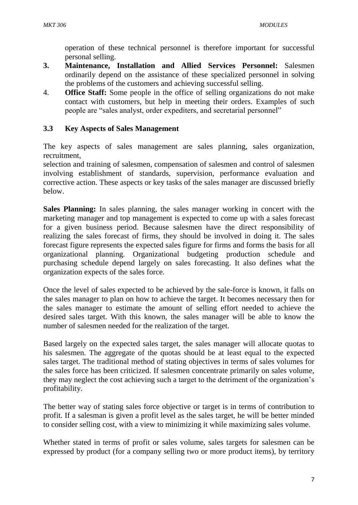operation of these technical personnel is therefore important for successful personal selling.

- **3. Maintenance, Installation and Allied Services Personnel:** Salesmen ordinarily depend on the assistance of these specialized personnel in solving the problems of the customers and achieving successful selling.
- 4. **Office Staff:** Some people in the office of selling organizations do not make contact with customers, but help in meeting their orders. Examples of such people are "sales analyst, order expediters, and secretarial personnel"

### **3.3 Key Aspects of Sales Management**

The key aspects of sales management are sales planning, sales organization, recruitment,

selection and training of salesmen, compensation of salesmen and control of salesmen involving establishment of standards, supervision, performance evaluation and corrective action. These aspects or key tasks of the sales manager are discussed briefly below.

**Sales Planning:** In sales planning, the sales manager working in concert with the marketing manager and top management is expected to come up with a sales forecast for a given business period. Because salesmen have the direct responsibility of realizing the sales forecast of firms, they should be involved in doing it. The sales forecast figure represents the expected sales figure for firms and forms the basis for all organizational planning. Organizational budgeting production schedule and purchasing schedule depend largely on sales forecasting. It also defines what the organization expects of the sales force.

Once the level of sales expected to be achieved by the sale-force is known, it falls on the sales manager to plan on how to achieve the target. It becomes necessary then for the sales manager to estimate the amount of selling effort needed to achieve the desired sales target. With this known, the sales manager will be able to know the number of salesmen needed for the realization of the target.

Based largely on the expected sales target, the sales manager will allocate quotas to his salesmen. The aggregate of the quotas should be at least equal to the expected sales target. The traditional method of stating objectives in terms of sales volumes for the sales force has been criticized. If salesmen concentrate primarily on sales volume, they may neglect the cost achieving such a target to the detriment of the organization's profitability.

The better way of stating sales force objective or target is in terms of contribution to profit. If a salesman is given a profit level as the sales target, he will be better minded to consider selling cost, with a view to minimizing it while maximizing sales volume.

Whether stated in terms of profit or sales volume, sales targets for salesmen can be expressed by product (for a company selling two or more product items), by territory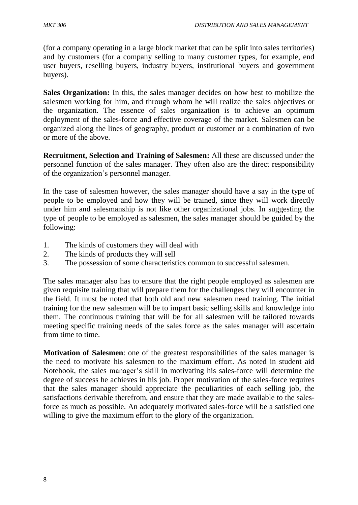(for a company operating in a large block market that can be split into sales territories) and by customers (for a company selling to many customer types, for example, end user buyers, reselling buyers, industry buyers, institutional buyers and government buyers).

**Sales Organization:** In this, the sales manager decides on how best to mobilize the salesmen working for him, and through whom he will realize the sales objectives or the organization. The essence of sales organization is to achieve an optimum deployment of the sales-force and effective coverage of the market. Salesmen can be organized along the lines of geography, product or customer or a combination of two or more of the above.

**Recruitment, Selection and Training of Salesmen:** All these are discussed under the personnel function of the sales manager. They often also are the direct responsibility of the organization's personnel manager.

In the case of salesmen however, the sales manager should have a say in the type of people to be employed and how they will be trained, since they will work directly under him and salesmanship is not like other organizational jobs. In suggesting the type of people to be employed as salesmen, the sales manager should be guided by the following:

- 1. The kinds of customers they will deal with
- 2. The kinds of products they will sell
- 3. The possession of some characteristics common to successful salesmen.

The sales manager also has to ensure that the right people employed as salesmen are given requisite training that will prepare them for the challenges they will encounter in the field. It must be noted that both old and new salesmen need training. The initial training for the new salesmen will be to impart basic selling skills and knowledge into them. The continuous training that will be for all salesmen will be tailored towards meeting specific training needs of the sales force as the sales manager will ascertain from time to time.

**Motivation of Salesmen**: one of the greatest responsibilities of the sales manager is the need to motivate his salesmen to the maximum effort. As noted in student aid Notebook, the sales manager's skill in motivating his sales-force will determine the degree of success he achieves in his job. Proper motivation of the sales-force requires that the sales manager should appreciate the peculiarities of each selling job, the satisfactions derivable therefrom, and ensure that they are made available to the salesforce as much as possible. An adequately motivated sales-force will be a satisfied one willing to give the maximum effort to the glory of the organization.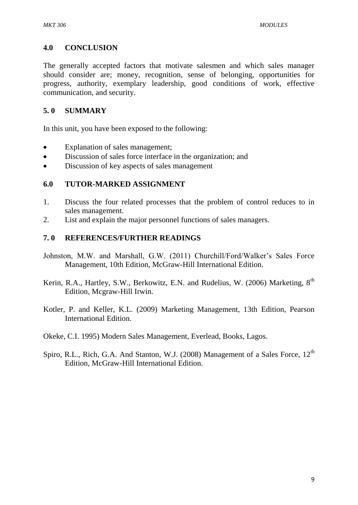### **4.0 CONCLUSION**

The generally accepted factors that motivate salesmen and which sales manager should consider are; money, recognition, sense of belonging, opportunities for progress, authority, exemplary leadership, good conditions of work, effective communication, and security.

### **5. 0 SUMMARY**

In this unit, you have been exposed to the following:

- Explanation of sales management;
- Discussion of sales force interface in the organization; and
- Discussion of key aspects of sales management

#### **6.0 TUTOR-MARKED ASSIGNMENT**

- 1. Discuss the four related processes that the problem of control reduces to in sales management.
- 2. List and explain the major personnel functions of sales managers.

#### **7. 0 REFERENCES/FURTHER READINGS**

- Johnston, M.W. and Marshall, G.W. (2011) Churchill/Ford/Walker's Sales Force Management, 10th Edition, McGraw-Hill International Edition.
- Kerin, R.A., Hartley, S.W., Berkowitz, E.N. and Rudelius, W. (2006) Marketing, 8<sup>th</sup> Edition, Mcgraw-Hill Irwin.
- Kotler, P. and Keller, K.L. (2009) Marketing Management, 13th Edition, Pearson International Edition.
- Okeke, C.I. 1995) Modern Sales Management, Everlead, Books, Lagos.
- Spiro, R.L., Rich, G.A. And Stanton, W.J. (2008) Management of a Sales Force,  $12<sup>th</sup>$ Edition, McGraw-Hill International Edition.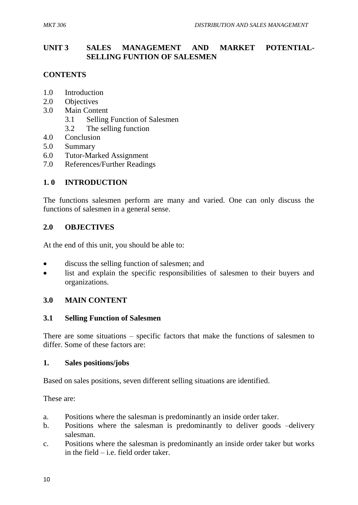### **UNIT 3 SALES MANAGEMENT AND MARKET POTENTIAL-SELLING FUNTION OF SALESMEN**

# **CONTENTS**

- 1.0 Introduction
- 2.0 Objectives
- 3.0 Main Content
	- 3.1 Selling Function of Salesmen
	- 3.2 The selling function
- 4.0 Conclusion
- 5.0 Summary
- 6.0 Tutor-Marked Assignment
- 7.0 References/Further Readings

# **1. 0 INTRODUCTION**

The functions salesmen perform are many and varied. One can only discuss the functions of salesmen in a general sense.

### **2.0 OBJECTIVES**

At the end of this unit, you should be able to:

- discuss the selling function of salesmen; and
- list and explain the specific responsibilities of salesmen to their buyers and organizations.

# **3.0 MAIN CONTENT**

#### **3.1 Selling Function of Salesmen**

There are some situations – specific factors that make the functions of salesmen to differ. Some of these factors are:

#### **1. Sales positions/jobs**

Based on sales positions, seven different selling situations are identified.

These are:

- a. Positions where the salesman is predominantly an inside order taker.
- b. Positions where the salesman is predominantly to deliver goods –delivery salesman.
- c. Positions where the salesman is predominantly an inside order taker but works in the field – i.e. field order taker.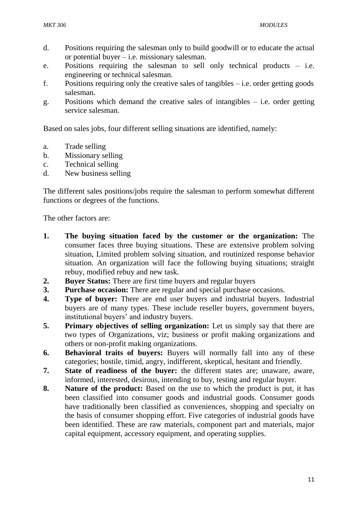- d. Positions requiring the salesman only to build goodwill or to educate the actual or potential buyer – i.e. missionary salesman.
- e. Positions requiring the salesman to sell only technical products i.e. engineering or technical salesman.
- f. Positions requiring only the creative sales of tangibles i.e. order getting goods salesman.
- g. Positions which demand the creative sales of intangibles i.e. order getting service salesman.

Based on sales jobs, four different selling situations are identified, namely:

- a. Trade selling
- b. Missionary selling
- c. Technical selling
- d. New business selling

The different sales positions/jobs require the salesman to perform somewhat different functions or degrees of the functions.

The other factors are:

- **1. The buying situation faced by the customer or the organization:** The consumer faces three buying situations. These are extensive problem solving situation, Limited problem solving situation, and routinized response behavior situation. An organization will face the following buying situations; straight rebuy, modified rebuy and new task.
- **2. Buyer Status:** There are first time buyers and regular buyers
- **3. Purchase occasion:** There are regular and special purchase occasions.
- **4. Type of buyer:** There are end user buyers and industrial buyers. Industrial buyers are of many types. These include reseller buyers, government buyers, institutional buyers' and industry buyers.
- **5. Primary objectives of selling organization:** Let us simply say that there are two types of Organizations, viz; business or profit making organizations and others or non-profit making organizations.
- **6. Behavioral traits of buyers:** Buyers will normally fall into any of these categories; hostile, timid, angry, indifferent, skeptical, hesitant and friendly.
- **7. State of readiness of the buyer:** the different states are; unaware, aware, informed, interested, desirous, intending to buy, testing and regular buyer.
- **8. Nature of the product:** Based on the use to which the product is put, it has been classified into consumer goods and industrial goods. Consumer goods have traditionally been classified as conveniences, shopping and specialty on the basis of consumer shopping effort. Five categories of industrial goods have been identified. These are raw materials, component part and materials, major capital equipment, accessory equipment, and operating supplies.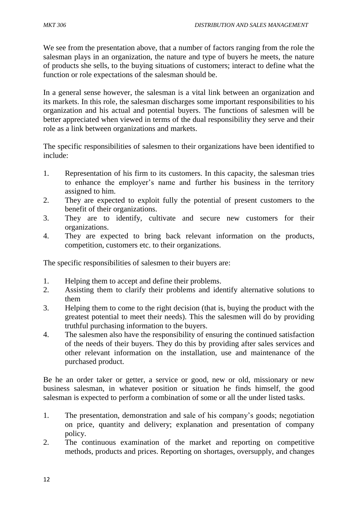We see from the presentation above, that a number of factors ranging from the role the salesman plays in an organization, the nature and type of buyers he meets, the nature of products she sells, to the buying situations of customers; interact to define what the function or role expectations of the salesman should be.

In a general sense however, the salesman is a vital link between an organization and its markets. In this role, the salesman discharges some important responsibilities to his organization and his actual and potential buyers. The functions of salesmen will be better appreciated when viewed in terms of the dual responsibility they serve and their role as a link between organizations and markets.

The specific responsibilities of salesmen to their organizations have been identified to include:

- 1. Representation of his firm to its customers. In this capacity, the salesman tries to enhance the employer's name and further his business in the territory assigned to him.
- 2. They are expected to exploit fully the potential of present customers to the benefit of their organizations.
- 3. They are to identify, cultivate and secure new customers for their organizations.
- 4. They are expected to bring back relevant information on the products, competition, customers etc. to their organizations.

The specific responsibilities of salesmen to their buyers are:

- 1. Helping them to accept and define their problems.
- 2. Assisting them to clarify their problems and identify alternative solutions to them
- 3. Helping them to come to the right decision (that is, buying the product with the greatest potential to meet their needs). This the salesmen will do by providing truthful purchasing information to the buyers.
- 4. The salesmen also have the responsibility of ensuring the continued satisfaction of the needs of their buyers. They do this by providing after sales services and other relevant information on the installation, use and maintenance of the purchased product.

Be he an order taker or getter, a service or good, new or old, missionary or new business salesman, in whatever position or situation he finds himself, the good salesman is expected to perform a combination of some or all the under listed tasks.

- 1. The presentation, demonstration and sale of his company's goods; negotiation on price, quantity and delivery; explanation and presentation of company policy.
- 2. The continuous examination of the market and reporting on competitive methods, products and prices. Reporting on shortages, oversupply, and changes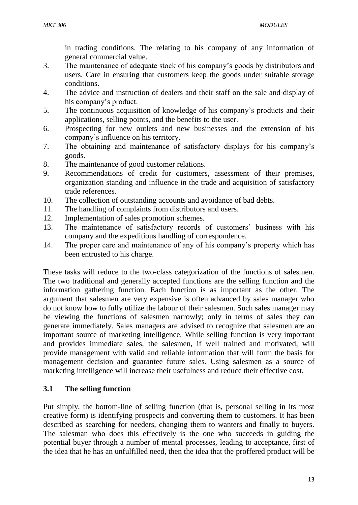in trading conditions. The relating to his company of any information of general commercial value.

- 3. The maintenance of adequate stock of his company's goods by distributors and users. Care in ensuring that customers keep the goods under suitable storage conditions.
- 4. The advice and instruction of dealers and their staff on the sale and display of his company's product.
- 5. The continuous acquisition of knowledge of his company's products and their applications, selling points, and the benefits to the user.
- 6. Prospecting for new outlets and new businesses and the extension of his company's influence on his territory.
- 7. The obtaining and maintenance of satisfactory displays for his company's goods.
- 8. The maintenance of good customer relations.
- 9. Recommendations of credit for customers, assessment of their premises, organization standing and influence in the trade and acquisition of satisfactory trade references.
- 10. The collection of outstanding accounts and avoidance of bad debts.
- 11. The handling of complaints from distributors and users.
- 12. Implementation of sales promotion schemes.
- 13. The maintenance of satisfactory records of customers' business with his company and the expeditious handling of correspondence.
- 14. The proper care and maintenance of any of his company's property which has been entrusted to his charge.

These tasks will reduce to the two-class categorization of the functions of salesmen. The two traditional and generally accepted functions are the selling function and the information gathering function. Each function is as important as the other. The argument that salesmen are very expensive is often advanced by sales manager who do not know how to fully utilize the labour of their salesmen. Such sales manager may be viewing the functions of salesmen narrowly; only in terms of sales they can generate immediately. Sales managers are advised to recognize that salesmen are an important source of marketing intelligence. While selling function is very important and provides immediate sales, the salesmen, if well trained and motivated, will provide management with valid and reliable information that will form the basis for management decision and guarantee future sales. Using salesmen as a source of marketing intelligence will increase their usefulness and reduce their effective cost.

# **3.1 The selling function**

Put simply, the bottom-line of selling function (that is, personal selling in its most creative form) is identifying prospects and converting them to customers. It has been described as searching for needers, changing them to wanters and finally to buyers. The salesman who does this effectively is the one who succeeds in guiding the potential buyer through a number of mental processes, leading to acceptance, first of the idea that he has an unfulfilled need, then the idea that the proffered product will be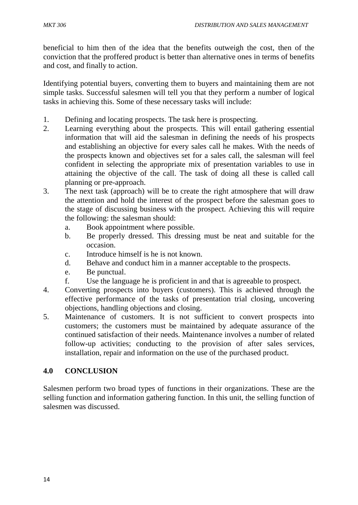beneficial to him then of the idea that the benefits outweigh the cost, then of the conviction that the proffered product is better than alternative ones in terms of benefits and cost, and finally to action.

Identifying potential buyers, converting them to buyers and maintaining them are not simple tasks. Successful salesmen will tell you that they perform a number of logical tasks in achieving this. Some of these necessary tasks will include:

- 1. Defining and locating prospects. The task here is prospecting.
- 2. Learning everything about the prospects. This will entail gathering essential information that will aid the salesman in defining the needs of his prospects and establishing an objective for every sales call he makes. With the needs of the prospects known and objectives set for a sales call, the salesman will feel confident in selecting the appropriate mix of presentation variables to use in attaining the objective of the call. The task of doing all these is called call planning or pre-approach.
- 3. The next task (approach) will be to create the right atmosphere that will draw the attention and hold the interest of the prospect before the salesman goes to the stage of discussing business with the prospect. Achieving this will require the following: the salesman should:
	- a. Book appointment where possible.
	- b. Be properly dressed. This dressing must be neat and suitable for the occasion.
	- c. Introduce himself is he is not known.
	- d. Behave and conduct him in a manner acceptable to the prospects.
	- e. Be punctual.
	- f. Use the language he is proficient in and that is agreeable to prospect.
- 4. Converting prospects into buyers (customers). This is achieved through the effective performance of the tasks of presentation trial closing, uncovering objections, handling objections and closing.
- 5. Maintenance of customers. It is not sufficient to convert prospects into customers; the customers must be maintained by adequate assurance of the continued satisfaction of their needs. Maintenance involves a number of related follow-up activities; conducting to the provision of after sales services, installation, repair and information on the use of the purchased product.

# **4.0 CONCLUSION**

Salesmen perform two broad types of functions in their organizations. These are the selling function and information gathering function. In this unit, the selling function of salesmen was discussed.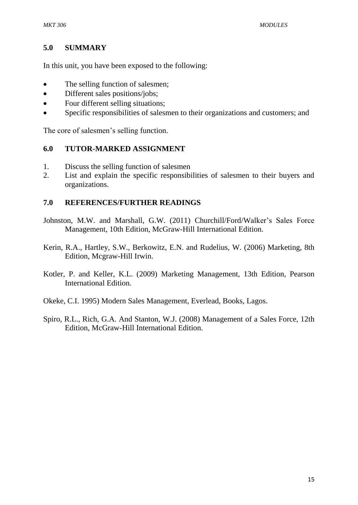#### **5.0 SUMMARY**

In this unit, you have been exposed to the following:

- The selling function of salesmen;
- Different sales positions/jobs;
- Four different selling situations;
- Specific responsibilities of salesmen to their organizations and customers; and

The core of salesmen's selling function.

#### **6.0 TUTOR-MARKED ASSIGNMENT**

- 1. Discuss the selling function of salesmen
- 2. List and explain the specific responsibilities of salesmen to their buyers and organizations.

#### **7.0 REFERENCES/FURTHER READINGS**

- Johnston, M.W. and Marshall, G.W. (2011) Churchill/Ford/Walker's Sales Force Management, 10th Edition, McGraw-Hill International Edition.
- Kerin, R.A., Hartley, S.W., Berkowitz, E.N. and Rudelius, W. (2006) Marketing, 8th Edition, Mcgraw-Hill Irwin.
- Kotler, P. and Keller, K.L. (2009) Marketing Management, 13th Edition, Pearson International Edition.
- Okeke, C.I. 1995) Modern Sales Management, Everlead, Books, Lagos.
- Spiro, R.L., Rich, G.A. And Stanton, W.J. (2008) Management of a Sales Force, 12th Edition, McGraw-Hill International Edition.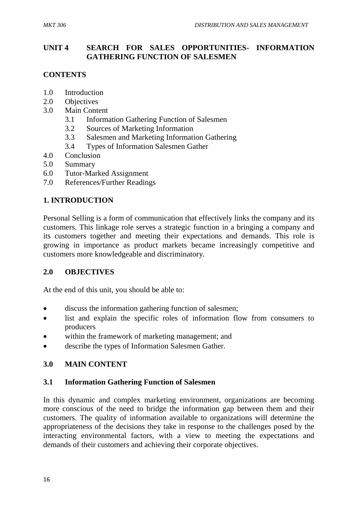### **UNIT 4 SEARCH FOR SALES OPPORTUNITIES- INFORMATION GATHERING FUNCTION OF SALESMEN**

# **CONTENTS**

- 1.0 Introduction
- 2.0 Objectives
- 3.0 Main Content
	- 3.1 Information Gathering Function of Salesmen
	- 3.2 Sources of Marketing Information
	- 3.3 Salesmen and Marketing Information Gathering
	- 3.4 Types of Information Salesmen Gather
- 4.0 Conclusion
- 5.0 Summary
- 6.0 Tutor-Marked Assignment
- 7.0 References/Further Readings

# **1. INTRODUCTION**

Personal Selling is a form of communication that effectively links the company and its customers. This linkage role serves a strategic function in a bringing a company and its customers together and meeting their expectations and demands. This role is growing in importance as product markets became increasingly competitive and customers more knowledgeable and discriminatory.

# **2.0 OBJECTIVES**

At the end of this unit, you should be able to:

- discuss the information gathering function of salesmen;
- list and explain the specific roles of information flow from consumers to producers
- within the framework of marketing management; and
- describe the types of Information Salesmen Gather.

# **3.0 MAIN CONTENT**

# **3.1 Information Gathering Function of Salesmen**

In this dynamic and complex marketing environment, organizations are becoming more conscious of the need to bridge the information gap between them and their customers. The quality of information available to organizations will determine the appropriateness of the decisions they take in response to the challenges posed by the interacting environmental factors, with a view to meeting the expectations and demands of their customers and achieving their corporate objectives.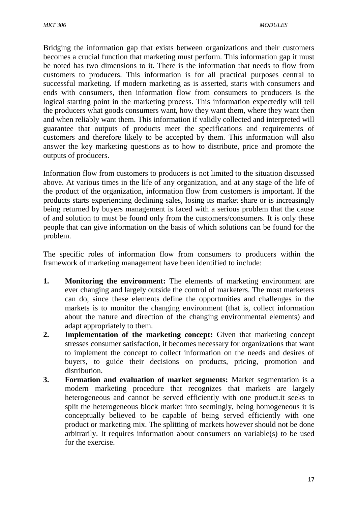Bridging the information gap that exists between organizations and their customers becomes a crucial function that marketing must perform. This information gap it must be noted has two dimensions to it. There is the information that needs to flow from customers to producers. This information is for all practical purposes central to successful marketing. If modern marketing as is asserted, starts with consumers and ends with consumers, then information flow from consumers to producers is the logical starting point in the marketing process. This information expectedly will tell the producers what goods consumers want, how they want them, where they want then and when reliably want them. This information if validly collected and interpreted will guarantee that outputs of products meet the specifications and requirements of customers and therefore likely to be accepted by them. This information will also answer the key marketing questions as to how to distribute, price and promote the outputs of producers.

Information flow from customers to producers is not limited to the situation discussed above. At various times in the life of any organization, and at any stage of the life of the product of the organization, information flow from customers is important. If the products starts experiencing declining sales, losing its market share or is increasingly being returned by buyers management is faced with a serious problem that the cause of and solution to must be found only from the customers/consumers. It is only these people that can give information on the basis of which solutions can be found for the problem.

The specific roles of information flow from consumers to producers within the framework of marketing management have been identified to include:

- **1. Monitoring the environment:** The elements of marketing environment are ever changing and largely outside the control of marketers. The most marketers can do, since these elements define the opportunities and challenges in the markets is to monitor the changing environment (that is, collect information about the nature and direction of the changing environmental elements) and adapt appropriately to them.
- **2. Implementation of the marketing concept:** Given that marketing concept stresses consumer satisfaction, it becomes necessary for organizations that want to implement the concept to collect information on the needs and desires of buyers, to guide their decisions on products, pricing, promotion and distribution.
- **3. Formation and evaluation of market segments:** Market segmentation is a modern marketing procedure that recognizes that markets are largely heterogeneous and cannot be served efficiently with one product.it seeks to split the heterogeneous block market into seemingly, being homogeneous it is conceptually believed to be capable of being served efficiently with one product or marketing mix. The splitting of markets however should not be done arbitrarily. It requires information about consumers on variable(s) to be used for the exercise.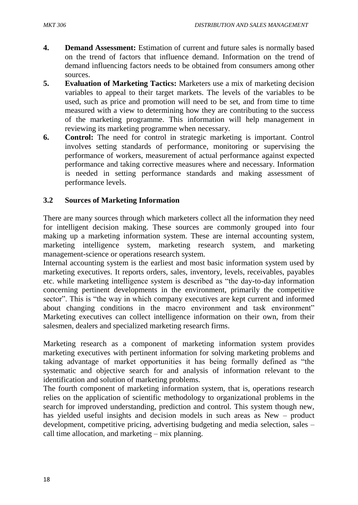- **4. Demand Assessment:** Estimation of current and future sales is normally based on the trend of factors that influence demand. Information on the trend of demand influencing factors needs to be obtained from consumers among other sources.
- **5. Evaluation of Marketing Tactics:** Marketers use a mix of marketing decision variables to appeal to their target markets. The levels of the variables to be used, such as price and promotion will need to be set, and from time to time measured with a view to determining how they are contributing to the success of the marketing programme. This information will help management in reviewing its marketing programme when necessary.
- **6. Control:** The need for control in strategic marketing is important. Control involves setting standards of performance, monitoring or supervising the performance of workers, measurement of actual performance against expected performance and taking corrective measures where and necessary. Information is needed in setting performance standards and making assessment of performance levels.

### **3.2 Sources of Marketing Information**

There are many sources through which marketers collect all the information they need for intelligent decision making. These sources are commonly grouped into four making up a marketing information system. These are internal accounting system, marketing intelligence system, marketing research system, and marketing management-science or operations research system.

Internal accounting system is the earliest and most basic information system used by marketing executives. It reports orders, sales, inventory, levels, receivables, payables etc. while marketing intelligence system is described as "the day-to-day information concerning pertinent developments in the environment, primarily the competitive sector". This is "the way in which company executives are kept current and informed about changing conditions in the macro environment and task environment" Marketing executives can collect intelligence information on their own, from their salesmen, dealers and specialized marketing research firms.

Marketing research as a component of marketing information system provides marketing executives with pertinent information for solving marketing problems and taking advantage of market opportunities it has being formally defined as "the systematic and objective search for and analysis of information relevant to the identification and solution of marketing problems.

The fourth component of marketing information system, that is, operations research relies on the application of scientific methodology to organizational problems in the search for improved understanding, prediction and control. This system though new, has yielded useful insights and decision models in such areas as New – product development, competitive pricing, advertising budgeting and media selection, sales – call time allocation, and marketing – mix planning.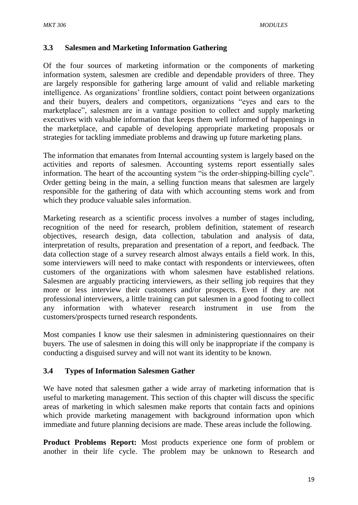#### **3.3 Salesmen and Marketing Information Gathering**

Of the four sources of marketing information or the components of marketing information system, salesmen are credible and dependable providers of three. They are largely responsible for gathering large amount of valid and reliable marketing intelligence. As organizations' frontline soldiers, contact point between organizations and their buyers, dealers and competitors, organizations "eyes and ears to the marketplace", salesmen are in a vantage position to collect and supply marketing executives with valuable information that keeps them well informed of happenings in the marketplace, and capable of developing appropriate marketing proposals or strategies for tackling immediate problems and drawing up future marketing plans.

The information that emanates from Internal accounting system is largely based on the activities and reports of salesmen. Accounting systems report essentially sales information. The heart of the accounting system "is the order-shipping-billing cycle". Order getting being in the main, a selling function means that salesmen are largely responsible for the gathering of data with which accounting stems work and from which they produce valuable sales information.

Marketing research as a scientific process involves a number of stages including, recognition of the need for research, problem definition, statement of research objectives, research design, data collection, tabulation and analysis of data, interpretation of results, preparation and presentation of a report, and feedback. The data collection stage of a survey research almost always entails a field work. In this, some interviewers will need to make contact with respondents or interviewees, often customers of the organizations with whom salesmen have established relations. Salesmen are arguably practicing interviewers, as their selling job requires that they more or less interview their customers and/or prospects. Even if they are not professional interviewers, a little training can put salesmen in a good footing to collect any information with whatever research instrument in use from the customers/prospects turned research respondents.

Most companies I know use their salesmen in administering questionnaires on their buyers. The use of salesmen in doing this will only be inappropriate if the company is conducting a disguised survey and will not want its identity to be known.

#### **3.4 Types of Information Salesmen Gather**

We have noted that salesmen gather a wide array of marketing information that is useful to marketing management. This section of this chapter will discuss the specific areas of marketing in which salesmen make reports that contain facts and opinions which provide marketing management with background information upon which immediate and future planning decisions are made. These areas include the following.

**Product Problems Report:** Most products experience one form of problem or another in their life cycle. The problem may be unknown to Research and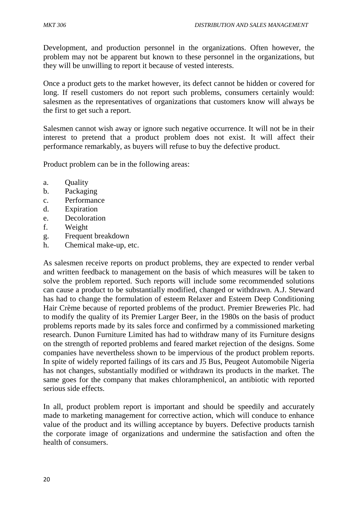Development, and production personnel in the organizations. Often however, the problem may not be apparent but known to these personnel in the organizations, but they will be unwilling to report it because of vested interests.

Once a product gets to the market however, its defect cannot be hidden or covered for long. If resell customers do not report such problems, consumers certainly would: salesmen as the representatives of organizations that customers know will always be the first to get such a report.

Salesmen cannot wish away or ignore such negative occurrence. It will not be in their interest to pretend that a product problem does not exist. It will affect their performance remarkably, as buyers will refuse to buy the defective product.

Product problem can be in the following areas:

- a. Quality
- b. Packaging
- c. Performance
- d. Expiration
- e. Decoloration
- f. Weight
- g. Frequent breakdown
- h. Chemical make-up, etc.

As salesmen receive reports on product problems, they are expected to render verbal and written feedback to management on the basis of which measures will be taken to solve the problem reported. Such reports will include some recommended solutions can cause a product to be substantially modified, changed or withdrawn. A.J. Steward has had to change the formulation of esteem Relaxer and Esteem Deep Conditioning Hair Crème because of reported problems of the product. Premier Breweries Plc. had to modify the quality of its Premier Larger Beer, in the 1980s on the basis of product problems reports made by its sales force and confirmed by a commissioned marketing research. Dunon Furniture Limited has had to withdraw many of its Furniture designs on the strength of reported problems and feared market rejection of the designs. Some companies have nevertheless shown to be impervious of the product problem reports. In spite of widely reported failings of its cars and J5 Bus, Peugeot Automobile Nigeria has not changes, substantially modified or withdrawn its products in the market. The same goes for the company that makes chloramphenicol, an antibiotic with reported serious side effects.

In all, product problem report is important and should be speedily and accurately made to marketing management for corrective action, which will conduce to enhance value of the product and its willing acceptance by buyers. Defective products tarnish the corporate image of organizations and undermine the satisfaction and often the health of consumers.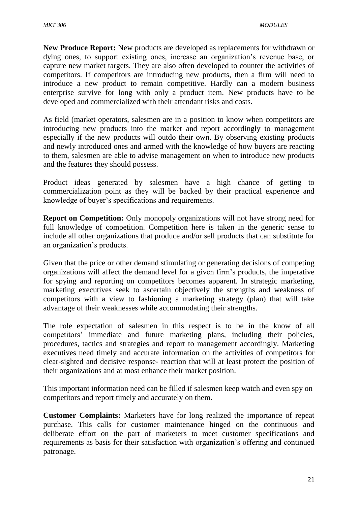**New Produce Report:** New products are developed as replacements for withdrawn or dying ones, to support existing ones, increase an organization's revenue base, or capture new market targets. They are also often developed to counter the activities of competitors. If competitors are introducing new products, then a firm will need to introduce a new product to remain competitive. Hardly can a modern business enterprise survive for long with only a product item. New products have to be developed and commercialized with their attendant risks and costs.

As field (market operators, salesmen are in a position to know when competitors are introducing new products into the market and report accordingly to management especially if the new products will outdo their own. By observing existing products and newly introduced ones and armed with the knowledge of how buyers are reacting to them, salesmen are able to advise management on when to introduce new products and the features they should possess.

Product ideas generated by salesmen have a high chance of getting to commercialization point as they will be backed by their practical experience and knowledge of buyer's specifications and requirements.

**Report on Competition:** Only monopoly organizations will not have strong need for full knowledge of competition. Competition here is taken in the generic sense to include all other organizations that produce and/or sell products that can substitute for an organization's products.

Given that the price or other demand stimulating or generating decisions of competing organizations will affect the demand level for a given firm's products, the imperative for spying and reporting on competitors becomes apparent. In strategic marketing, marketing executives seek to ascertain objectively the strengths and weakness of competitors with a view to fashioning a marketing strategy (plan) that will take advantage of their weaknesses while accommodating their strengths.

The role expectation of salesmen in this respect is to be in the know of all competitors' immediate and future marketing plans, including their policies, procedures, tactics and strategies and report to management accordingly. Marketing executives need timely and accurate information on the activities of competitors for clear-sighted and decisive response- reaction that will at least protect the position of their organizations and at most enhance their market position.

This important information need can be filled if salesmen keep watch and even spy on competitors and report timely and accurately on them.

**Customer Complaints:** Marketers have for long realized the importance of repeat purchase. This calls for customer maintenance hinged on the continuous and deliberate effort on the part of marketers to meet customer specifications and requirements as basis for their satisfaction with organization's offering and continued patronage.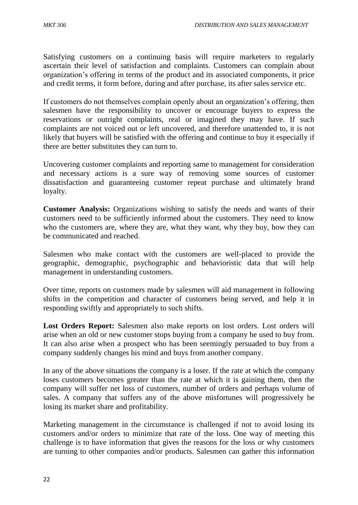Satisfying customers on a continuing basis will require marketers to regularly ascertain their level of satisfaction and complaints. Customers can complain about organization's offering in terms of the product and its associated components, it price and credit terms, it form before, during and after purchase, its after sales service etc.

If customers do not themselves complain openly about an organization's offering, then salesmen have the responsibility to uncover or encourage buyers to express the reservations or outright complaints, real or imagined they may have. If such complaints are not voiced out or left uncovered, and therefore unattended to, it is not likely that buyers will be satisfied with the offering and continue to buy it especially if there are better substitutes they can turn to.

Uncovering customer complaints and reporting same to management for consideration and necessary actions is a sure way of removing some sources of customer dissatisfaction and guaranteeing customer repeat purchase and ultimately brand loyalty.

**Customer Analysis:** Organizations wishing to satisfy the needs and wants of their customers need to be sufficiently informed about the customers. They need to know who the customers are, where they are, what they want, why they buy, how they can be communicated and reached.

Salesmen who make contact with the customers are well-placed to provide the geographic, demographic, psychographic and behavioristic data that will help management in understanding customers.

Over time, reports on customers made by salesmen will aid management in following shifts in the competition and character of customers being served, and help it in responding swiftly and appropriately to such shifts.

Lost Orders Report: Salesmen also make reports on lost orders. Lost orders will arise when an old or new customer stops buying from a company he used to buy from. It can also arise when a prospect who has been seemingly persuaded to buy from a company suddenly changes his mind and buys from another company.

In any of the above situations the company is a loser. If the rate at which the company loses customers becomes greater than the rate at which it is gaining them, then the company will suffer net loss of customers, number of orders and perhaps volume of sales. A company that suffers any of the above misfortunes will progressively be losing its market share and profitability.

Marketing management in the circumstance is challenged if not to avoid losing its customers and/or orders to minimize that rate of the loss. One way of meeting this challenge is to have information that gives the reasons for the loss or why customers are turning to other companies and/or products. Salesmen can gather this information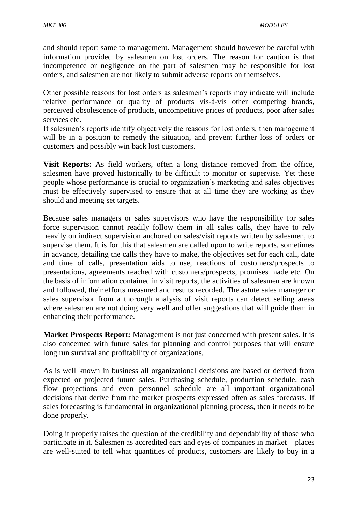and should report same to management. Management should however be careful with information provided by salesmen on lost orders. The reason for caution is that incompetence or negligence on the part of salesmen may be responsible for lost orders, and salesmen are not likely to submit adverse reports on themselves.

Other possible reasons for lost orders as salesmen's reports may indicate will include relative performance or quality of products vis-à-vis other competing brands, perceived obsolescence of products, uncompetitive prices of products, poor after sales services etc.

If salesmen's reports identify objectively the reasons for lost orders, then management will be in a position to remedy the situation, and prevent further loss of orders or customers and possibly win back lost customers.

**Visit Reports:** As field workers, often a long distance removed from the office, salesmen have proved historically to be difficult to monitor or supervise. Yet these people whose performance is crucial to organization's marketing and sales objectives must be effectively supervised to ensure that at all time they are working as they should and meeting set targets.

Because sales managers or sales supervisors who have the responsibility for sales force supervision cannot readily follow them in all sales calls, they have to rely heavily on indirect supervision anchored on sales/visit reports written by salesmen, to supervise them. It is for this that salesmen are called upon to write reports, sometimes in advance, detailing the calls they have to make, the objectives set for each call, date and time of calls, presentation aids to use, reactions of customers/prospects to presentations, agreements reached with customers/prospects, promises made etc. On the basis of information contained in visit reports, the activities of salesmen are known and followed, their efforts measured and results recorded. The astute sales manager or sales supervisor from a thorough analysis of visit reports can detect selling areas where salesmen are not doing very well and offer suggestions that will guide them in enhancing their performance.

**Market Prospects Report:** Management is not just concerned with present sales. It is also concerned with future sales for planning and control purposes that will ensure long run survival and profitability of organizations.

As is well known in business all organizational decisions are based or derived from expected or projected future sales. Purchasing schedule, production schedule, cash flow projections and even personnel schedule are all important organizational decisions that derive from the market prospects expressed often as sales forecasts. If sales forecasting is fundamental in organizational planning process, then it needs to be done properly.

Doing it properly raises the question of the credibility and dependability of those who participate in it. Salesmen as accredited ears and eyes of companies in market – places are well-suited to tell what quantities of products, customers are likely to buy in a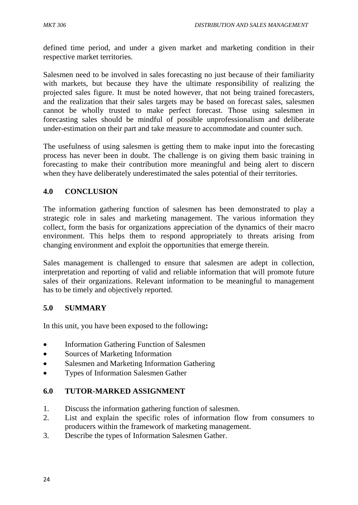defined time period, and under a given market and marketing condition in their respective market territories.

Salesmen need to be involved in sales forecasting no just because of their familiarity with markets, but because they have the ultimate responsibility of realizing the projected sales figure. It must be noted however, that not being trained forecasters, and the realization that their sales targets may be based on forecast sales, salesmen cannot be wholly trusted to make perfect forecast. Those using salesmen in forecasting sales should be mindful of possible unprofessionalism and deliberate under-estimation on their part and take measure to accommodate and counter such.

The usefulness of using salesmen is getting them to make input into the forecasting process has never been in doubt. The challenge is on giving them basic training in forecasting to make their contribution more meaningful and being alert to discern when they have deliberately underestimated the sales potential of their territories.

### **4.0 CONCLUSION**

The information gathering function of salesmen has been demonstrated to play a strategic role in sales and marketing management. The various information they collect, form the basis for organizations appreciation of the dynamics of their macro environment. This helps them to respond appropriately to threats arising from changing environment and exploit the opportunities that emerge therein.

Sales management is challenged to ensure that salesmen are adept in collection, interpretation and reporting of valid and reliable information that will promote future sales of their organizations. Relevant information to be meaningful to management has to be timely and objectively reported.

#### **5.0 SUMMARY**

In this unit, you have been exposed to the following**:**

- Information Gathering Function of Salesmen
- Sources of Marketing Information
- Salesmen and Marketing Information Gathering
- Types of Information Salesmen Gather

# **6.0 TUTOR-MARKED ASSIGNMENT**

- 1. Discuss the information gathering function of salesmen.
- 2. List and explain the specific roles of information flow from consumers to producers within the framework of marketing management.
- 3. Describe the types of Information Salesmen Gather.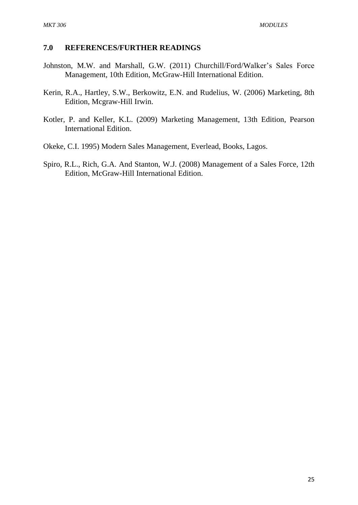#### **7.0 REFERENCES/FURTHER READINGS**

- Johnston, M.W. and Marshall, G.W. (2011) Churchill/Ford/Walker's Sales Force Management, 10th Edition, McGraw-Hill International Edition.
- Kerin, R.A., Hartley, S.W., Berkowitz, E.N. and Rudelius, W. (2006) Marketing, 8th Edition, Mcgraw-Hill Irwin.
- Kotler, P. and Keller, K.L. (2009) Marketing Management, 13th Edition, Pearson International Edition.
- Okeke, C.I. 1995) Modern Sales Management, Everlead, Books, Lagos.
- Spiro, R.L., Rich, G.A. And Stanton, W.J. (2008) Management of a Sales Force, 12th Edition, McGraw-Hill International Edition.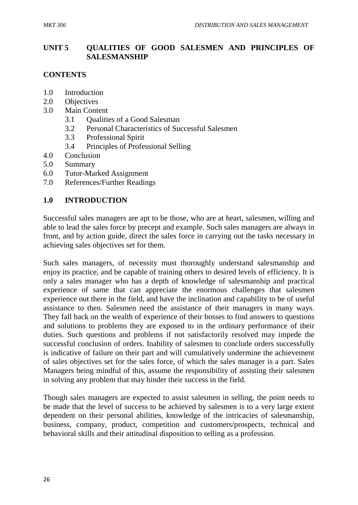#### **UNIT 5 QUALITIES OF GOOD SALESMEN AND PRINCIPLES OF SALESMANSHIP**

### **CONTENTS**

- 1.0 Introduction
- 2.0 Objectives
- 3.0 Main Content
	- 3.1 Qualities of a Good Salesman
	- 3.2 Personal Characteristics of Successful Salesmen
	- 3.3 Professional Spirit
	- 3.4 Principles of Professional Selling
- 4.0 Conclusion
- 5.0 Summary
- 6.0 Tutor-Marked Assignment
- 7.0 References/Further Readings

# **1.0 INTRODUCTION**

Successful sales managers are apt to be those, who are at heart, salesmen, willing and able to lead the sales force by precept and example. Such sales managers are always in front, and by action guide, direct the sales force in carrying out the tasks necessary in achieving sales objectives set for them.

Such sales managers, of necessity must thoroughly understand salesmanship and enjoy its practice, and be capable of training others to desired levels of efficiency. It is only a sales manager who has a depth of knowledge of salesmanship and practical experience of same that can appreciate the enormous challenges that salesmen experience out there in the field, and have the inclination and capability to be of useful assistance to then. Salesmen need the assistance of their managers in many ways. They fall back on the wealth of experience of their bosses to find answers to questions and solutions to problems they are exposed to in the ordinary performance of their duties. Such questions and problems if not satisfactorily resolved may impede the successful conclusion of orders. Inability of salesmen to conclude orders successfully is indicative of failure on their part and will cumulatively undermine the achievement of sales objectives set for the sales force, of which the sales manager is a part. Sales Managers being mindful of this, assume the responsibility of assisting their salesmen in solving any problem that may hinder their success in the field.

Though sales managers are expected to assist salesmen in selling, the point needs to be made that the level of success to be achieved by salesmen is to a very large extent dependent on their personal abilities, knowledge of the intricacies of salesmanship, business, company, product, competition and customers/prospects, technical and behavioral skills and their attitudinal disposition to selling as a profession.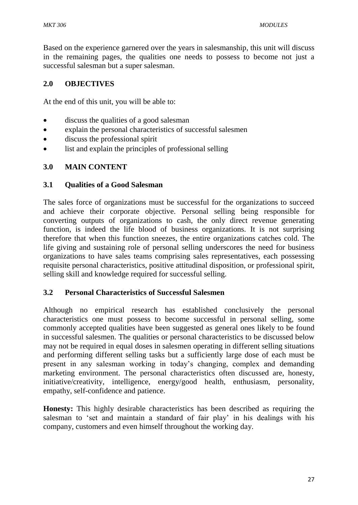Based on the experience garnered over the years in salesmanship, this unit will discuss in the remaining pages, the qualities one needs to possess to become not just a successful salesman but a super salesman.

### **2.0 OBJECTIVES**

At the end of this unit, you will be able to:

- discuss the qualities of a good salesman
- explain the personal characteristics of successful salesmen
- discuss the professional spirit
- list and explain the principles of professional selling

#### **3.0 MAIN CONTENT**

#### **3.1 Qualities of a Good Salesman**

The sales force of organizations must be successful for the organizations to succeed and achieve their corporate objective. Personal selling being responsible for converting outputs of organizations to cash, the only direct revenue generating function, is indeed the life blood of business organizations. It is not surprising therefore that when this function sneezes, the entire organizations catches cold. The life giving and sustaining role of personal selling underscores the need for business organizations to have sales teams comprising sales representatives, each possessing requisite personal characteristics, positive attitudinal disposition, or professional spirit, selling skill and knowledge required for successful selling.

#### **3.2 Personal Characteristics of Successful Salesmen**

Although no empirical research has established conclusively the personal characteristics one must possess to become successful in personal selling, some commonly accepted qualities have been suggested as general ones likely to be found in successful salesmen. The qualities or personal characteristics to be discussed below may not be required in equal doses in salesmen operating in different selling situations and performing different selling tasks but a sufficiently large dose of each must be present in any salesman working in today's changing, complex and demanding marketing environment. The personal characteristics often discussed are, honesty, initiative/creativity, intelligence, energy/good health, enthusiasm, personality, empathy, self-confidence and patience.

**Honesty:** This highly desirable characteristics has been described as requiring the salesman to 'set and maintain a standard of fair play' in his dealings with his company, customers and even himself throughout the working day.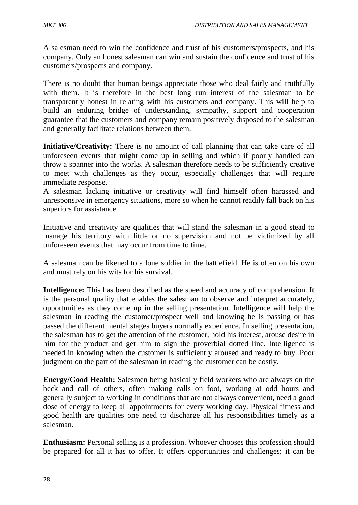A salesman need to win the confidence and trust of his customers/prospects, and his company. Only an honest salesman can win and sustain the confidence and trust of his customers/prospects and company.

There is no doubt that human beings appreciate those who deal fairly and truthfully with them. It is therefore in the best long run interest of the salesman to be transparently honest in relating with his customers and company. This will help to build an enduring bridge of understanding, sympathy, support and cooperation guarantee that the customers and company remain positively disposed to the salesman and generally facilitate relations between them.

**Initiative/Creativity:** There is no amount of call planning that can take care of all unforeseen events that might come up in selling and which if poorly handled can throw a spanner into the works. A salesman therefore needs to be sufficiently creative to meet with challenges as they occur, especially challenges that will require immediate response.

A salesman lacking initiative or creativity will find himself often harassed and unresponsive in emergency situations, more so when he cannot readily fall back on his superiors for assistance.

Initiative and creativity are qualities that will stand the salesman in a good stead to manage his territory with little or no supervision and not be victimized by all unforeseen events that may occur from time to time.

A salesman can be likened to a lone soldier in the battlefield. He is often on his own and must rely on his wits for his survival.

**Intelligence:** This has been described as the speed and accuracy of comprehension. It is the personal quality that enables the salesman to observe and interpret accurately, opportunities as they come up in the selling presentation. Intelligence will help the salesman in reading the customer/prospect well and knowing he is passing or has passed the different mental stages buyers normally experience. In selling presentation, the salesman has to get the attention of the customer, hold his interest, arouse desire in him for the product and get him to sign the proverbial dotted line. Intelligence is needed in knowing when the customer is sufficiently aroused and ready to buy. Poor judgment on the part of the salesman in reading the customer can be costly.

**Energy/Good Health:** Salesmen being basically field workers who are always on the beck and call of others, often making calls on foot, working at odd hours and generally subject to working in conditions that are not always convenient, need a good dose of energy to keep all appointments for every working day. Physical fitness and good health are qualities one need to discharge all his responsibilities timely as a salesman.

**Enthusiasm:** Personal selling is a profession. Whoever chooses this profession should be prepared for all it has to offer. It offers opportunities and challenges; it can be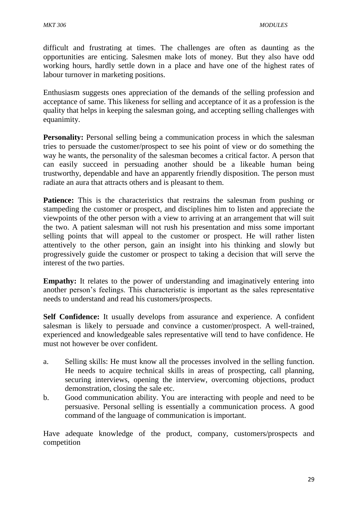difficult and frustrating at times. The challenges are often as daunting as the opportunities are enticing. Salesmen make lots of money. But they also have odd working hours, hardly settle down in a place and have one of the highest rates of labour turnover in marketing positions.

Enthusiasm suggests ones appreciation of the demands of the selling profession and acceptance of same. This likeness for selling and acceptance of it as a profession is the quality that helps in keeping the salesman going, and accepting selling challenges with equanimity.

**Personality:** Personal selling being a communication process in which the salesman tries to persuade the customer/prospect to see his point of view or do something the way he wants, the personality of the salesman becomes a critical factor. A person that can easily succeed in persuading another should be a likeable human being trustworthy, dependable and have an apparently friendly disposition. The person must radiate an aura that attracts others and is pleasant to them.

**Patience:** This is the characteristics that restrains the salesman from pushing or stampeding the customer or prospect, and disciplines him to listen and appreciate the viewpoints of the other person with a view to arriving at an arrangement that will suit the two. A patient salesman will not rush his presentation and miss some important selling points that will appeal to the customer or prospect. He will rather listen attentively to the other person, gain an insight into his thinking and slowly but progressively guide the customer or prospect to taking a decision that will serve the interest of the two parties.

**Empathy:** It relates to the power of understanding and imaginatively entering into another person's feelings. This characteristic is important as the sales representative needs to understand and read his customers/prospects.

**Self Confidence:** It usually develops from assurance and experience. A confident salesman is likely to persuade and convince a customer/prospect. A well-trained, experienced and knowledgeable sales representative will tend to have confidence. He must not however be over confident.

- a. Selling skills: He must know all the processes involved in the selling function. He needs to acquire technical skills in areas of prospecting, call planning, securing interviews, opening the interview, overcoming objections, product demonstration, closing the sale etc.
- b. Good communication ability. You are interacting with people and need to be persuasive. Personal selling is essentially a communication process. A good command of the language of communication is important.

Have adequate knowledge of the product, company, customers/prospects and competition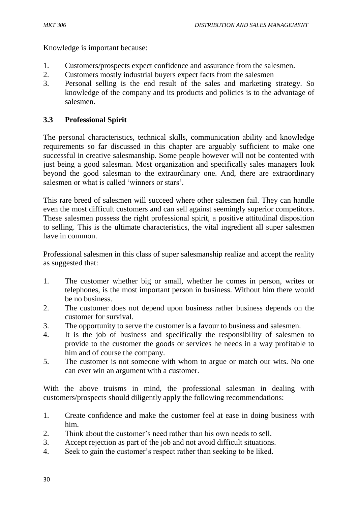Knowledge is important because:

- 1. Customers/prospects expect confidence and assurance from the salesmen.
- 2. Customers mostly industrial buyers expect facts from the salesmen
- 3. Personal selling is the end result of the sales and marketing strategy. So knowledge of the company and its products and policies is to the advantage of salesmen.

# **3.3 Professional Spirit**

The personal characteristics, technical skills, communication ability and knowledge requirements so far discussed in this chapter are arguably sufficient to make one successful in creative salesmanship. Some people however will not be contented with just being a good salesman. Most organization and specifically sales managers look beyond the good salesman to the extraordinary one. And, there are extraordinary salesmen or what is called 'winners or stars'.

This rare breed of salesmen will succeed where other salesmen fail. They can handle even the most difficult customers and can sell against seemingly superior competitors. These salesmen possess the right professional spirit, a positive attitudinal disposition to selling. This is the ultimate characteristics, the vital ingredient all super salesmen have in common.

Professional salesmen in this class of super salesmanship realize and accept the reality as suggested that:

- 1. The customer whether big or small, whether he comes in person, writes or telephones, is the most important person in business. Without him there would be no business.
- 2. The customer does not depend upon business rather business depends on the customer for survival.
- 3. The opportunity to serve the customer is a favour to business and salesmen.
- 4. It is the job of business and specifically the responsibility of salesmen to provide to the customer the goods or services he needs in a way profitable to him and of course the company.
- 5. The customer is not someone with whom to argue or match our wits. No one can ever win an argument with a customer.

With the above truisms in mind, the professional salesman in dealing with customers/prospects should diligently apply the following recommendations:

- 1. Create confidence and make the customer feel at ease in doing business with him.
- 2. Think about the customer's need rather than his own needs to sell.
- 3. Accept rejection as part of the job and not avoid difficult situations.
- 4. Seek to gain the customer's respect rather than seeking to be liked.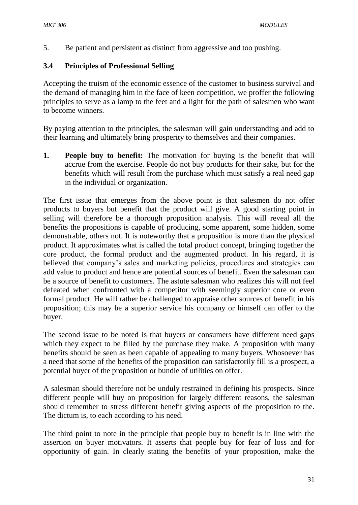5. Be patient and persistent as distinct from aggressive and too pushing.

## **3.4 Principles of Professional Selling**

Accepting the truism of the economic essence of the customer to business survival and the demand of managing him in the face of keen competition, we proffer the following principles to serve as a lamp to the feet and a light for the path of salesmen who want to become winners.

By paying attention to the principles, the salesman will gain understanding and add to their learning and ultimately bring prosperity to themselves and their companies.

**1. People buy to benefit:** The motivation for buying is the benefit that will accrue from the exercise. People do not buy products for their sake, but for the benefits which will result from the purchase which must satisfy a real need gap in the individual or organization.

The first issue that emerges from the above point is that salesmen do not offer products to buyers but benefit that the product will give. A good starting point in selling will therefore be a thorough proposition analysis. This will reveal all the benefits the propositions is capable of producing, some apparent, some hidden, some demonstrable, others not. It is noteworthy that a proposition is more than the physical product. It approximates what is called the total product concept, bringing together the core product, the formal product and the augmented product. In his regard, it is believed that company's sales and marketing policies, procedures and strategies can add value to product and hence are potential sources of benefit. Even the salesman can be a source of benefit to customers. The astute salesman who realizes this will not feel defeated when confronted with a competitor with seemingly superior core or even formal product. He will rather be challenged to appraise other sources of benefit in his proposition; this may be a superior service his company or himself can offer to the buyer.

The second issue to be noted is that buyers or consumers have different need gaps which they expect to be filled by the purchase they make. A proposition with many benefits should be seen as been capable of appealing to many buyers. Whosoever has a need that some of the benefits of the proposition can satisfactorily fill is a prospect, a potential buyer of the proposition or bundle of utilities on offer.

A salesman should therefore not be unduly restrained in defining his prospects. Since different people will buy on proposition for largely different reasons, the salesman should remember to stress different benefit giving aspects of the proposition to the. The dictum is, to each according to his need.

The third point to note in the principle that people buy to benefit is in line with the assertion on buyer motivators. It asserts that people buy for fear of loss and for opportunity of gain. In clearly stating the benefits of your proposition, make the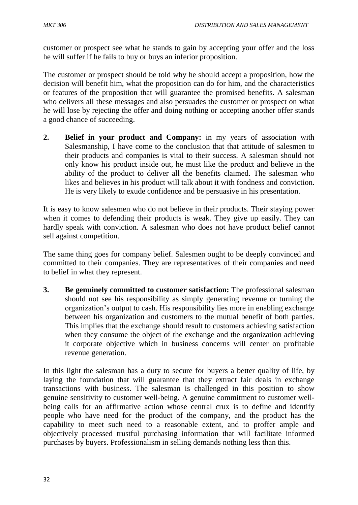customer or prospect see what he stands to gain by accepting your offer and the loss he will suffer if he fails to buy or buys an inferior proposition.

The customer or prospect should be told why he should accept a proposition, how the decision will benefit him, what the proposition can do for him, and the characteristics or features of the proposition that will guarantee the promised benefits. A salesman who delivers all these messages and also persuades the customer or prospect on what he will lose by rejecting the offer and doing nothing or accepting another offer stands a good chance of succeeding.

**2. Belief in your product and Company:** in my years of association with Salesmanship, I have come to the conclusion that that attitude of salesmen to their products and companies is vital to their success. A salesman should not only know his product inside out, he must like the product and believe in the ability of the product to deliver all the benefits claimed. The salesman who likes and believes in his product will talk about it with fondness and conviction. He is very likely to exude confidence and be persuasive in his presentation.

It is easy to know salesmen who do not believe in their products. Their staying power when it comes to defending their products is weak. They give up easily. They can hardly speak with conviction. A salesman who does not have product belief cannot sell against competition.

The same thing goes for company belief. Salesmen ought to be deeply convinced and committed to their companies. They are representatives of their companies and need to belief in what they represent.

**3. Be genuinely committed to customer satisfaction:** The professional salesman should not see his responsibility as simply generating revenue or turning the organization's output to cash. His responsibility lies more in enabling exchange between his organization and customers to the mutual benefit of both parties. This implies that the exchange should result to customers achieving satisfaction when they consume the object of the exchange and the organization achieving it corporate objective which in business concerns will center on profitable revenue generation.

In this light the salesman has a duty to secure for buyers a better quality of life, by laying the foundation that will guarantee that they extract fair deals in exchange transactions with business. The salesman is challenged in this position to show genuine sensitivity to customer well-being. A genuine commitment to customer wellbeing calls for an affirmative action whose central crux is to define and identify people who have need for the product of the company, and the product has the capability to meet such need to a reasonable extent, and to proffer ample and objectively processed trustful purchasing information that will facilitate informed purchases by buyers. Professionalism in selling demands nothing less than this.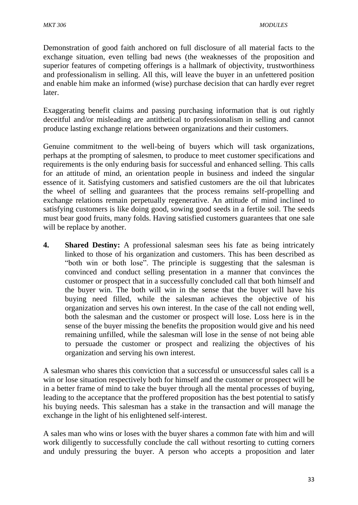Demonstration of good faith anchored on full disclosure of all material facts to the exchange situation, even telling bad news (the weaknesses of the proposition and superior features of competing offerings is a hallmark of objectivity, trustworthiness and professionalism in selling. All this, will leave the buyer in an unfettered position and enable him make an informed (wise) purchase decision that can hardly ever regret later.

Exaggerating benefit claims and passing purchasing information that is out rightly deceitful and/or misleading are antithetical to professionalism in selling and cannot produce lasting exchange relations between organizations and their customers.

Genuine commitment to the well-being of buyers which will task organizations, perhaps at the prompting of salesmen, to produce to meet customer specifications and requirements is the only enduring basis for successful and enhanced selling. This calls for an attitude of mind, an orientation people in business and indeed the singular essence of it. Satisfying customers and satisfied customers are the oil that lubricates the wheel of selling and guarantees that the process remains self-propelling and exchange relations remain perpetually regenerative. An attitude of mind inclined to satisfying customers is like doing good, sowing good seeds in a fertile soil. The seeds must bear good fruits, many folds. Having satisfied customers guarantees that one sale will be replace by another.

**4. Shared Destiny:** A professional salesman sees his fate as being intricately linked to those of his organization and customers. This has been described as "both win or both lose". The principle is suggesting that the salesman is convinced and conduct selling presentation in a manner that convinces the customer or prospect that in a successfully concluded call that both himself and the buyer win. The both will win in the sense that the buyer will have his buying need filled, while the salesman achieves the objective of his organization and serves his own interest. In the case of the call not ending well, both the salesman and the customer or prospect will lose. Loss here is in the sense of the buyer missing the benefits the proposition would give and his need remaining unfilled, while the salesman will lose in the sense of not being able to persuade the customer or prospect and realizing the objectives of his organization and serving his own interest.

A salesman who shares this conviction that a successful or unsuccessful sales call is a win or lose situation respectively both for himself and the customer or prospect will be in a better frame of mind to take the buyer through all the mental processes of buying, leading to the acceptance that the proffered proposition has the best potential to satisfy his buying needs. This salesman has a stake in the transaction and will manage the exchange in the light of his enlightened self-interest.

A sales man who wins or loses with the buyer shares a common fate with him and will work diligently to successfully conclude the call without resorting to cutting corners and unduly pressuring the buyer. A person who accepts a proposition and later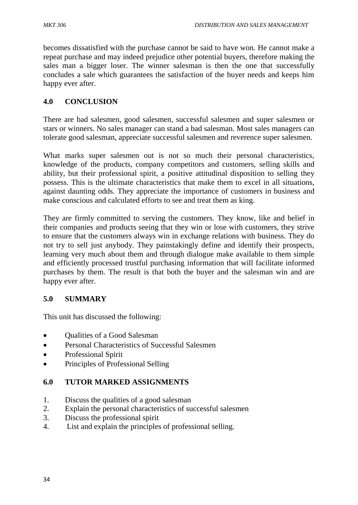becomes dissatisfied with the purchase cannot be said to have won. He cannot make a repeat purchase and may indeed prejudice other potential buyers, therefore making the sales man a bigger loser. The winner salesman is then the one that successfully concludes a sale which guarantees the satisfaction of the buyer needs and keeps him happy ever after.

# **4.0 CONCLUSION**

There are bad salesmen, good salesmen, successful salesmen and super salesmen or stars or winners. No sales manager can stand a bad salesman. Most sales managers can tolerate good salesman, appreciate successful salesmen and reverence super salesmen.

What marks super salesmen out is not so much their personal characteristics, knowledge of the products, company competitors and customers, selling skills and ability, but their professional spirit, a positive attitudinal disposition to selling they possess. This is the ultimate characteristics that make them to excel in all situations, against daunting odds. They appreciate the importance of customers in business and make conscious and calculated efforts to see and treat them as king.

They are firmly committed to serving the customers. They know, like and belief in their companies and products seeing that they win or lose with customers, they strive to ensure that the customers always win in exchange relations with business. They do not try to sell just anybody. They painstakingly define and identify their prospects, learning very much about them and through dialogue make available to them simple and efficiently processed trustful purchasing information that will facilitate informed purchases by them. The result is that both the buyer and the salesman win and are happy ever after.

# **5.0 SUMMARY**

This unit has discussed the following:

- Qualities of a Good Salesman
- Personal Characteristics of Successful Salesmen
- Professional Spirit
- Principles of Professional Selling

# **6.0 TUTOR MARKED ASSIGNMENTS**

- 1. Discuss the qualities of a good salesman
- 2. Explain the personal characteristics of successful salesmen
- 3. Discuss the professional spirit
- 4. List and explain the principles of professional selling.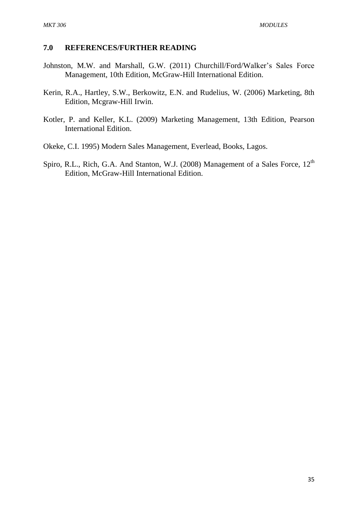#### **7.0 REFERENCES/FURTHER READING**

- Johnston, M.W. and Marshall, G.W. (2011) Churchill/Ford/Walker's Sales Force Management, 10th Edition, McGraw-Hill International Edition.
- Kerin, R.A., Hartley, S.W., Berkowitz, E.N. and Rudelius, W. (2006) Marketing, 8th Edition, Mcgraw-Hill Irwin.
- Kotler, P. and Keller, K.L. (2009) Marketing Management, 13th Edition, Pearson International Edition.
- Okeke, C.I. 1995) Modern Sales Management, Everlead, Books, Lagos.
- Spiro, R.L., Rich, G.A. And Stanton, W.J. (2008) Management of a Sales Force, 12<sup>th</sup> Edition, McGraw-Hill International Edition.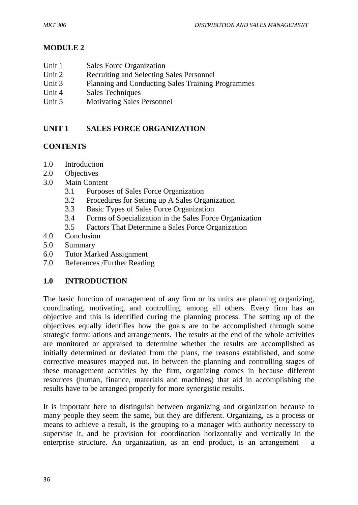# **MODULE 2**

- Unit 1 Sales Force Organization
- Unit 2 Recruiting and Selecting Sales Personnel
- Unit 3 Planning and Conducting Sales Training Programmes
- Unit 4 Sales Techniques
- Unit 5 Motivating Sales Personnel

# **UNIT 1 SALES FORCE ORGANIZATION**

# **CONTENTS**

- 1.0 Introduction
- 2.0 Objectives
- 3.0 Main Content
	- 3.1 Purposes of Sales Force Organization
	- 3.2 Procedures for Setting up A Sales Organization
	- 3.3 Basic Types of Sales Force Organization
	- 3.4 Forms of Specialization in the Sales Force Organization
	- 3.5 Factors That Determine a Sales Force Organization
- 4.0 Conclusion
- 5.0 Summary
- 6.0 Tutor Marked Assignment
- 7.0 References /Further Reading

# **1.0 INTRODUCTION**

The basic function of management of any firm or its units are planning organizing, coordinating, motivating, and controlling, among all others. Every firm has an objective and this is identified during the planning process. The setting up of the objectives equally identifies how the goals are to be accomplished through some strategic formulations and arrangements. The results at the end of the whole activities are monitored or appraised to determine whether the results are accomplished as initially determined or deviated from the plans, the reasons established, and some corrective measures mapped out. In between the planning and controlling stages of these management activities by the firm, organizing comes in because different resources (human, finance, materials and machines) that aid in accomplishing the results have to be arranged properly for more synergistic results.

It is important here to distinguish between organizing and organization because to many people they seem the same, but they are different. Organizing, as a process or means to achieve a result, is the grouping to a manager with authority necessary to supervise it, and he provision for coordination horizontally and vertically in the enterprise structure. An organization, as an end product, is an arrangement  $-$  a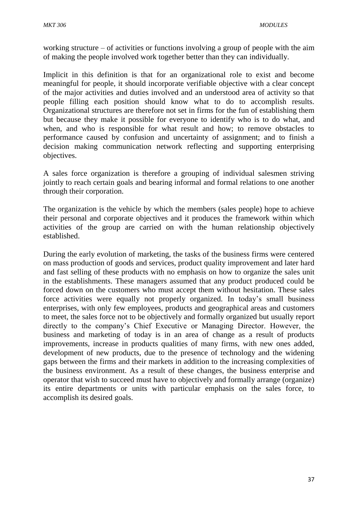working structure – of activities or functions involving a group of people with the aim of making the people involved work together better than they can individually.

Implicit in this definition is that for an organizational role to exist and become meaningful for people, it should incorporate verifiable objective with a clear concept of the major activities and duties involved and an understood area of activity so that people filling each position should know what to do to accomplish results. Organizational structures are therefore not set in firms for the fun of establishing them but because they make it possible for everyone to identify who is to do what, and when, and who is responsible for what result and how; to remove obstacles to performance caused by confusion and uncertainty of assignment; and to finish a decision making communication network reflecting and supporting enterprising objectives.

A sales force organization is therefore a grouping of individual salesmen striving jointly to reach certain goals and bearing informal and formal relations to one another through their corporation.

The organization is the vehicle by which the members (sales people) hope to achieve their personal and corporate objectives and it produces the framework within which activities of the group are carried on with the human relationship objectively established.

During the early evolution of marketing, the tasks of the business firms were centered on mass production of goods and services, product quality improvement and later hard and fast selling of these products with no emphasis on how to organize the sales unit in the establishments. These managers assumed that any product produced could be forced down on the customers who must accept them without hesitation. These sales force activities were equally not properly organized. In today's small business enterprises, with only few employees, products and geographical areas and customers to meet, the sales force not to be objectively and formally organized but usually report directly to the company's Chief Executive or Managing Director. However, the business and marketing of today is in an area of change as a result of products improvements, increase in products qualities of many firms, with new ones added, development of new products, due to the presence of technology and the widening gaps between the firms and their markets in addition to the increasing complexities of the business environment. As a result of these changes, the business enterprise and operator that wish to succeed must have to objectively and formally arrange (organize) its entire departments or units with particular emphasis on the sales force, to accomplish its desired goals.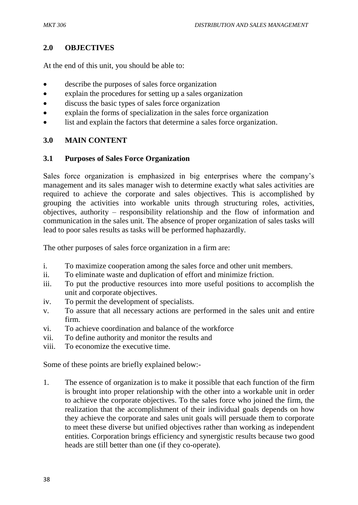### **2.0 OBJECTIVES**

At the end of this unit, you should be able to:

- describe the purposes of sales force organization
- explain the procedures for setting up a sales organization
- discuss the basic types of sales force organization
- explain the forms of specialization in the sales force organization
- list and explain the factors that determine a sales force organization.

#### **3.0 MAIN CONTENT**

#### **3.1 Purposes of Sales Force Organization**

Sales force organization is emphasized in big enterprises where the company's management and its sales manager wish to determine exactly what sales activities are required to achieve the corporate and sales objectives. This is accomplished by grouping the activities into workable units through structuring roles, activities, objectives, authority – responsibility relationship and the flow of information and communication in the sales unit. The absence of proper organization of sales tasks will lead to poor sales results as tasks will be performed haphazardly.

The other purposes of sales force organization in a firm are:

- i. To maximize cooperation among the sales force and other unit members.
- ii. To eliminate waste and duplication of effort and minimize friction.
- iii. To put the productive resources into more useful positions to accomplish the unit and corporate objectives.
- iv. To permit the development of specialists.
- v. To assure that all necessary actions are performed in the sales unit and entire firm.
- vi. To achieve coordination and balance of the workforce
- vii. To define authority and monitor the results and
- viii. To economize the executive time.

Some of these points are briefly explained below:-

1. The essence of organization is to make it possible that each function of the firm is brought into proper relationship with the other into a workable unit in order to achieve the corporate objectives. To the sales force who joined the firm, the realization that the accomplishment of their individual goals depends on how they achieve the corporate and sales unit goals will persuade them to corporate to meet these diverse but unified objectives rather than working as independent entities. Corporation brings efficiency and synergistic results because two good heads are still better than one (if they co-operate).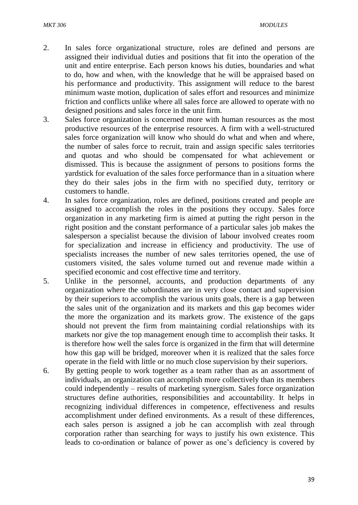- 2. In sales force organizational structure, roles are defined and persons are assigned their individual duties and positions that fit into the operation of the unit and entire enterprise. Each person knows his duties, boundaries and what to do, how and when, with the knowledge that he will be appraised based on his performance and productivity. This assignment will reduce to the barest minimum waste motion, duplication of sales effort and resources and minimize friction and conflicts unlike where all sales force are allowed to operate with no designed positions and sales force in the unit firm.
- 3. Sales force organization is concerned more with human resources as the most productive resources of the enterprise resources. A firm with a well-structured sales force organization will know who should do what and when and where, the number of sales force to recruit, train and assign specific sales territories and quotas and who should be compensated for what achievement or dismissed. This is because the assignment of persons to positions forms the yardstick for evaluation of the sales force performance than in a situation where they do their sales jobs in the firm with no specified duty, territory or customers to handle.
- 4. In sales force organization, roles are defined, positions created and people are assigned to accomplish the roles in the positions they occupy. Sales force organization in any marketing firm is aimed at putting the right person in the right position and the constant performance of a particular sales job makes the salesperson a specialist because the division of labour involved creates room for specialization and increase in efficiency and productivity. The use of specialists increases the number of new sales territories opened, the use of customers visited, the sales volume turned out and revenue made within a specified economic and cost effective time and territory.
- 5. Unlike in the personnel, accounts, and production departments of any organization where the subordinates are in very close contact and supervision by their superiors to accomplish the various units goals, there is a gap between the sales unit of the organization and its markets and this gap becomes wider the more the organization and its markets grow. The existence of the gaps should not prevent the firm from maintaining cordial relationships with its markets nor give the top management enough time to accomplish their tasks. It is therefore how well the sales force is organized in the firm that will determine how this gap will be bridged, moreover when it is realized that the sales force operate in the field with little or no much close supervision by their superiors.
- 6. By getting people to work together as a team rather than as an assortment of individuals, an organization can accomplish more collectively than its members could independently – results of marketing synergism. Sales force organization structures define authorities, responsibilities and accountability. It helps in recognizing individual differences in competence, effectiveness and results accomplishment under defined environments. As a result of these differences, each sales person is assigned a job he can accomplish with zeal through corporation rather than searching for ways to justify his own existence. This leads to co-ordination or balance of power as one's deficiency is covered by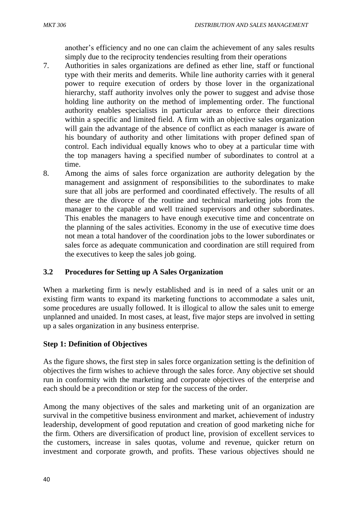another's efficiency and no one can claim the achievement of any sales results simply due to the reciprocity tendencies resulting from their operations

- 7. Authorities in sales organizations are defined as ether line, staff or functional type with their merits and demerits. While line authority carries with it general power to require execution of orders by those lover in the organizational hierarchy, staff authority involves only the power to suggest and advise those holding line authority on the method of implementing order. The functional authority enables specialists in particular areas to enforce their directions within a specific and limited field. A firm with an objective sales organization will gain the advantage of the absence of conflict as each manager is aware of his boundary of authority and other limitations with proper defined span of control. Each individual equally knows who to obey at a particular time with the top managers having a specified number of subordinates to control at a time.
- 8. Among the aims of sales force organization are authority delegation by the management and assignment of responsibilities to the subordinates to make sure that all jobs are performed and coordinated effectively. The results of all these are the divorce of the routine and technical marketing jobs from the manager to the capable and well trained supervisors and other subordinates. This enables the managers to have enough executive time and concentrate on the planning of the sales activities. Economy in the use of executive time does not mean a total handover of the coordination jobs to the lower subordinates or sales force as adequate communication and coordination are still required from the executives to keep the sales job going.

# **3.2 Procedures for Setting up A Sales Organization**

When a marketing firm is newly established and is in need of a sales unit or an existing firm wants to expand its marketing functions to accommodate a sales unit, some procedures are usually followed. It is illogical to allow the sales unit to emerge unplanned and unaided. In most cases, at least, five major steps are involved in setting up a sales organization in any business enterprise.

# **Step 1: Definition of Objectives**

As the figure shows, the first step in sales force organization setting is the definition of objectives the firm wishes to achieve through the sales force. Any objective set should run in conformity with the marketing and corporate objectives of the enterprise and each should be a precondition or step for the success of the order.

Among the many objectives of the sales and marketing unit of an organization are survival in the competitive business environment and market, achievement of industry leadership, development of good reputation and creation of good marketing niche for the firm. Others are diversification of product line, provision of excellent services to the customers, increase in sales quotas, volume and revenue, quicker return on investment and corporate growth, and profits. These various objectives should ne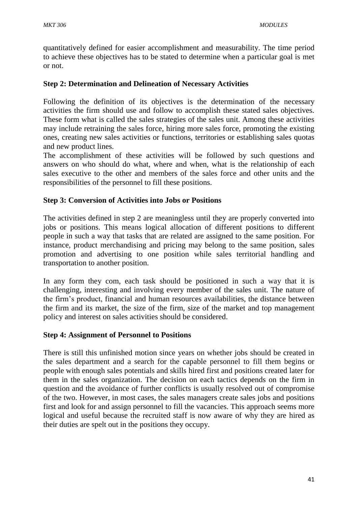quantitatively defined for easier accomplishment and measurability. The time period to achieve these objectives has to be stated to determine when a particular goal is met or not.

## **Step 2: Determination and Delineation of Necessary Activities**

Following the definition of its objectives is the determination of the necessary activities the firm should use and follow to accomplish these stated sales objectives. These form what is called the sales strategies of the sales unit. Among these activities may include retraining the sales force, hiring more sales force, promoting the existing ones, creating new sales activities or functions, territories or establishing sales quotas and new product lines.

The accomplishment of these activities will be followed by such questions and answers on who should do what, where and when, what is the relationship of each sales executive to the other and members of the sales force and other units and the responsibilities of the personnel to fill these positions.

## **Step 3: Conversion of Activities into Jobs or Positions**

The activities defined in step 2 are meaningless until they are properly converted into jobs or positions. This means logical allocation of different positions to different people in such a way that tasks that are related are assigned to the same position. For instance, product merchandising and pricing may belong to the same position, sales promotion and advertising to one position while sales territorial handling and transportation to another position.

In any form they com, each task should be positioned in such a way that it is challenging, interesting and involving every member of the sales unit. The nature of the firm's product, financial and human resources availabilities, the distance between the firm and its market, the size of the firm, size of the market and top management policy and interest on sales activities should be considered.

### **Step 4: Assignment of Personnel to Positions**

There is still this unfinished motion since years on whether jobs should be created in the sales department and a search for the capable personnel to fill them begins or people with enough sales potentials and skills hired first and positions created later for them in the sales organization. The decision on each tactics depends on the firm in question and the avoidance of further conflicts is usually resolved out of compromise of the two. However, in most cases, the sales managers create sales jobs and positions first and look for and assign personnel to fill the vacancies. This approach seems more logical and useful because the recruited staff is now aware of why they are hired as their duties are spelt out in the positions they occupy.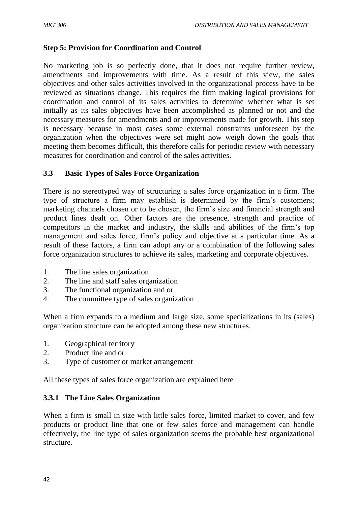### **Step 5: Provision for Coordination and Control**

No marketing job is so perfectly done, that it does not require further review, amendments and improvements with time. As a result of this view, the sales objectives and other sales activities involved in the organizational process have to be reviewed as situations change. This requires the firm making logical provisions for coordination and control of its sales activities to determine whether what is set initially as its sales objectives have been accomplished as planned or not and the necessary measures for amendments and or improvements made for growth. This step is necessary because in most cases some external constraints unforeseen by the organization when the objectives were set might now weigh down the goals that meeting them becomes difficult, this therefore calls for periodic review with necessary measures for coordination and control of the sales activities.

#### **3.3 Basic Types of Sales Force Organization**

There is no stereotyped way of structuring a sales force organization in a firm. The type of structure a firm may establish is determined by the firm's customers; marketing channels chosen or to be chosen, the firm's size and financial strength and product lines dealt on. Other factors are the presence, strength and practice of competitors in the market and industry, the skills and abilities of the firm's top management and sales force, firm's policy and objective at a particular time. As a result of these factors, a firm can adopt any or a combination of the following sales force organization structures to achieve its sales, marketing and corporate objectives.

- 1. The line sales organization
- 2. The line and staff sales organization
- 3. The functional organization and or
- 4. The committee type of sales organization

When a firm expands to a medium and large size, some specializations in its (sales) organization structure can be adopted among these new structures.

- 1. Geographical territory
- 2. Product line and or
- 3. Type of customer or market arrangement

All these types of sales force organization are explained here

#### **3.3.1 The Line Sales Organization**

When a firm is small in size with little sales force, limited market to cover, and few products or product line that one or few sales force and management can handle effectively, the line type of sales organization seems the probable best organizational structure.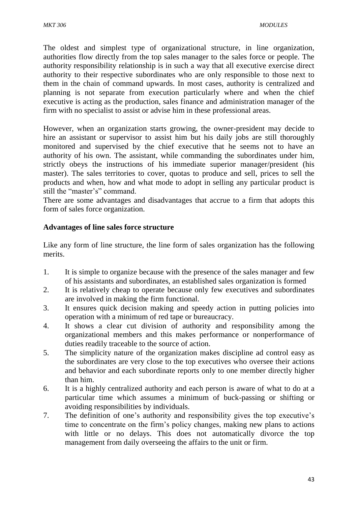The oldest and simplest type of organizational structure, in line organization, authorities flow directly from the top sales manager to the sales force or people. The authority responsibility relationship is in such a way that all executive exercise direct authority to their respective subordinates who are only responsible to those next to them in the chain of command upwards. In most cases, authority is centralized and planning is not separate from execution particularly where and when the chief executive is acting as the production, sales finance and administration manager of the firm with no specialist to assist or advise him in these professional areas.

However, when an organization starts growing, the owner-president may decide to hire an assistant or supervisor to assist him but his daily jobs are still thoroughly monitored and supervised by the chief executive that he seems not to have an authority of his own. The assistant, while commanding the subordinates under him, strictly obeys the instructions of his immediate superior manager/president (his master). The sales territories to cover, quotas to produce and sell, prices to sell the products and when, how and what mode to adopt in selling any particular product is still the "master's" command.

There are some advantages and disadvantages that accrue to a firm that adopts this form of sales force organization.

## **Advantages of line sales force structure**

Like any form of line structure, the line form of sales organization has the following merits.

- 1. It is simple to organize because with the presence of the sales manager and few of his assistants and subordinates, an established sales organization is formed
- 2. It is relatively cheap to operate because only few executives and subordinates are involved in making the firm functional.
- 3. It ensures quick decision making and speedy action in putting policies into operation with a minimum of red tape or bureaucracy.
- 4. It shows a clear cut division of authority and responsibility among the organizational members and this makes performance or nonperformance of duties readily traceable to the source of action.
- 5. The simplicity nature of the organization makes discipline ad control easy as the subordinates are very close to the top executives who oversee their actions and behavior and each subordinate reports only to one member directly higher than him.
- 6. It is a highly centralized authority and each person is aware of what to do at a particular time which assumes a minimum of buck-passing or shifting or avoiding responsibilities by individuals.
- 7. The definition of one's authority and responsibility gives the top executive's time to concentrate on the firm's policy changes, making new plans to actions with little or no delays. This does not automatically divorce the top management from daily overseeing the affairs to the unit or firm.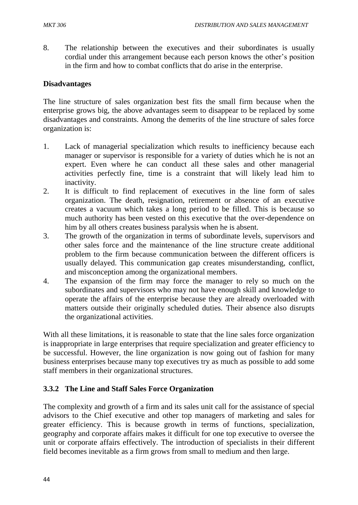8. The relationship between the executives and their subordinates is usually cordial under this arrangement because each person knows the other's position in the firm and how to combat conflicts that do arise in the enterprise.

#### **Disadvantages**

The line structure of sales organization best fits the small firm because when the enterprise grows big, the above advantages seem to disappear to be replaced by some disadvantages and constraints. Among the demerits of the line structure of sales force organization is:

- 1. Lack of managerial specialization which results to inefficiency because each manager or supervisor is responsible for a variety of duties which he is not an expert. Even where he can conduct all these sales and other managerial activities perfectly fine, time is a constraint that will likely lead him to inactivity.
- 2. It is difficult to find replacement of executives in the line form of sales organization. The death, resignation, retirement or absence of an executive creates a vacuum which takes a long period to be filled. This is because so much authority has been vested on this executive that the over-dependence on him by all others creates business paralysis when he is absent.
- 3. The growth of the organization in terms of subordinate levels, supervisors and other sales force and the maintenance of the line structure create additional problem to the firm because communication between the different officers is usually delayed. This communication gap creates misunderstanding, conflict, and misconception among the organizational members.
- 4. The expansion of the firm may force the manager to rely so much on the subordinates and supervisors who may not have enough skill and knowledge to operate the affairs of the enterprise because they are already overloaded with matters outside their originally scheduled duties. Their absence also disrupts the organizational activities.

With all these limitations, it is reasonable to state that the line sales force organization is inappropriate in large enterprises that require specialization and greater efficiency to be successful. However, the line organization is now going out of fashion for many business enterprises because many top executives try as much as possible to add some staff members in their organizational structures.

### **3.3.2 The Line and Staff Sales Force Organization**

The complexity and growth of a firm and its sales unit call for the assistance of special advisors to the Chief executive and other top managers of marketing and sales for greater efficiency. This is because growth in terms of functions, specialization, geography and corporate affairs makes it difficult for one top executive to oversee the unit or corporate affairs effectively. The introduction of specialists in their different field becomes inevitable as a firm grows from small to medium and then large.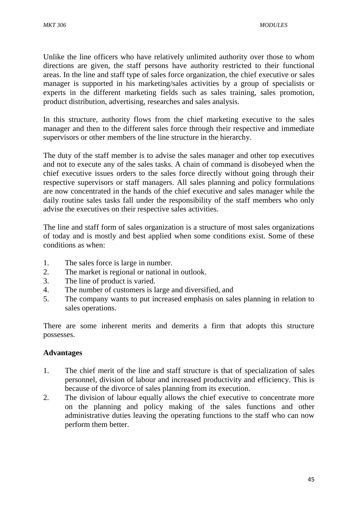Unlike the line officers who have relatively unlimited authority over those to whom directions are given, the staff persons have authority restricted to their functional areas. In the line and staff type of sales force organization, the chief executive or sales manager is supported in his marketing/sales activities by a group of specialists or experts in the different marketing fields such as sales training, sales promotion, product distribution, advertising, researches and sales analysis.

In this structure, authority flows from the chief marketing executive to the sales manager and then to the different sales force through their respective and immediate supervisors or other members of the line structure in the hierarchy.

The duty of the staff member is to advise the sales manager and other top executives and not to execute any of the sales tasks. A chain of command is disobeyed when the chief executive issues orders to the sales force directly without going through their respective supervisors or staff managers. All sales planning and policy formulations are now concentrated in the hands of the chief executive and sales manager while the daily routine sales tasks fall under the responsibility of the staff members who only advise the executives on their respective sales activities.

The line and staff form of sales organization is a structure of most sales organizations of today and is mostly and best applied when some conditions exist. Some of these conditions as when:

- 1. The sales force is large in number.
- 2. The market is regional or national in outlook.
- 3. The line of product is varied.
- 4. The number of customers is large and diversified, and
- 5. The company wants to put increased emphasis on sales planning in relation to sales operations.

There are some inherent merits and demerits a firm that adopts this structure possesses.

#### **Advantages**

- 1. The chief merit of the line and staff structure is that of specialization of sales personnel, division of labour and increased productivity and efficiency. This is because of the divorce of sales planning from its execution.
- 2. The division of labour equally allows the chief executive to concentrate more on the planning and policy making of the sales functions and other administrative duties leaving the operating functions to the staff who can now perform them better.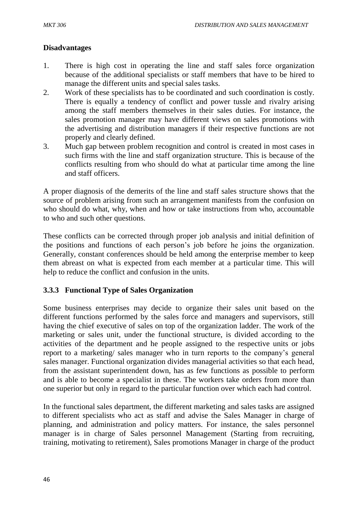# **Disadvantages**

- 1. There is high cost in operating the line and staff sales force organization because of the additional specialists or staff members that have to be hired to manage the different units and special sales tasks.
- 2. Work of these specialists has to be coordinated and such coordination is costly. There is equally a tendency of conflict and power tussle and rivalry arising among the staff members themselves in their sales duties. For instance, the sales promotion manager may have different views on sales promotions with the advertising and distribution managers if their respective functions are not properly and clearly defined.
- 3. Much gap between problem recognition and control is created in most cases in such firms with the line and staff organization structure. This is because of the conflicts resulting from who should do what at particular time among the line and staff officers.

A proper diagnosis of the demerits of the line and staff sales structure shows that the source of problem arising from such an arrangement manifests from the confusion on who should do what, why, when and how or take instructions from who, accountable to who and such other questions.

These conflicts can be corrected through proper job analysis and initial definition of the positions and functions of each person's job before he joins the organization. Generally, constant conferences should be held among the enterprise member to keep them abreast on what is expected from each member at a particular time. This will help to reduce the conflict and confusion in the units.

# **3.3.3 Functional Type of Sales Organization**

Some business enterprises may decide to organize their sales unit based on the different functions performed by the sales force and managers and supervisors, still having the chief executive of sales on top of the organization ladder. The work of the marketing or sales unit, under the functional structure, is divided according to the activities of the department and he people assigned to the respective units or jobs report to a marketing/ sales manager who in turn reports to the company's general sales manager. Functional organization divides managerial activities so that each head, from the assistant superintendent down, has as few functions as possible to perform and is able to become a specialist in these. The workers take orders from more than one superior but only in regard to the particular function over which each had control.

In the functional sales department, the different marketing and sales tasks are assigned to different specialists who act as staff and advise the Sales Manager in charge of planning, and administration and policy matters. For instance, the sales personnel manager is in charge of Sales personnel Management (Starting from recruiting, training, motivating to retirement), Sales promotions Manager in charge of the product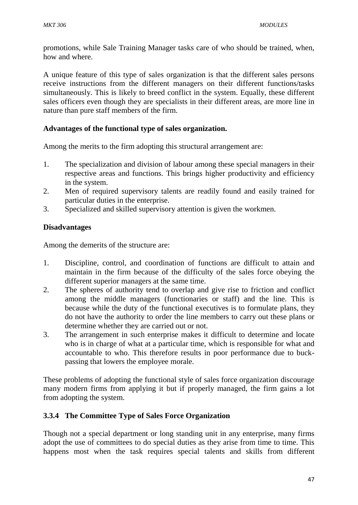promotions, while Sale Training Manager tasks care of who should be trained, when, how and where.

A unique feature of this type of sales organization is that the different sales persons receive instructions from the different managers on their different functions/tasks simultaneously. This is likely to breed conflict in the system. Equally, these different sales officers even though they are specialists in their different areas, are more line in nature than pure staff members of the firm.

### **Advantages of the functional type of sales organization.**

Among the merits to the firm adopting this structural arrangement are:

- 1. The specialization and division of labour among these special managers in their respective areas and functions. This brings higher productivity and efficiency in the system.
- 2. Men of required supervisory talents are readily found and easily trained for particular duties in the enterprise.
- 3. Specialized and skilled supervisory attention is given the workmen.

### **Disadvantages**

Among the demerits of the structure are:

- 1. Discipline, control, and coordination of functions are difficult to attain and maintain in the firm because of the difficulty of the sales force obeying the different superior managers at the same time.
- 2. The spheres of authority tend to overlap and give rise to friction and conflict among the middle managers (functionaries or staff) and the line. This is because while the duty of the functional executives is to formulate plans, they do not have the authority to order the line members to carry out these plans or determine whether they are carried out or not.
- 3. The arrangement in such enterprise makes it difficult to determine and locate who is in charge of what at a particular time, which is responsible for what and accountable to who. This therefore results in poor performance due to buckpassing that lowers the employee morale.

These problems of adopting the functional style of sales force organization discourage many modern firms from applying it but if properly managed, the firm gains a lot from adopting the system.

#### **3.3.4 The Committee Type of Sales Force Organization**

Though not a special department or long standing unit in any enterprise, many firms adopt the use of committees to do special duties as they arise from time to time. This happens most when the task requires special talents and skills from different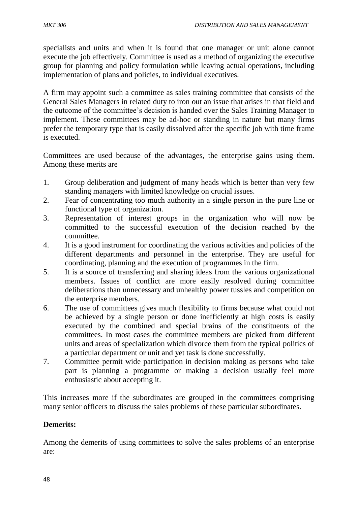specialists and units and when it is found that one manager or unit alone cannot execute the job effectively. Committee is used as a method of organizing the executive group for planning and policy formulation while leaving actual operations, including implementation of plans and policies, to individual executives.

A firm may appoint such a committee as sales training committee that consists of the General Sales Managers in related duty to iron out an issue that arises in that field and the outcome of the committee's decision is handed over the Sales Training Manager to implement. These committees may be ad-hoc or standing in nature but many firms prefer the temporary type that is easily dissolved after the specific job with time frame is executed.

Committees are used because of the advantages, the enterprise gains using them. Among these merits are

- 1. Group deliberation and judgment of many heads which is better than very few standing managers with limited knowledge on crucial issues.
- 2. Fear of concentrating too much authority in a single person in the pure line or functional type of organization.
- 3. Representation of interest groups in the organization who will now be committed to the successful execution of the decision reached by the committee.
- 4. It is a good instrument for coordinating the various activities and policies of the different departments and personnel in the enterprise. They are useful for coordinating, planning and the execution of programmes in the firm.
- 5. It is a source of transferring and sharing ideas from the various organizational members. Issues of conflict are more easily resolved during committee deliberations than unnecessary and unhealthy power tussles and competition on the enterprise members.
- 6. The use of committees gives much flexibility to firms because what could not be achieved by a single person or done inefficiently at high costs is easily executed by the combined and special brains of the constituents of the committees. In most cases the committee members are picked from different units and areas of specialization which divorce them from the typical politics of a particular department or unit and yet task is done successfully.
- 7. Committee permit wide participation in decision making as persons who take part is planning a programme or making a decision usually feel more enthusiastic about accepting it.

This increases more if the subordinates are grouped in the committees comprising many senior officers to discuss the sales problems of these particular subordinates.

# **Demerits:**

Among the demerits of using committees to solve the sales problems of an enterprise are: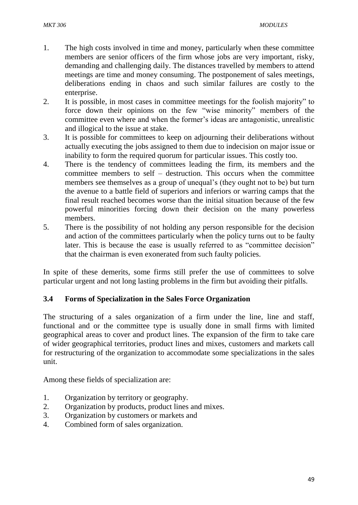- 1. The high costs involved in time and money, particularly when these committee members are senior officers of the firm whose jobs are very important, risky, demanding and challenging daily. The distances travelled by members to attend meetings are time and money consuming. The postponement of sales meetings, deliberations ending in chaos and such similar failures are costly to the enterprise.
- 2. It is possible, in most cases in committee meetings for the foolish majority" to force down their opinions on the few "wise minority" members of the committee even where and when the former's ideas are antagonistic, unrealistic and illogical to the issue at stake.
- 3. It is possible for committees to keep on adjourning their deliberations without actually executing the jobs assigned to them due to indecision on major issue or inability to form the required quorum for particular issues. This costly too.
- 4. There is the tendency of committees leading the firm, its members and the committee members to self – destruction. This occurs when the committee members see themselves as a group of unequal's (they ought not to be) but turn the avenue to a battle field of superiors and inferiors or warring camps that the final result reached becomes worse than the initial situation because of the few powerful minorities forcing down their decision on the many powerless members.
- 5. There is the possibility of not holding any person responsible for the decision and action of the committees particularly when the policy turns out to be faulty later. This is because the ease is usually referred to as "committee decision" that the chairman is even exonerated from such faulty policies.

In spite of these demerits, some firms still prefer the use of committees to solve particular urgent and not long lasting problems in the firm but avoiding their pitfalls.

### **3.4 Forms of Specialization in the Sales Force Organization**

The structuring of a sales organization of a firm under the line, line and staff, functional and or the committee type is usually done in small firms with limited geographical areas to cover and product lines. The expansion of the firm to take care of wider geographical territories, product lines and mixes, customers and markets call for restructuring of the organization to accommodate some specializations in the sales unit.

Among these fields of specialization are:

- 1. Organization by territory or geography.
- 2. Organization by products, product lines and mixes.
- 3. Organization by customers or markets and
- 4. Combined form of sales organization.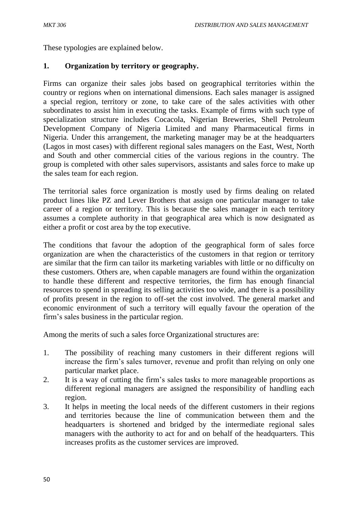These typologies are explained below.

## **1. Organization by territory or geography.**

Firms can organize their sales jobs based on geographical territories within the country or regions when on international dimensions. Each sales manager is assigned a special region, territory or zone, to take care of the sales activities with other subordinates to assist him in executing the tasks. Example of firms with such type of specialization structure includes Cocacola, Nigerian Breweries, Shell Petroleum Development Company of Nigeria Limited and many Pharmaceutical firms in Nigeria. Under this arrangement, the marketing manager may be at the headquarters (Lagos in most cases) with different regional sales managers on the East, West, North and South and other commercial cities of the various regions in the country. The group is completed with other sales supervisors, assistants and sales force to make up the sales team for each region.

The territorial sales force organization is mostly used by firms dealing on related product lines like PZ and Lever Brothers that assign one particular manager to take career of a region or territory. This is because the sales manager in each territory assumes a complete authority in that geographical area which is now designated as either a profit or cost area by the top executive.

The conditions that favour the adoption of the geographical form of sales force organization are when the characteristics of the customers in that region or territory are similar that the firm can tailor its marketing variables with little or no difficulty on these customers. Others are, when capable managers are found within the organization to handle these different and respective territories, the firm has enough financial resources to spend in spreading its selling activities too wide, and there is a possibility of profits present in the region to off-set the cost involved. The general market and economic environment of such a territory will equally favour the operation of the firm's sales business in the particular region.

Among the merits of such a sales force Organizational structures are:

- 1. The possibility of reaching many customers in their different regions will increase the firm's sales turnover, revenue and profit than relying on only one particular market place.
- 2. It is a way of cutting the firm's sales tasks to more manageable proportions as different regional managers are assigned the responsibility of handling each region.
- 3. It helps in meeting the local needs of the different customers in their regions and territories because the line of communication between them and the headquarters is shortened and bridged by the intermediate regional sales managers with the authority to act for and on behalf of the headquarters. This increases profits as the customer services are improved.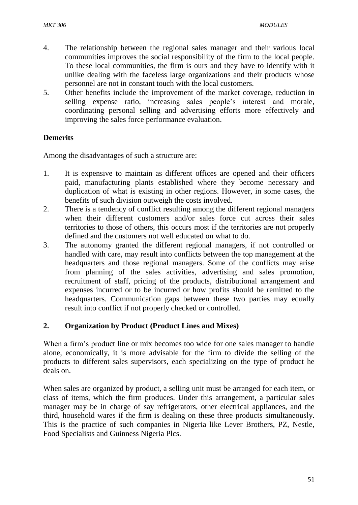- 4. The relationship between the regional sales manager and their various local communities improves the social responsibility of the firm to the local people. To these local communities, the firm is ours and they have to identify with it unlike dealing with the faceless large organizations and their products whose personnel are not in constant touch with the local customers.
- 5. Other benefits include the improvement of the market coverage, reduction in selling expense ratio, increasing sales people's interest and morale, coordinating personal selling and advertising efforts more effectively and improving the sales force performance evaluation.

## **Demerits**

Among the disadvantages of such a structure are:

- 1. It is expensive to maintain as different offices are opened and their officers paid, manufacturing plants established where they become necessary and duplication of what is existing in other regions. However, in some cases, the benefits of such division outweigh the costs involved.
- 2. There is a tendency of conflict resulting among the different regional managers when their different customers and/or sales force cut across their sales territories to those of others, this occurs most if the territories are not properly defined and the customers not well educated on what to do.
- 3. The autonomy granted the different regional managers, if not controlled or handled with care, may result into conflicts between the top management at the headquarters and those regional managers. Some of the conflicts may arise from planning of the sales activities, advertising and sales promotion, recruitment of staff, pricing of the products, distributional arrangement and expenses incurred or to be incurred or how profits should be remitted to the headquarters. Communication gaps between these two parties may equally result into conflict if not properly checked or controlled.

### **2. Organization by Product (Product Lines and Mixes)**

When a firm's product line or mix becomes too wide for one sales manager to handle alone, economically, it is more advisable for the firm to divide the selling of the products to different sales supervisors, each specializing on the type of product he deals on.

When sales are organized by product, a selling unit must be arranged for each item, or class of items, which the firm produces. Under this arrangement, a particular sales manager may be in charge of say refrigerators, other electrical appliances, and the third, household wares if the firm is dealing on these three products simultaneously. This is the practice of such companies in Nigeria like Lever Brothers, PZ, Nestle, Food Specialists and Guinness Nigeria Plcs.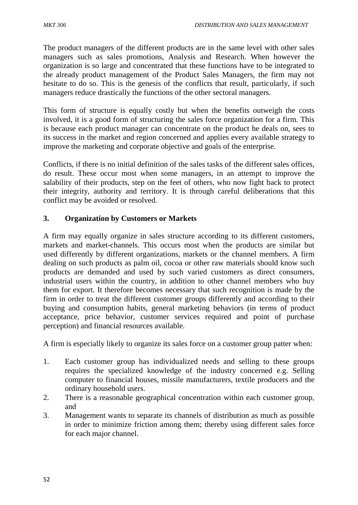The product managers of the different products are in the same level with other sales managers such as sales promotions, Analysis and Research. When however the organization is so large and concentrated that these functions have to be integrated to the already product management of the Product Sales Managers, the firm may not hesitate to do so. This is the genesis of the conflicts that result, particularly, if such managers reduce drastically the functions of the other sectoral managers.

This form of structure is equally costly but when the benefits outweigh the costs involved, it is a good form of structuring the sales force organization for a firm. This is because each product manager can concentrate on the product he deals on, sees to its success in the market and region concerned and applies every available strategy to improve the marketing and corporate objective and goals of the enterprise.

Conflicts, if there is no initial definition of the sales tasks of the different sales offices, do result. These occur most when some managers, in an attempt to improve the salability of their products, step on the feet of others, who now fight back to protect their integrity, authority and territory. It is through careful deliberations that this conflict may be avoided or resolved.

# **3. Organization by Customers or Markets**

A firm may equally organize in sales structure according to its different customers, markets and market-channels. This occurs most when the products are similar but used differently by different organizations, markets or the channel members. A firm dealing on such products as palm oil, cocoa or other raw materials should know such products are demanded and used by such varied customers as direct consumers, industrial users within the country, in addition to other channel members who buy them for export. It therefore becomes necessary that such recognition is made by the firm in order to treat the different customer groups differently and according to their buying and consumption habits, general marketing behaviors (in terms of product acceptance, price behavior, customer services required and point of purchase perception) and financial resources available.

A firm is especially likely to organize its sales force on a customer group patter when:

- 1. Each customer group has individualized needs and selling to these groups requires the specialized knowledge of the industry concerned e.g. Selling computer to financial houses, missile manufacturers, textile producers and the ordinary household users.
- 2. There is a reasonable geographical concentration within each customer group, and
- 3. Management wants to separate its channels of distribution as much as possible in order to minimize friction among them; thereby using different sales force for each major channel.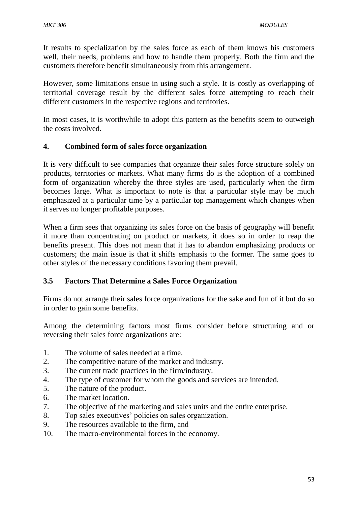It results to specialization by the sales force as each of them knows his customers well, their needs, problems and how to handle them properly. Both the firm and the customers therefore benefit simultaneously from this arrangement.

However, some limitations ensue in using such a style. It is costly as overlapping of territorial coverage result by the different sales force attempting to reach their different customers in the respective regions and territories.

In most cases, it is worthwhile to adopt this pattern as the benefits seem to outweigh the costs involved.

## **4. Combined form of sales force organization**

It is very difficult to see companies that organize their sales force structure solely on products, territories or markets. What many firms do is the adoption of a combined form of organization whereby the three styles are used, particularly when the firm becomes large. What is important to note is that a particular style may be much emphasized at a particular time by a particular top management which changes when it serves no longer profitable purposes.

When a firm sees that organizing its sales force on the basis of geography will benefit it more than concentrating on product or markets, it does so in order to reap the benefits present. This does not mean that it has to abandon emphasizing products or customers; the main issue is that it shifts emphasis to the former. The same goes to other styles of the necessary conditions favoring them prevail.

# **3.5 Factors That Determine a Sales Force Organization**

Firms do not arrange their sales force organizations for the sake and fun of it but do so in order to gain some benefits.

Among the determining factors most firms consider before structuring and or reversing their sales force organizations are:

- 1. The volume of sales needed at a time.
- 2. The competitive nature of the market and industry.
- 3. The current trade practices in the firm/industry.
- 4. The type of customer for whom the goods and services are intended.
- 5. The nature of the product.
- 6. The market location.
- 7. The objective of the marketing and sales units and the entire enterprise.
- 8. Top sales executives' policies on sales organization.
- 9. The resources available to the firm, and
- 10. The macro-environmental forces in the economy.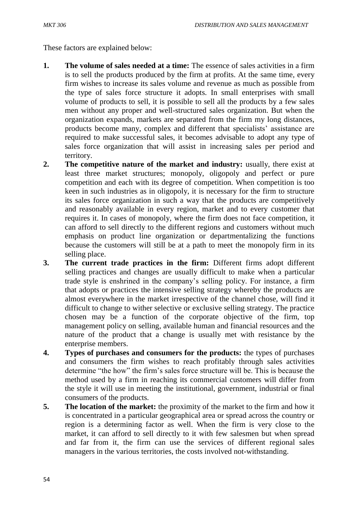These factors are explained below:

- **1.** The volume of sales needed at a time: The essence of sales activities in a firm is to sell the products produced by the firm at profits. At the same time, every firm wishes to increase its sales volume and revenue as much as possible from the type of sales force structure it adopts. In small enterprises with small volume of products to sell, it is possible to sell all the products by a few sales men without any proper and well-structured sales organization. But when the organization expands, markets are separated from the firm my long distances, products become many, complex and different that specialists' assistance are required to make successful sales, it becomes advisable to adopt any type of sales force organization that will assist in increasing sales per period and territory.
- **2.** The competitive nature of the market and industry: usually, there exist at least three market structures; monopoly, oligopoly and perfect or pure competition and each with its degree of competition. When competition is too keen in such industries as in oligopoly, it is necessary for the firm to structure its sales force organization in such a way that the products are competitively and reasonably available in every region, market and to every customer that requires it. In cases of monopoly, where the firm does not face competition, it can afford to sell directly to the different regions and customers without much emphasis on product line organization or departmentalizing the functions because the customers will still be at a path to meet the monopoly firm in its selling place.
- **3. The current trade practices in the firm:** Different firms adopt different selling practices and changes are usually difficult to make when a particular trade style is enshrined in the company's selling policy. For instance, a firm that adopts or practices the intensive selling strategy whereby the products are almost everywhere in the market irrespective of the channel chose, will find it difficult to change to wither selective or exclusive selling strategy. The practice chosen may be a function of the corporate objective of the firm, top management policy on selling, available human and financial resources and the nature of the product that a change is usually met with resistance by the enterprise members.
- **4. Types of purchases and consumers for the products:** the types of purchases and consumers the firm wishes to reach profitably through sales activities determine "the how" the firm's sales force structure will be. This is because the method used by a firm in reaching its commercial customers will differ from the style it will use in meeting the institutional, government, industrial or final consumers of the products.
- **5. The location of the market:** the proximity of the market to the firm and how it is concentrated in a particular geographical area or spread across the country or region is a determining factor as well. When the firm is very close to the market, it can afford to sell directly to it with few salesmen but when spread and far from it, the firm can use the services of different regional sales managers in the various territories, the costs involved not-withstanding.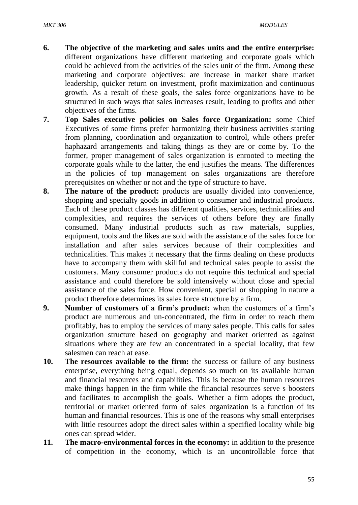- **6. The objective of the marketing and sales units and the entire enterprise:**  different organizations have different marketing and corporate goals which could be achieved from the activities of the sales unit of the firm. Among these marketing and corporate objectives: are increase in market share market leadership, quicker return on investment, profit maximization and continuous growth. As a result of these goals, the sales force organizations have to be structured in such ways that sales increases result, leading to profits and other objectives of the firms.
- **7. Top Sales executive policies on Sales force Organization:** some Chief Executives of some firms prefer harmonizing their business activities starting from planning, coordination and organization to control, while others prefer haphazard arrangements and taking things as they are or come by. To the former, proper management of sales organization is enrooted to meeting the corporate goals while to the latter, the end justifies the means. The differences in the policies of top management on sales organizations are therefore prerequisites on whether or not and the type of structure to have.
- **8. The nature of the product:** products are usually divided into convenience, shopping and specialty goods in addition to consumer and industrial products. Each of these product classes has different qualities, services, technicalities and complexities, and requires the services of others before they are finally consumed. Many industrial products such as raw materials, supplies, equipment, tools and the likes are sold with the assistance of the sales force for installation and after sales services because of their complexities and technicalities. This makes it necessary that the firms dealing on these products have to accompany them with skillful and technical sales people to assist the customers. Many consumer products do not require this technical and special assistance and could therefore be sold intensively without close and special assistance of the sales force. How convenient, special or shopping in nature a product therefore determines its sales force structure by a firm.
- **9. Number of customers of a firm's product:** when the customers of a firm's product are numerous and un-concentrated, the firm in order to reach them profitably, has to employ the services of many sales people. This calls for sales organization structure based on geography and market oriented as against situations where they are few an concentrated in a special locality, that few salesmen can reach at ease.
- **10. The resources available to the firm:** the success or failure of any business enterprise, everything being equal, depends so much on its available human and financial resources and capabilities. This is because the human resources make things happen in the firm while the financial resources serve s boosters and facilitates to accomplish the goals. Whether a firm adopts the product, territorial or market oriented form of sales organization is a function of its human and financial resources. This is one of the reasons why small enterprises with little resources adopt the direct sales within a specified locality while big ones can spread wider.
- **11. The macro-environmental forces in the economy:** in addition to the presence of competition in the economy, which is an uncontrollable force that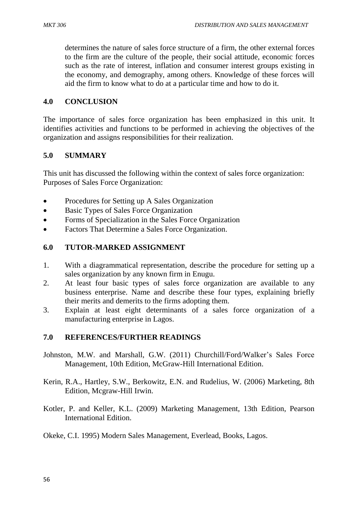determines the nature of sales force structure of a firm, the other external forces to the firm are the culture of the people, their social attitude, economic forces such as the rate of interest, inflation and consumer interest groups existing in the economy, and demography, among others. Knowledge of these forces will aid the firm to know what to do at a particular time and how to do it.

#### **4.0 CONCLUSION**

The importance of sales force organization has been emphasized in this unit. It identifies activities and functions to be performed in achieving the objectives of the organization and assigns responsibilities for their realization.

#### **5.0 SUMMARY**

This unit has discussed the following within the context of sales force organization: Purposes of Sales Force Organization:

- Procedures for Setting up A Sales Organization
- Basic Types of Sales Force Organization
- Forms of Specialization in the Sales Force Organization
- Factors That Determine a Sales Force Organization.

#### **6.0 TUTOR-MARKED ASSIGNMENT**

- 1. With a diagrammatical representation, describe the procedure for setting up a sales organization by any known firm in Enugu.
- 2. At least four basic types of sales force organization are available to any business enterprise. Name and describe these four types, explaining briefly their merits and demerits to the firms adopting them.
- 3. Explain at least eight determinants of a sales force organization of a manufacturing enterprise in Lagos.

### **7.0 REFERENCES/FURTHER READINGS**

- Johnston, M.W. and Marshall, G.W. (2011) Churchill/Ford/Walker's Sales Force Management, 10th Edition, McGraw-Hill International Edition.
- Kerin, R.A., Hartley, S.W., Berkowitz, E.N. and Rudelius, W. (2006) Marketing, 8th Edition, Mcgraw-Hill Irwin.
- Kotler, P. and Keller, K.L. (2009) Marketing Management, 13th Edition, Pearson International Edition.
- Okeke, C.I. 1995) Modern Sales Management, Everlead, Books, Lagos.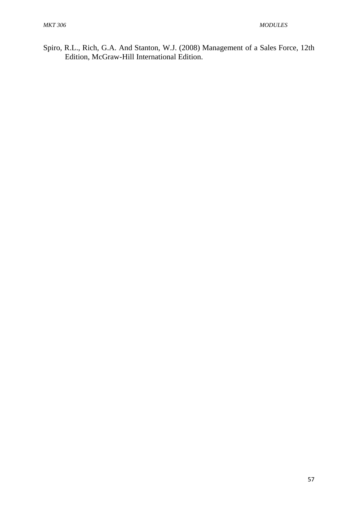Spiro, R.L., Rich, G.A. And Stanton, W.J. (2008) Management of a Sales Force, 12th Edition, McGraw-Hill International Edition.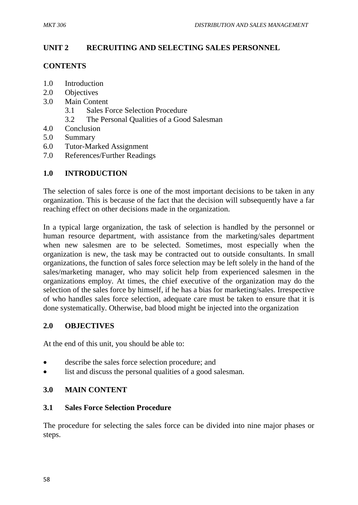# **UNIT 2 RECRUITING AND SELECTING SALES PERSONNEL**

### **CONTENTS**

- 1.0 Introduction
- 2.0 Objectives
- 3.0 Main Content
	- 3.1 Sales Force Selection Procedure
	- 3.2 The Personal Qualities of a Good Salesman
- 4.0 Conclusion
- 5.0 Summary
- 6.0 Tutor-Marked Assignment
- 7.0 References/Further Readings

## **1.0 INTRODUCTION**

The selection of sales force is one of the most important decisions to be taken in any organization. This is because of the fact that the decision will subsequently have a far reaching effect on other decisions made in the organization.

In a typical large organization, the task of selection is handled by the personnel or human resource department, with assistance from the marketing/sales department when new salesmen are to be selected. Sometimes, most especially when the organization is new, the task may be contracted out to outside consultants. In small organizations, the function of sales force selection may be left solely in the hand of the sales/marketing manager, who may solicit help from experienced salesmen in the organizations employ. At times, the chief executive of the organization may do the selection of the sales force by himself, if he has a bias for marketing/sales. Irrespective of who handles sales force selection, adequate care must be taken to ensure that it is done systematically. Otherwise, bad blood might be injected into the organization

### **2.0 OBJECTIVES**

At the end of this unit, you should be able to:

- describe the sales force selection procedure; and
- list and discuss the personal qualities of a good salesman.

### **3.0 MAIN CONTENT**

### **3.1 Sales Force Selection Procedure**

The procedure for selecting the sales force can be divided into nine major phases or steps.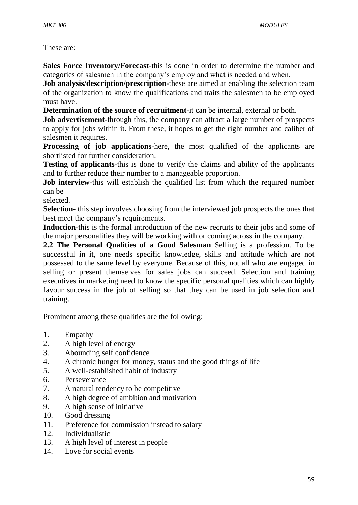These are:

**Sales Force Inventory/Forecast**-this is done in order to determine the number and categories of salesmen in the company's employ and what is needed and when.

**Job analysis/description/prescription**-these are aimed at enabling the selection team of the organization to know the qualifications and traits the salesmen to be employed must have.

**Determination of the source of recruitment**-it can be internal, external or both.

**Job advertisement**-through this, the company can attract a large number of prospects to apply for jobs within it. From these, it hopes to get the right number and caliber of salesmen it requires.

**Processing of job applications**-here, the most qualified of the applicants are shortlisted for further consideration.

**Testing of applicants**-this is done to verify the claims and ability of the applicants and to further reduce their number to a manageable proportion.

**Job interview**-this will establish the qualified list from which the required number can be

selected.

**Selection**- this step involves choosing from the interviewed job prospects the ones that best meet the company's requirements.

**Induction**-this is the formal introduction of the new recruits to their jobs and some of the major personalities they will be working with or coming across in the company.

**2.2 The Personal Qualities of a Good Salesman** Selling is a profession. To be successful in it, one needs specific knowledge, skills and attitude which are not possessed to the same level by everyone. Because of this, not all who are engaged in selling or present themselves for sales jobs can succeed. Selection and training executives in marketing need to know the specific personal qualities which can highly favour success in the job of selling so that they can be used in job selection and training.

Prominent among these qualities are the following:

- 1. Empathy
- 2. A high level of energy
- 3. Abounding self confidence
- 4. A chronic hunger for money, status and the good things of life
- 5. A well-established habit of industry
- 6. Perseverance
- 7. A natural tendency to be competitive
- 8. A high degree of ambition and motivation
- 9. A high sense of initiative
- 10. Good dressing
- 11. Preference for commission instead to salary
- 12. Individualistic
- 13. A high level of interest in people
- 14. Love for social events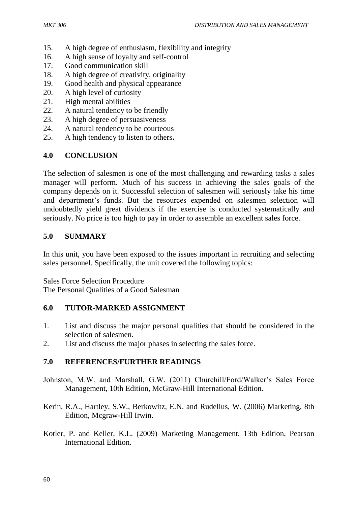- 15. A high degree of enthusiasm, flexibility and integrity
- 16. A high sense of loyalty and self-control
- 17. Good communication skill
- 18. A high degree of creativity, originality
- 19. Good health and physical appearance
- 20. A high level of curiosity
- 21. High mental abilities
- 22. A natural tendency to be friendly
- 23. A high degree of persuasiveness
- 24. A natural tendency to be courteous
- 25. A high tendency to listen to others**.**

# **4.0 CONCLUSION**

The selection of salesmen is one of the most challenging and rewarding tasks a sales manager will perform. Much of his success in achieving the sales goals of the company depends on it. Successful selection of salesmen will seriously take his time and department's funds. But the resources expended on salesmen selection will undoubtedly yield great dividends if the exercise is conducted systematically and seriously. No price is too high to pay in order to assemble an excellent sales force.

## **5.0 SUMMARY**

In this unit, you have been exposed to the issues important in recruiting and selecting sales personnel. Specifically, the unit covered the following topics:

Sales Force Selection Procedure

The Personal Qualities of a Good Salesman

### **6.0 TUTOR-MARKED ASSIGNMENT**

- 1. List and discuss the major personal qualities that should be considered in the selection of salesmen.
- 2. List and discuss the major phases in selecting the sales force.

# **7.0 REFERENCES/FURTHER READINGS**

- Johnston, M.W. and Marshall, G.W. (2011) Churchill/Ford/Walker's Sales Force Management, 10th Edition, McGraw-Hill International Edition.
- Kerin, R.A., Hartley, S.W., Berkowitz, E.N. and Rudelius, W. (2006) Marketing, 8th Edition, Mcgraw-Hill Irwin.
- Kotler, P. and Keller, K.L. (2009) Marketing Management, 13th Edition, Pearson International Edition.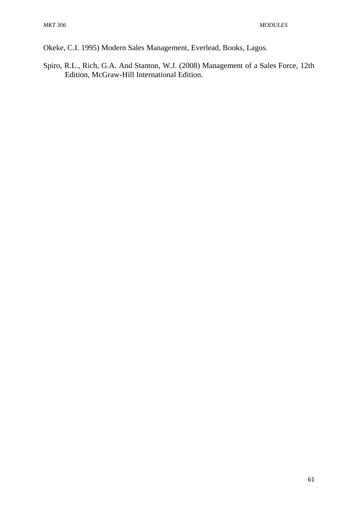Okeke, C.I. 1995) Modern Sales Management, Everlead, Books, Lagos.

Spiro, R.L., Rich, G.A. And Stanton, W.J. (2008) Management of a Sales Force, 12th Edition, McGraw-Hill International Edition.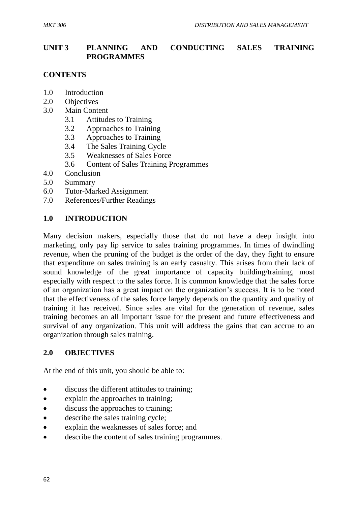# **UNIT 3 PLANNING AND CONDUCTING SALES TRAINING PROGRAMMES**

## **CONTENTS**

- 1.0 Introduction
- 2.0 Objectives
- 3.0 Main Content
	- 3.1 Attitudes to Training
	- 3.2 Approaches to Training
	- 3.3 Approaches to Training
	- 3.4 The Sales Training Cycle
	- 3.5 Weaknesses of Sales Force
	- 3.6 Content of Sales Training Programmes
- 4.0 Conclusion
- 5.0 Summary
- 6.0 Tutor-Marked Assignment
- 7.0 References/Further Readings

#### **1.0 INTRODUCTION**

Many decision makers, especially those that do not have a deep insight into marketing, only pay lip service to sales training programmes. In times of dwindling revenue, when the pruning of the budget is the order of the day, they fight to ensure that expenditure on sales training is an early casualty. This arises from their lack of sound knowledge of the great importance of capacity building/training, most especially with respect to the sales force. It is common knowledge that the sales force of an organization has a great impact on the organization's success. It is to be noted that the effectiveness of the sales force largely depends on the quantity and quality of training it has received. Since sales are vital for the generation of revenue, sales training becomes an all important issue for the present and future effectiveness and survival of any organization. This unit will address the gains that can accrue to an organization through sales training.

#### **2.0 OBJECTIVES**

At the end of this unit, you should be able to:

- discuss the different attitudes to training;
- explain the approaches to training;
- discuss the approaches to training;
- describe the sales training cycle;
- explain the weaknesses of sales force; and
- describe the **c**ontent of sales training programmes.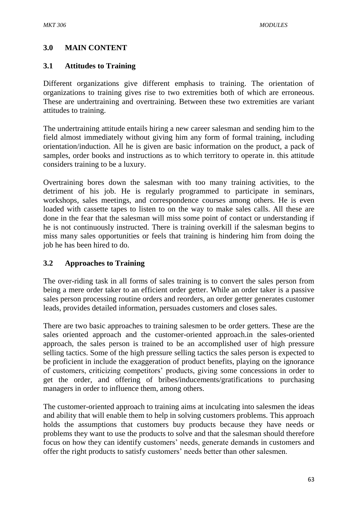# **3.0 MAIN CONTENT**

## **3.1 Attitudes to Training**

Different organizations give different emphasis to training. The orientation of organizations to training gives rise to two extremities both of which are erroneous. These are undertraining and overtraining. Between these two extremities are variant attitudes to training.

The undertraining attitude entails hiring a new career salesman and sending him to the field almost immediately without giving him any form of formal training, including orientation/induction. All he is given are basic information on the product, a pack of samples, order books and instructions as to which territory to operate in. this attitude considers training to be a luxury.

Overtraining bores down the salesman with too many training activities, to the detriment of his job. He is regularly programmed to participate in seminars, workshops, sales meetings, and correspondence courses among others. He is even loaded with cassette tapes to listen to on the way to make sales calls. All these are done in the fear that the salesman will miss some point of contact or understanding if he is not continuously instructed. There is training overkill if the salesman begins to miss many sales opportunities or feels that training is hindering him from doing the job he has been hired to do.

### **3.2 Approaches to Training**

The over-riding task in all forms of sales training is to convert the sales person from being a mere order taker to an efficient order getter. While an order taker is a passive sales person processing routine orders and reorders, an order getter generates customer leads, provides detailed information, persuades customers and closes sales.

There are two basic approaches to training salesmen to be order getters. These are the sales oriented approach and the customer-oriented approach.in the sales-oriented approach, the sales person is trained to be an accomplished user of high pressure selling tactics. Some of the high pressure selling tactics the sales person is expected to be proficient in include the exaggeration of product benefits, playing on the ignorance of customers, criticizing competitors' products, giving some concessions in order to get the order, and offering of bribes/inducements/gratifications to purchasing managers in order to influence them, among others.

The customer-oriented approach to training aims at inculcating into salesmen the ideas and ability that will enable them to help in solving customers problems. This approach holds the assumptions that customers buy products because they have needs or problems they want to use the products to solve and that the salesman should therefore focus on how they can identify customers' needs, generate demands in customers and offer the right products to satisfy customers' needs better than other salesmen.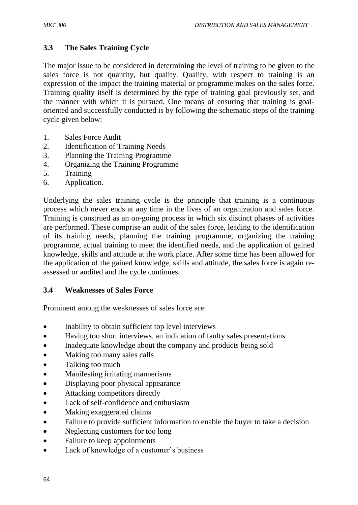# **3.3 The Sales Training Cycle**

The major issue to be considered in determining the level of training to be given to the sales force is not quantity, but quality. Quality, with respect to training is an expression of the impact the training material or programme makes on the sales force. Training quality itself is determined by the type of training goal previously set, and the manner with which it is pursued. One means of ensuring that training is goaloriented and successfully conducted is by following the schematic steps of the training cycle given below:

- 1. Sales Force Audit
- 2. Identification of Training Needs
- 3. Planning the Training Programme
- 4. Organizing the Training Programme
- 5. Training
- 6. Application.

Underlying the sales training cycle is the principle that training is a continuous process which never ends at any time in the lives of an organization and sales force. Training is construed as an on-going process in which six distinct phases of activities are performed. These comprise an audit of the sales force, leading to the identification of its training needs, planning the training programme, organizing the training programme, actual training to meet the identified needs, and the application of gained knowledge, skills and attitude at the work place. After some time has been allowed for the application of the gained knowledge, skills and attitude, the sales force is again reassessed or audited and the cycle continues.

### **3.4 Weaknesses of Sales Force**

Prominent among the weaknesses of sales force are:

- Inability to obtain sufficient top level interviews
- Having too short interviews, an indication of faulty sales presentations
- Inadequate knowledge about the company and products being sold
- Making too many sales calls
- Talking too much
- Manifesting irritating mannerisms
- Displaying poor physical appearance
- Attacking competitors directly
- Lack of self-confidence and enthusiasm
- Making exaggerated claims
- Failure to provide sufficient information to enable the buyer to take a decision
- Neglecting customers for too long
- Failure to keep appointments
- Lack of knowledge of a customer's business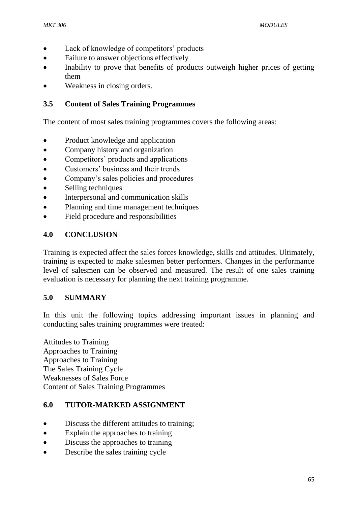- Lack of knowledge of competitors' products
- Failure to answer objections effectively
- Inability to prove that benefits of products outweigh higher prices of getting them
- Weakness in closing orders.

## **3.5 Content of Sales Training Programmes**

The content of most sales training programmes covers the following areas:

- Product knowledge and application
- Company history and organization
- Competitors' products and applications
- Customers' business and their trends
- Company's sales policies and procedures
- Selling techniques
- Interpersonal and communication skills
- Planning and time management techniques
- Field procedure and responsibilities

## **4.0 CONCLUSION**

Training is expected affect the sales forces knowledge, skills and attitudes. Ultimately, training is expected to make salesmen better performers. Changes in the performance level of salesmen can be observed and measured. The result of one sales training evaluation is necessary for planning the next training programme.

#### **5.0 SUMMARY**

In this unit the following topics addressing important issues in planning and conducting sales training programmes were treated:

Attitudes to Training Approaches to Training Approaches to Training The Sales Training Cycle Weaknesses of Sales Force Content of Sales Training Programmes

## **6.0 TUTOR-MARKED ASSIGNMENT**

- Discuss the different attitudes to training:
- Explain the approaches to training
- Discuss the approaches to training
- Describe the sales training cycle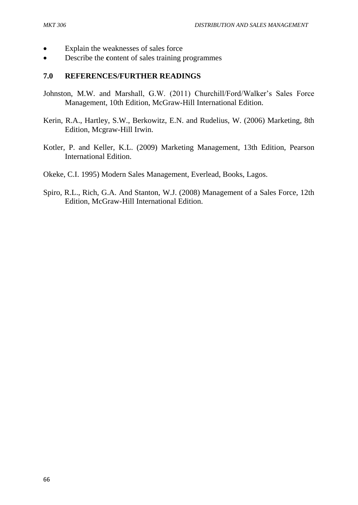- Explain the weaknesses of sales force
- Describe the **c**ontent of sales training programmes

#### **7.0 REFERENCES/FURTHER READINGS**

- Johnston, M.W. and Marshall, G.W. (2011) Churchill/Ford/Walker's Sales Force Management, 10th Edition, McGraw-Hill International Edition.
- Kerin, R.A., Hartley, S.W., Berkowitz, E.N. and Rudelius, W. (2006) Marketing, 8th Edition, Mcgraw-Hill Irwin.
- Kotler, P. and Keller, K.L. (2009) Marketing Management, 13th Edition, Pearson International Edition.
- Okeke, C.I. 1995) Modern Sales Management, Everlead, Books, Lagos.
- Spiro, R.L., Rich, G.A. And Stanton, W.J. (2008) Management of a Sales Force, 12th Edition, McGraw-Hill International Edition.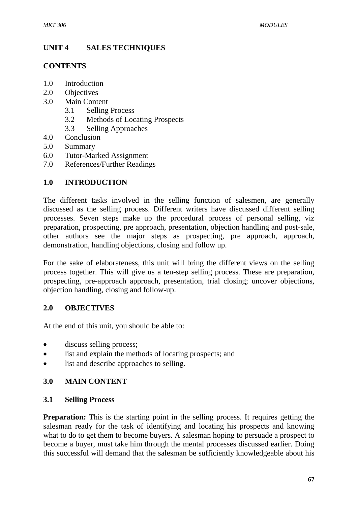# **UNIT 4 SALES TECHNIQUES**

### **CONTENTS**

- 1.0 Introduction
- 2.0 Objectives
- 3.0 Main Content
	- 3.1 Selling Process
	- 3.2 Methods of Locating Prospects
	- 3.3 Selling Approaches
- 4.0 Conclusion
- 5.0 Summary
- 6.0 Tutor-Marked Assignment
- 7.0 References/Further Readings

# **1.0 INTRODUCTION**

The different tasks involved in the selling function of salesmen, are generally discussed as the selling process. Different writers have discussed different selling processes. Seven steps make up the procedural process of personal selling, viz preparation, prospecting, pre approach, presentation, objection handling and post-sale, other authors see the major steps as prospecting, pre approach, approach, demonstration, handling objections, closing and follow up.

For the sake of elaborateness, this unit will bring the different views on the selling process together. This will give us a ten-step selling process. These are preparation, prospecting, pre-approach approach, presentation, trial closing; uncover objections, objection handling, closing and follow-up.

## **2.0 OBJECTIVES**

At the end of this unit, you should be able to:

- discuss selling process;
- list and explain the methods of locating prospects; and
- list and describe approaches to selling.

## **3.0 MAIN CONTENT**

#### **3.1 Selling Process**

**Preparation:** This is the starting point in the selling process. It requires getting the salesman ready for the task of identifying and locating his prospects and knowing what to do to get them to become buyers. A salesman hoping to persuade a prospect to become a buyer, must take him through the mental processes discussed earlier. Doing this successful will demand that the salesman be sufficiently knowledgeable about his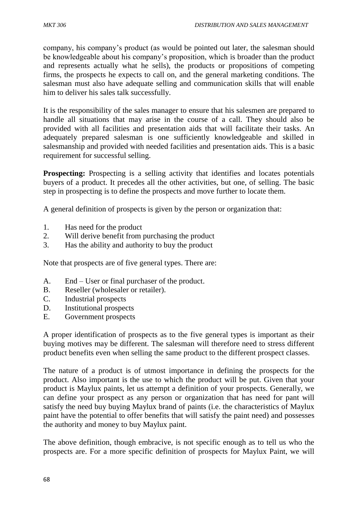company, his company's product (as would be pointed out later, the salesman should be knowledgeable about his company's proposition, which is broader than the product and represents actually what he sells), the products or propositions of competing firms, the prospects he expects to call on, and the general marketing conditions. The salesman must also have adequate selling and communication skills that will enable him to deliver his sales talk successfully.

It is the responsibility of the sales manager to ensure that his salesmen are prepared to handle all situations that may arise in the course of a call. They should also be provided with all facilities and presentation aids that will facilitate their tasks. An adequately prepared salesman is one sufficiently knowledgeable and skilled in salesmanship and provided with needed facilities and presentation aids. This is a basic requirement for successful selling.

**Prospecting:** Prospecting is a selling activity that identifies and locates potentials buyers of a product. It precedes all the other activities, but one, of selling. The basic step in prospecting is to define the prospects and move further to locate them.

A general definition of prospects is given by the person or organization that:

- 1. Has need for the product
- 2. Will derive benefit from purchasing the product
- 3. Has the ability and authority to buy the product

Note that prospects are of five general types. There are:

- A. End User or final purchaser of the product.
- B. Reseller (wholesaler or retailer).
- C. Industrial prospects
- D. Institutional prospects
- E. Government prospects

A proper identification of prospects as to the five general types is important as their buying motives may be different. The salesman will therefore need to stress different product benefits even when selling the same product to the different prospect classes.

The nature of a product is of utmost importance in defining the prospects for the product. Also important is the use to which the product will be put. Given that your product is Maylux paints, let us attempt a definition of your prospects. Generally, we can define your prospect as any person or organization that has need for pant will satisfy the need buy buying Maylux brand of paints (i.e. the characteristics of Maylux paint have the potential to offer benefits that will satisfy the paint need) and possesses the authority and money to buy Maylux paint.

The above definition, though embracive, is not specific enough as to tell us who the prospects are. For a more specific definition of prospects for Maylux Paint, we will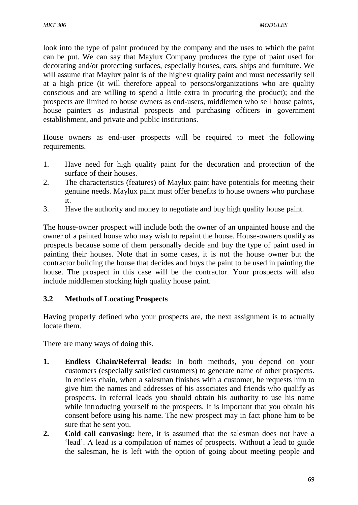look into the type of paint produced by the company and the uses to which the paint can be put. We can say that Maylux Company produces the type of paint used for decorating and/or protecting surfaces, especially houses, cars, ships and furniture. We will assume that Maylux paint is of the highest quality paint and must necessarily sell at a high price (it will therefore appeal to persons/organizations who are quality conscious and are willing to spend a little extra in procuring the product); and the prospects are limited to house owners as end-users, middlemen who sell house paints, house painters as industrial prospects and purchasing officers in government establishment, and private and public institutions.

House owners as end-user prospects will be required to meet the following requirements.

- 1. Have need for high quality paint for the decoration and protection of the surface of their houses.
- 2. The characteristics (features) of Maylux paint have potentials for meeting their genuine needs. Maylux paint must offer benefits to house owners who purchase it.
- 3. Have the authority and money to negotiate and buy high quality house paint.

The house-owner prospect will include both the owner of an unpainted house and the owner of a painted house who may wish to repaint the house. House-owners qualify as prospects because some of them personally decide and buy the type of paint used in painting their houses. Note that in some cases, it is not the house owner but the contractor building the house that decides and buys the paint to be used in painting the house. The prospect in this case will be the contractor. Your prospects will also include middlemen stocking high quality house paint.

## **3.2 Methods of Locating Prospects**

Having properly defined who your prospects are, the next assignment is to actually locate them.

There are many ways of doing this.

- **1. Endless Chain/Referral leads:** In both methods, you depend on your customers (especially satisfied customers) to generate name of other prospects. In endless chain, when a salesman finishes with a customer, he requests him to give him the names and addresses of his associates and friends who qualify as prospects. In referral leads you should obtain his authority to use his name while introducing yourself to the prospects. It is important that you obtain his consent before using his name. The new prospect may in fact phone him to be sure that he sent you.
- **2. Cold call canvasing:** here, it is assumed that the salesman does not have a 'lead'. A lead is a compilation of names of prospects. Without a lead to guide the salesman, he is left with the option of going about meeting people and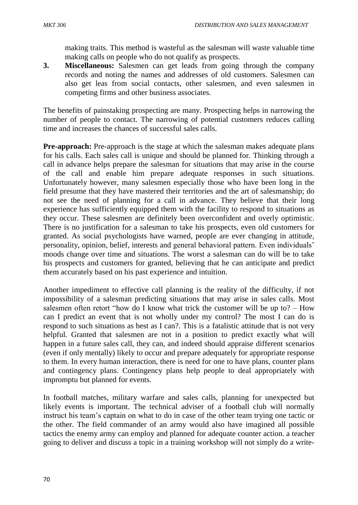making traits. This method is wasteful as the salesman will waste valuable time making calls on people who do not qualify as prospects.

**3. Miscellaneous:** Salesmen can get leads from going through the company records and noting the names and addresses of old customers. Salesmen can also get leas from social contacts, other salesmen, and even salesmen in competing firms and other business associates.

The benefits of painstaking prospecting are many. Prospecting helps in narrowing the number of people to contact. The narrowing of potential customers reduces calling time and increases the chances of successful sales calls.

**Pre-approach:** Pre-approach is the stage at which the salesman makes adequate plans for his calls. Each sales call is unique and should be planned for. Thinking through a call in advance helps prepare the salesman for situations that may arise in the course of the call and enable him prepare adequate responses in such situations. Unfortunately however, many salesmen especially those who have been long in the field presume that they have mastered their territories and the art of salesmanship; do not see the need of planning for a call in advance. They believe that their long experience has sufficiently equipped them with the facility to respond to situations as they occur. These salesmen are definitely been overconfident and overly optimistic. There is no justification for a salesman to take his prospects, even old customers for granted. As social psychologists have warned, people are ever changing in attitude, personality, opinion, belief, interests and general behavioral pattern. Even individuals' moods change over time and situations. The worst a salesman can do will be to take his prospects and customers for granted, believing that he can anticipate and predict them accurately based on his past experience and intuition.

Another impediment to effective call planning is the reality of the difficulty, if not impossibility of a salesman predicting situations that may arise in sales calls. Most salesmen often retort "how do I know what trick the customer will be up to? – How can I predict an event that is not wholly under my control? The most I can do is respond to such situations as best as I can?. This is a fatalistic attitude that is not very helpful. Granted that salesmen are not in a position to predict exactly what will happen in a future sales call, they can, and indeed should appraise different scenarios (even if only mentally) likely to occur and prepare adequately for appropriate response to them. In every human interaction, there is need for one to have plans, counter plans and contingency plans. Contingency plans help people to deal appropriately with impromptu but planned for events.

In football matches, military warfare and sales calls, planning for unexpected but likely events is important. The technical adviser of a football club will normally instruct his team's captain on what to do in case of the other team trying one tactic or the other. The field commander of an army would also have imagined all possible tactics the enemy army can employ and planned for adequate counter action. a teacher going to deliver and discuss a topic in a training workshop will not simply do a write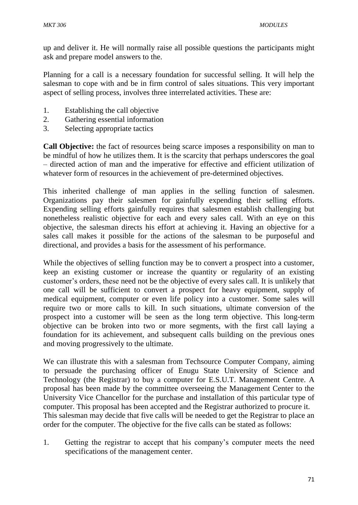up and deliver it. He will normally raise all possible questions the participants might ask and prepare model answers to the.

Planning for a call is a necessary foundation for successful selling. It will help the salesman to cope with and be in firm control of sales situations. This very important aspect of selling process, involves three interrelated activities. These are:

- 1. Establishing the call objective
- 2. Gathering essential information
- 3. Selecting appropriate tactics

**Call Objective:** the fact of resources being scarce imposes a responsibility on man to be mindful of how he utilizes them. It is the scarcity that perhaps underscores the goal – directed action of man and the imperative for effective and efficient utilization of whatever form of resources in the achievement of pre-determined objectives.

This inherited challenge of man applies in the selling function of salesmen. Organizations pay their salesmen for gainfully expending their selling efforts. Expending selling efforts gainfully requires that salesmen establish challenging but nonetheless realistic objective for each and every sales call. With an eye on this objective, the salesman directs his effort at achieving it. Having an objective for a sales call makes it possible for the actions of the salesman to be purposeful and directional, and provides a basis for the assessment of his performance.

While the objectives of selling function may be to convert a prospect into a customer, keep an existing customer or increase the quantity or regularity of an existing customer's orders, these need not be the objective of every sales call. It is unlikely that one call will be sufficient to convert a prospect for heavy equipment, supply of medical equipment, computer or even life policy into a customer. Some sales will require two or more calls to kill. In such situations, ultimate conversion of the prospect into a customer will be seen as the long term objective. This long-term objective can be broken into two or more segments, with the first call laying a foundation for its achievement, and subsequent calls building on the previous ones and moving progressively to the ultimate.

We can illustrate this with a salesman from Techsource Computer Company, aiming to persuade the purchasing officer of Enugu State University of Science and Technology (the Registrar) to buy a computer for E.S.U.T. Management Centre. A proposal has been made by the committee overseeing the Management Center to the University Vice Chancellor for the purchase and installation of this particular type of computer. This proposal has been accepted and the Registrar authorized to procure it. This salesman may decide that five calls will be needed to get the Registrar to place an order for the computer. The objective for the five calls can be stated as follows:

1. Getting the registrar to accept that his company's computer meets the need specifications of the management center.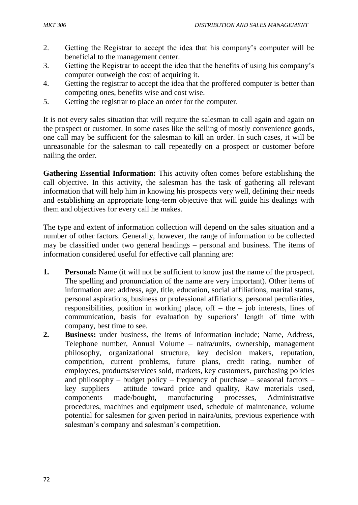- 2. Getting the Registrar to accept the idea that his company's computer will be beneficial to the management center.
- 3. Getting the Registrar to accept the idea that the benefits of using his company's computer outweigh the cost of acquiring it.
- 4. Getting the registrar to accept the idea that the proffered computer is better than competing ones, benefits wise and cost wise.
- 5. Getting the registrar to place an order for the computer.

It is not every sales situation that will require the salesman to call again and again on the prospect or customer. In some cases like the selling of mostly convenience goods, one call may be sufficient for the salesman to kill an order. In such cases, it will be unreasonable for the salesman to call repeatedly on a prospect or customer before nailing the order.

**Gathering Essential Information:** This activity often comes before establishing the call objective. In this activity, the salesman has the task of gathering all relevant information that will help him in knowing his prospects very well, defining their needs and establishing an appropriate long-term objective that will guide his dealings with them and objectives for every call he makes.

The type and extent of information collection will depend on the sales situation and a number of other factors. Generally, however, the range of information to be collected may be classified under two general headings – personal and business. The items of information considered useful for effective call planning are:

- **1. Personal:** Name (it will not be sufficient to know just the name of the prospect. The spelling and pronunciation of the name are very important). Other items of information are: address, age, title, education, social affiliations, marital status, personal aspirations, business or professional affiliations, personal peculiarities, responsibilities, position in working place, of  $f -$  the  $-$  job interests, lines of communication, basis for evaluation by superiors' length of time with company, best time to see.
- **2. Business:** under business, the items of information include; Name, Address, Telephone number, Annual Volume – naira/units, ownership, management philosophy, organizational structure, key decision makers, reputation, competition, current problems, future plans, credit rating, number of employees, products/services sold, markets, key customers, purchasing policies and philosophy – budget policy – frequency of purchase – seasonal factors – key suppliers – attitude toward price and quality, Raw materials used, components made/bought, manufacturing processes, Administrative procedures, machines and equipment used, schedule of maintenance, volume potential for salesmen for given period in naira/units, previous experience with salesman's company and salesman's competition.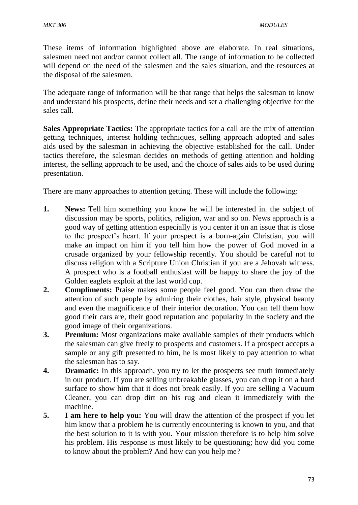These items of information highlighted above are elaborate. In real situations, salesmen need not and/or cannot collect all. The range of information to be collected will depend on the need of the salesmen and the sales situation, and the resources at the disposal of the salesmen.

The adequate range of information will be that range that helps the salesman to know and understand his prospects, define their needs and set a challenging objective for the sales call.

**Sales Appropriate Tactics:** The appropriate tactics for a call are the mix of attention getting techniques, interest holding techniques, selling approach adopted and sales aids used by the salesman in achieving the objective established for the call. Under tactics therefore, the salesman decides on methods of getting attention and holding interest, the selling approach to be used, and the choice of sales aids to be used during presentation.

There are many approaches to attention getting. These will include the following:

- **1. News:** Tell him something you know he will be interested in. the subject of discussion may be sports, politics, religion, war and so on. News approach is a good way of getting attention especially is you center it on an issue that is close to the prospect's heart. If your prospect is a born-again Christian, you will make an impact on him if you tell him how the power of God moved in a crusade organized by your fellowship recently. You should be careful not to discuss religion with a Scripture Union Christian if you are a Jehovah witness. A prospect who is a football enthusiast will be happy to share the joy of the Golden eaglets exploit at the last world cup.
- **2. Compliments:** Praise makes some people feel good. You can then draw the attention of such people by admiring their clothes, hair style, physical beauty and even the magnificence of their interior decoration. You can tell them how good their cars are, their good reputation and popularity in the society and the good image of their organizations.
- **3. Premium:** Most organizations make available samples of their products which the salesman can give freely to prospects and customers. If a prospect accepts a sample or any gift presented to him, he is most likely to pay attention to what the salesman has to say.
- **4. Dramatic:** In this approach, you try to let the prospects see truth immediately in our product. If you are selling unbreakable glasses, you can drop it on a hard surface to show him that it does not break easily. If you are selling a Vacuum Cleaner, you can drop dirt on his rug and clean it immediately with the machine.
- **5. I am here to help you:** You will draw the attention of the prospect if you let him know that a problem he is currently encountering is known to you, and that the best solution to it is with you. Your mission therefore is to help him solve his problem. His response is most likely to be questioning; how did you come to know about the problem? And how can you help me?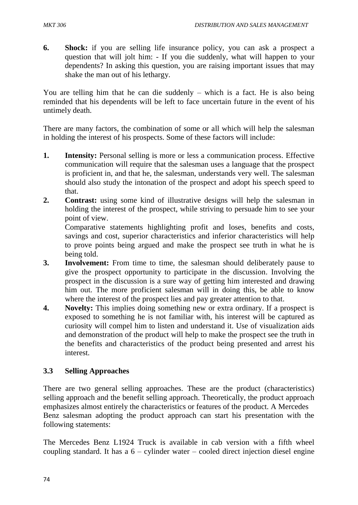**6. Shock:** if you are selling life insurance policy, you can ask a prospect a question that will jolt him: - If you die suddenly, what will happen to your dependents? In asking this question, you are raising important issues that may shake the man out of his lethargy.

You are telling him that he can die suddenly – which is a fact. He is also being reminded that his dependents will be left to face uncertain future in the event of his untimely death.

There are many factors, the combination of some or all which will help the salesman in holding the interest of his prospects. Some of these factors will include:

- **1. Intensity:** Personal selling is more or less a communication process. Effective communication will require that the salesman uses a language that the prospect is proficient in, and that he, the salesman, understands very well. The salesman should also study the intonation of the prospect and adopt his speech speed to that.
- **2. Contrast:** using some kind of illustrative designs will help the salesman in holding the interest of the prospect, while striving to persuade him to see your point of view.

Comparative statements highlighting profit and loses, benefits and costs, savings and cost, superior characteristics and inferior characteristics will help to prove points being argued and make the prospect see truth in what he is being told.

- **3. Involvement:** From time to time, the salesman should deliberately pause to give the prospect opportunity to participate in the discussion. Involving the prospect in the discussion is a sure way of getting him interested and drawing him out. The more proficient salesman will in doing this, be able to know where the interest of the prospect lies and pay greater attention to that.
- **4. Novelty:** This implies doing something new or extra ordinary. If a prospect is exposed to something he is not familiar with, his interest will be captured as curiosity will compel him to listen and understand it. Use of visualization aids and demonstration of the product will help to make the prospect see the truth in the benefits and characteristics of the product being presented and arrest his interest.

## **3.3 Selling Approaches**

There are two general selling approaches. These are the product (characteristics) selling approach and the benefit selling approach. Theoretically, the product approach emphasizes almost entirely the characteristics or features of the product. A Mercedes Benz salesman adopting the product approach can start his presentation with the following statements:

The Mercedes Benz L1924 Truck is available in cab version with a fifth wheel coupling standard. It has a  $6 -$  cylinder water – cooled direct injection diesel engine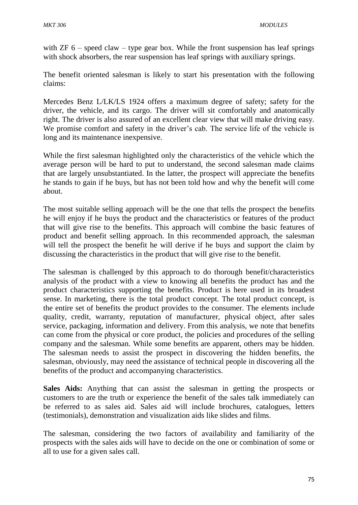with  $ZF 6$  – speed claw – type gear box. While the front suspension has leaf springs with shock absorbers, the rear suspension has leaf springs with auxiliary springs.

The benefit oriented salesman is likely to start his presentation with the following claims:

Mercedes Benz L/LK/LS 1924 offers a maximum degree of safety; safety for the driver, the vehicle, and its cargo. The driver will sit comfortably and anatomically right. The driver is also assured of an excellent clear view that will make driving easy. We promise comfort and safety in the driver's cab. The service life of the vehicle is long and its maintenance inexpensive.

While the first salesman highlighted only the characteristics of the vehicle which the average person will be hard to put to understand, the second salesman made claims that are largely unsubstantiated. In the latter, the prospect will appreciate the benefits he stands to gain if he buys, but has not been told how and why the benefit will come about.

The most suitable selling approach will be the one that tells the prospect the benefits he will enjoy if he buys the product and the characteristics or features of the product that will give rise to the benefits. This approach will combine the basic features of product and benefit selling approach. In this recommended approach, the salesman will tell the prospect the benefit he will derive if he buys and support the claim by discussing the characteristics in the product that will give rise to the benefit.

The salesman is challenged by this approach to do thorough benefit/characteristics analysis of the product with a view to knowing all benefits the product has and the product characteristics supporting the benefits. Product is here used in its broadest sense. In marketing, there is the total product concept. The total product concept, is the entire set of benefits the product provides to the consumer. The elements include quality, credit, warranty, reputation of manufacturer, physical object, after sales service, packaging, information and delivery. From this analysis, we note that benefits can come from the physical or core product, the policies and procedures of the selling company and the salesman. While some benefits are apparent, others may be hidden. The salesman needs to assist the prospect in discovering the hidden benefits, the salesman, obviously, may need the assistance of technical people in discovering all the benefits of the product and accompanying characteristics.

**Sales Aids:** Anything that can assist the salesman in getting the prospects or customers to are the truth or experience the benefit of the sales talk immediately can be referred to as sales aid. Sales aid will include brochures, catalogues, letters (testimonials), demonstration and visualization aids like slides and films.

The salesman, considering the two factors of availability and familiarity of the prospects with the sales aids will have to decide on the one or combination of some or all to use for a given sales call.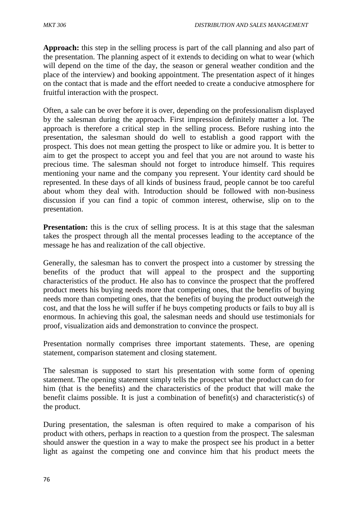**Approach:** this step in the selling process is part of the call planning and also part of the presentation. The planning aspect of it extends to deciding on what to wear (which will depend on the time of the day, the season or general weather condition and the place of the interview) and booking appointment. The presentation aspect of it hinges on the contact that is made and the effort needed to create a conducive atmosphere for fruitful interaction with the prospect.

Often, a sale can be over before it is over, depending on the professionalism displayed by the salesman during the approach. First impression definitely matter a lot. The approach is therefore a critical step in the selling process. Before rushing into the presentation, the salesman should do well to establish a good rapport with the prospect. This does not mean getting the prospect to like or admire you. It is better to aim to get the prospect to accept you and feel that you are not around to waste his precious time. The salesman should not forget to introduce himself. This requires mentioning your name and the company you represent. Your identity card should be represented. In these days of all kinds of business fraud, people cannot be too careful about whom they deal with. Introduction should be followed with non-business discussion if you can find a topic of common interest, otherwise, slip on to the presentation.

**Presentation:** this is the crux of selling process. It is at this stage that the salesman takes the prospect through all the mental processes leading to the acceptance of the message he has and realization of the call objective.

Generally, the salesman has to convert the prospect into a customer by stressing the benefits of the product that will appeal to the prospect and the supporting characteristics of the product. He also has to convince the prospect that the proffered product meets his buying needs more that competing ones, that the benefits of buying needs more than competing ones, that the benefits of buying the product outweigh the cost, and that the loss he will suffer if he buys competing products or fails to buy all is enormous. In achieving this goal, the salesman needs and should use testimonials for proof, visualization aids and demonstration to convince the prospect.

Presentation normally comprises three important statements. These, are opening statement, comparison statement and closing statement.

The salesman is supposed to start his presentation with some form of opening statement. The opening statement simply tells the prospect what the product can do for him (that is the benefits) and the characteristics of the product that will make the benefit claims possible. It is just a combination of benefit(s) and characteristic(s) of the product.

During presentation, the salesman is often required to make a comparison of his product with others, perhaps in reaction to a question from the prospect. The salesman should answer the question in a way to make the prospect see his product in a better light as against the competing one and convince him that his product meets the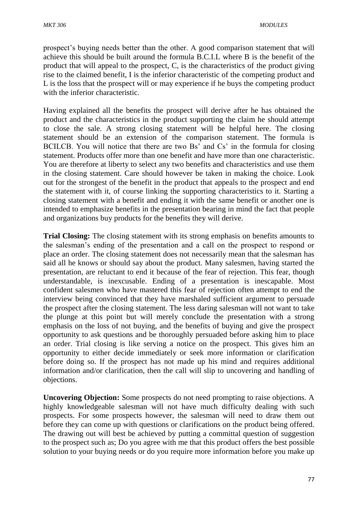prospect's buying needs better than the other. A good comparison statement that will achieve this should be built around the formula B.C.I.L where B is the benefit of the product that will appeal to the prospect, C, is the characteristics of the product giving rise to the claimed benefit, I is the inferior characteristic of the competing product and L is the loss that the prospect will or may experience if he buys the competing product with the inferior characteristic.

Having explained all the benefits the prospect will derive after he has obtained the product and the characteristics in the product supporting the claim he should attempt to close the sale. A strong closing statement will be helpful here. The closing statement should be an extension of the comparison statement. The formula is BCILCB. You will notice that there are two Bs' and Cs' in the formula for closing statement. Products offer more than one benefit and have more than one characteristic. You are therefore at liberty to select any two benefits and characteristics and use them in the closing statement. Care should however be taken in making the choice. Look out for the strongest of the benefit in the product that appeals to the prospect and end the statement with it, of course linking the supporting characteristics to it. Starting a closing statement with a benefit and ending it with the same benefit or another one is intended to emphasize benefits in the presentation bearing in mind the fact that people and organizations buy products for the benefits they will derive.

**Trial Closing:** The closing statement with its strong emphasis on benefits amounts to the salesman's ending of the presentation and a call on the prospect to respond or place an order. The closing statement does not necessarily mean that the salesman has said all he knows or should say about the product. Many salesmen, having started the presentation, are reluctant to end it because of the fear of rejection. This fear, though understandable, is inexcusable. Ending of a presentation is inescapable. Most confident salesmen who have mastered this fear of rejection often attempt to end the interview being convinced that they have marshaled sufficient argument to persuade the prospect after the closing statement. The less daring salesman will not want to take the plunge at this point but will merely conclude the presentation with a strong emphasis on the loss of not buying, and the benefits of buying and give the prospect opportunity to ask questions and be thoroughly persuaded before asking him to place an order. Trial closing is like serving a notice on the prospect. This gives him an opportunity to either decide immediately or seek more information or clarification before doing so. If the prospect has not made up his mind and requires additional information and/or clarification, then the call will slip to uncovering and handling of objections.

**Uncovering Objection:** Some prospects do not need prompting to raise objections. A highly knowledgeable salesman will not have much difficulty dealing with such prospects. For some prospects however, the salesman will need to draw them out before they can come up with questions or clarifications on the product being offered. The drawing out will best be achieved by putting a committal question of suggestion to the prospect such as; Do you agree with me that this product offers the best possible solution to your buying needs or do you require more information before you make up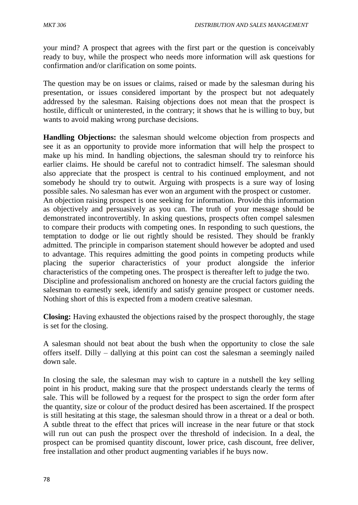your mind? A prospect that agrees with the first part or the question is conceivably ready to buy, while the prospect who needs more information will ask questions for confirmation and/or clarification on some points.

The question may be on issues or claims, raised or made by the salesman during his presentation, or issues considered important by the prospect but not adequately addressed by the salesman. Raising objections does not mean that the prospect is hostile, difficult or uninterested, in the contrary; it shows that he is willing to buy, but wants to avoid making wrong purchase decisions.

**Handling Objections:** the salesman should welcome objection from prospects and see it as an opportunity to provide more information that will help the prospect to make up his mind. In handling objections, the salesman should try to reinforce his earlier claims. He should be careful not to contradict himself. The salesman should also appreciate that the prospect is central to his continued employment, and not somebody he should try to outwit. Arguing with prospects is a sure way of losing possible sales. No salesman has ever won an argument with the prospect or customer. An objection raising prospect is one seeking for information. Provide this information as objectively and persuasively as you can. The truth of your message should be demonstrated incontrovertibly. In asking questions, prospects often compel salesmen to compare their products with competing ones. In responding to such questions, the temptation to dodge or lie out rightly should be resisted. They should be frankly admitted. The principle in comparison statement should however be adopted and used to advantage. This requires admitting the good points in competing products while placing the superior characteristics of your product alongside the inferior characteristics of the competing ones. The prospect is thereafter left to judge the two. Discipline and professionalism anchored on honesty are the crucial factors guiding the salesman to earnestly seek, identify and satisfy genuine prospect or customer needs. Nothing short of this is expected from a modern creative salesman.

**Closing:** Having exhausted the objections raised by the prospect thoroughly, the stage is set for the closing.

A salesman should not beat about the bush when the opportunity to close the sale offers itself. Dilly – dallying at this point can cost the salesman a seemingly nailed down sale.

In closing the sale, the salesman may wish to capture in a nutshell the key selling point in his product, making sure that the prospect understands clearly the terms of sale. This will be followed by a request for the prospect to sign the order form after the quantity, size or colour of the product desired has been ascertained. If the prospect is still hesitating at this stage, the salesman should throw in a threat or a deal or both. A subtle threat to the effect that prices will increase in the near future or that stock will run out can push the prospect over the threshold of indecision. In a deal, the prospect can be promised quantity discount, lower price, cash discount, free deliver, free installation and other product augmenting variables if he buys now.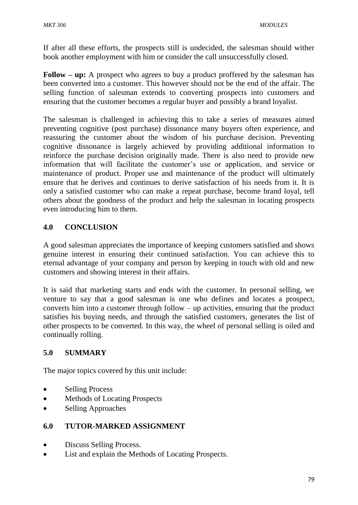If after all these efforts, the prospects still is undecided, the salesman should wither book another employment with him or consider the call unsuccessfully closed.

**Follow – up:** A prospect who agrees to buy a product proffered by the salesman has been converted into a customer. This however should not be the end of the affair. The selling function of salesman extends to converting prospects into customers and ensuring that the customer becomes a regular buyer and possibly a brand loyalist.

The salesman is challenged in achieving this to take a series of measures aimed preventing cognitive (post purchase) dissonance many buyers often experience, and reassuring the customer about the wisdom of his purchase decision. Preventing cognitive dissonance is largely achieved by providing additional information to reinforce the purchase decision originally made. There is also need to provide new information that will facilitate the customer's use or application, and service or maintenance of product. Proper use and maintenance of the product will ultimately ensure that he derives and continues to derive satisfaction of his needs from it. It is only a satisfied customer who can make a repeat purchase, become brand loyal, tell others about the goodness of the product and help the salesman in locating prospects even introducing him to them.

# **4.0 CONCLUSION**

A good salesman appreciates the importance of keeping customers satisfied and shows genuine interest in ensuring their continued satisfaction. You can achieve this to eternal advantage of your company and person by keeping in touch with old and new customers and showing interest in their affairs.

It is said that marketing starts and ends with the customer. In personal selling, we venture to say that a good salesman is one who defines and locates a prospect, converts him into a customer through follow – up activities, ensuring that the product satisfies his buying needs, and through the satisfied customers, generates the list of other prospects to be converted. In this way, the wheel of personal selling is oiled and continually rolling.

## **5.0 SUMMARY**

The major topics covered by this unit include:

- Selling Process
- Methods of Locating Prospects
- Selling Approaches

# **6.0 TUTOR-MARKED ASSIGNMENT**

- Discuss Selling Process.
- List and explain the Methods of Locating Prospects.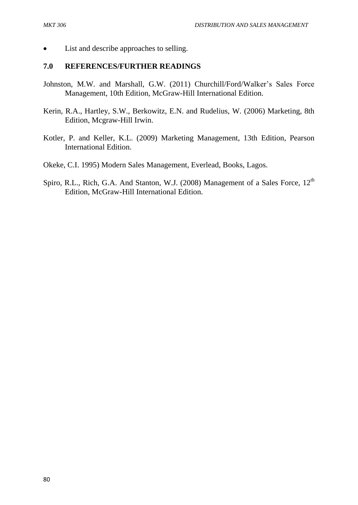• List and describe approaches to selling.

#### **7.0 REFERENCES/FURTHER READINGS**

- Johnston, M.W. and Marshall, G.W. (2011) Churchill/Ford/Walker's Sales Force Management, 10th Edition, McGraw-Hill International Edition.
- Kerin, R.A., Hartley, S.W., Berkowitz, E.N. and Rudelius, W. (2006) Marketing, 8th Edition, Mcgraw-Hill Irwin.
- Kotler, P. and Keller, K.L. (2009) Marketing Management, 13th Edition, Pearson International Edition.
- Okeke, C.I. 1995) Modern Sales Management, Everlead, Books, Lagos.
- Spiro, R.L., Rich, G.A. And Stanton, W.J. (2008) Management of a Sales Force,  $12<sup>th</sup>$ Edition, McGraw-Hill International Edition.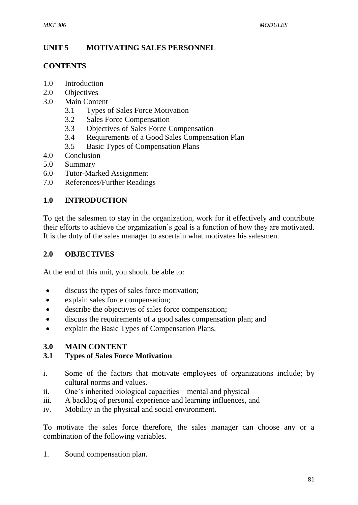# **UNIT 5 MOTIVATING SALES PERSONNEL**

### **CONTENTS**

- 1.0 Introduction
- 2.0 Objectives
- 3.0 Main Content
	- 3.1 Types of Sales Force Motivation
	- 3.2 Sales Force Compensation
	- 3.3 Objectives of Sales Force Compensation
	- 3.4 Requirements of a Good Sales Compensation Plan
	- 3.5 Basic Types of Compensation Plans
- 4.0 Conclusion
- 5.0 Summary
- 6.0 Tutor-Marked Assignment
- 7.0 References/Further Readings

## **1.0 INTRODUCTION**

To get the salesmen to stay in the organization, work for it effectively and contribute their efforts to achieve the organization's goal is a function of how they are motivated. It is the duty of the sales manager to ascertain what motivates his salesmen.

## **2.0 OBJECTIVES**

At the end of this unit, you should be able to:

- discuss the types of sales force motivation;
- explain sales force compensation;
- describe the objectives of sales force compensation;
- discuss the requirements of a good sales compensation plan; and
- explain the Basic Types of Compensation Plans.

#### **3.0 MAIN CONTENT**

#### **3.1 Types of Sales Force Motivation**

- i. Some of the factors that motivate employees of organizations include; by cultural norms and values.
- ii. One's inherited biological capacities mental and physical
- iii. A backlog of personal experience and learning influences, and
- iv. Mobility in the physical and social environment.

To motivate the sales force therefore, the sales manager can choose any or a combination of the following variables.

1. Sound compensation plan.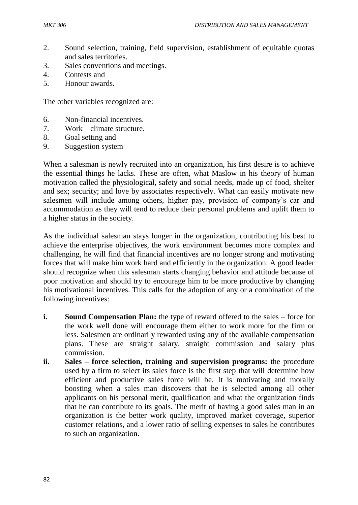- 2. Sound selection, training, field supervision, establishment of equitable quotas and sales territories.
- 3. Sales conventions and meetings.
- 4. Contests and
- 5. Honour awards.

The other variables recognized are:

- 6. Non-financial incentives.
- 7. Work climate structure.
- 8. Goal setting and
- 9. Suggestion system

When a salesman is newly recruited into an organization, his first desire is to achieve the essential things he lacks. These are often, what Maslow in his theory of human motivation called the physiological, safety and social needs, made up of food, shelter and sex; security; and love by associates respectively. What can easily motivate new salesmen will include among others, higher pay, provision of company's car and accommodation as they will tend to reduce their personal problems and uplift them to a higher status in the society.

As the individual salesman stays longer in the organization, contributing his best to achieve the enterprise objectives, the work environment becomes more complex and challenging, he will find that financial incentives are no longer strong and motivating forces that will make him work hard and efficiently in the organization. A good leader should recognize when this salesman starts changing behavior and attitude because of poor motivation and should try to encourage him to be more productive by changing his motivational incentives. This calls for the adoption of any or a combination of the following incentives:

- **i. Sound Compensation Plan:** the type of reward offered to the sales force for the work well done will encourage them either to work more for the firm or less. Salesmen are ordinarily rewarded using any of the available compensation plans. These are straight salary, straight commission and salary plus commission.
- **ii. Sales – force selection, training and supervision programs:** the procedure used by a firm to select its sales force is the first step that will determine how efficient and productive sales force will be. It is motivating and morally boosting when a sales man discovers that he is selected among all other applicants on his personal merit, qualification and what the organization finds that he can contribute to its goals. The merit of having a good sales man in an organization is the better work quality, improved market coverage, superior customer relations, and a lower ratio of selling expenses to sales he contributes to such an organization.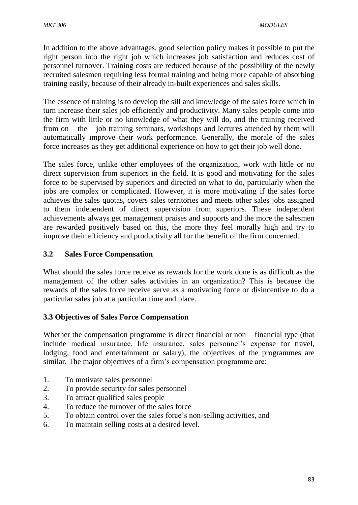In addition to the above advantages, good selection policy makes it possible to put the right person into the right job which increases job satisfaction and reduces cost of personnel turnover. Training costs are reduced because of the possibility of the newly recruited salesmen requiring less formal training and being more capable of absorbing training easily, because of their already in-built experiences and sales skills.

The essence of training is to develop the sill and knowledge of the sales force which in turn increase their sales job efficiently and productivity. Many sales people come into the firm with little or no knowledge of what they will do, and the training received from on – the – job training seminars, workshops and lectures attended by them will automatically improve their work performance. Generally, the morale of the sales force increases as they get additional experience on how to get their job well done.

The sales force, unlike other employees of the organization, work with little or no direct supervision from superiors in the field. It is good and motivating for the sales force to be supervised by superiors and directed on what to do, particularly when the jobs are complex or complicated. However, it is more motivating if the sales force achieves the sales quotas, covers sales territories and meets other sales jobs assigned to them independent of direct supervision from superiors. These independent achievements always get management praises and supports and the more the salesmen are rewarded positively based on this, the more they feel morally high and try to improve their efficiency and productivity all for the benefit of the firm concerned.

# **3.2 Sales Force Compensation**

What should the sales force receive as rewards for the work done is as difficult as the management of the other sales activities in an organization? This is because the rewards of the sales force receive serve as a motivating force or disincentive to do a particular sales job at a particular time and place.

## **3.3 Objectives of Sales Force Compensation**

Whether the compensation programme is direct financial or non – financial type (that include medical insurance, life insurance, sales personnel's expense for travel, lodging, food and entertainment or salary), the objectives of the programmes are similar. The major objectives of a firm's compensation programme are:

- 1. To motivate sales personnel
- 2. To provide security for sales personnel
- 3. To attract qualified sales people
- 4. To reduce the turnover of the sales force
- 5. To obtain control over the sales force's non-selling activities, and
- 6. To maintain selling costs at a desired level.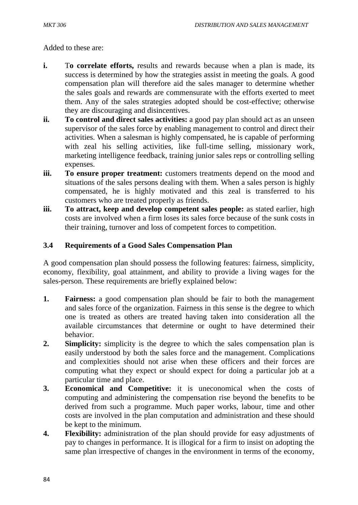Added to these are:

- **i.** To correlate efforts, results and rewards because when a plan is made, its success is determined by how the strategies assist in meeting the goals. A good compensation plan will therefore aid the sales manager to determine whether the sales goals and rewards are commensurate with the efforts exerted to meet them. Any of the sales strategies adopted should be cost-effective; otherwise they are discouraging and disincentives.
- **ii. To control and direct sales activities:** a good pay plan should act as an unseen supervisor of the sales force by enabling management to control and direct their activities. When a salesman is highly compensated, he is capable of performing with zeal his selling activities, like full-time selling, missionary work, marketing intelligence feedback, training junior sales reps or controlling selling expenses.
- **iii. To ensure proper treatment:** customers treatments depend on the mood and situations of the sales persons dealing with them. When a sales person is highly compensated, he is highly motivated and this zeal is transferred to his customers who are treated properly as friends.
- **iii. To attract, keep and develop competent sales people:** as stated earlier, high costs are involved when a firm loses its sales force because of the sunk costs in their training, turnover and loss of competent forces to competition.

#### **3.4 Requirements of a Good Sales Compensation Plan**

A good compensation plan should possess the following features: fairness, simplicity, economy, flexibility, goal attainment, and ability to provide a living wages for the sales-person. These requirements are briefly explained below:

- **1. Fairness:** a good compensation plan should be fair to both the management and sales force of the organization. Fairness in this sense is the degree to which one is treated as others are treated having taken into consideration all the available circumstances that determine or ought to have determined their behavior.
- **2.** Simplicity: simplicity is the degree to which the sales compensation plan is easily understood by both the sales force and the management. Complications and complexities should not arise when these officers and their forces are computing what they expect or should expect for doing a particular job at a particular time and place.
- **3. Economical and Competitive:** it is uneconomical when the costs of computing and administering the compensation rise beyond the benefits to be derived from such a programme. Much paper works, labour, time and other costs are involved in the plan computation and administration and these should be kept to the minimum.
- **4. Flexibility:** administration of the plan should provide for easy adjustments of pay to changes in performance. It is illogical for a firm to insist on adopting the same plan irrespective of changes in the environment in terms of the economy,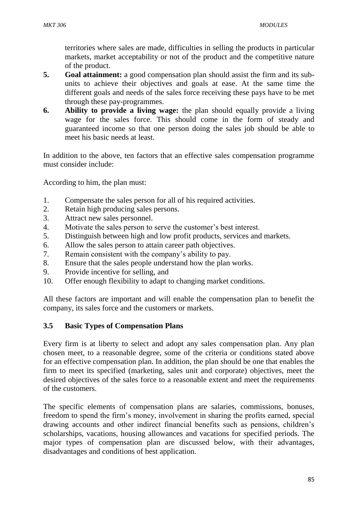territories where sales are made, difficulties in selling the products in particular markets, market acceptability or not of the product and the competitive nature of the product.

- **5. Goal attainment:** a good compensation plan should assist the firm and its subunits to achieve their objectives and goals at ease. At the same time the different goals and needs of the sales force receiving these pays have to be met through these pay-programmes.
- **6. Ability to provide a living wage:** the plan should equally provide a living wage for the sales force. This should come in the form of steady and guaranteed income so that one person doing the sales job should be able to meet his basic needs at least.

In addition to the above, ten factors that an effective sales compensation programme must consider include:

According to him, the plan must:

- 1. Compensate the sales person for all of his required activities.
- 2. Retain high producing sales persons.
- 3. Attract new sales personnel.
- 4. Motivate the sales person to serve the customer's best interest.
- 5. Distinguish between high and low profit products, services and markets.
- 6. Allow the sales person to attain career path objectives.
- 7. Remain consistent with the company's ability to pay.
- 8. Ensure that the sales people understand how the plan works.
- 9. Provide incentive for selling, and
- 10. Offer enough flexibility to adapt to changing market conditions.

All these factors are important and will enable the compensation plan to benefit the company, its sales force and the customers or markets.

#### **3.5 Basic Types of Compensation Plans**

Every firm is at liberty to select and adopt any sales compensation plan. Any plan chosen meet, to a reasonable degree, some of the criteria or conditions stated above for an effective compensation plan. In addition, the plan should be one that enables the firm to meet its specified (marketing, sales unit and corporate) objectives, meet the desired objectives of the sales force to a reasonable extent and meet the requirements of the customers.

The specific elements of compensation plans are salaries, commissions, bonuses, freedom to spend the firm's money, involvement in sharing the profits earned, special drawing accounts and other indirect financial benefits such as pensions, children's scholarships, vacations, housing allowances and vacations for specified periods. The major types of compensation plan are discussed below, with their advantages, disadvantages and conditions of best application.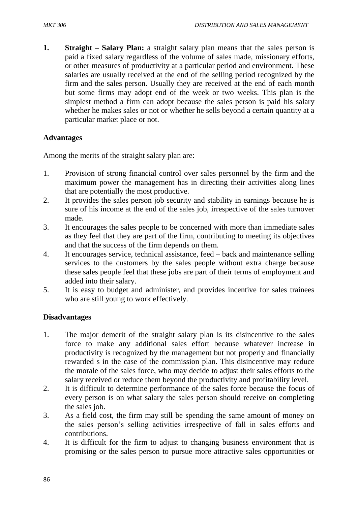**1. Straight – Salary Plan:** a straight salary plan means that the sales person is paid a fixed salary regardless of the volume of sales made, missionary efforts, or other measures of productivity at a particular period and environment. These salaries are usually received at the end of the selling period recognized by the firm and the sales person. Usually they are received at the end of each month but some firms may adopt end of the week or two weeks. This plan is the simplest method a firm can adopt because the sales person is paid his salary whether he makes sales or not or whether he sells beyond a certain quantity at a particular market place or not.

#### **Advantages**

Among the merits of the straight salary plan are:

- 1. Provision of strong financial control over sales personnel by the firm and the maximum power the management has in directing their activities along lines that are potentially the most productive.
- 2. It provides the sales person job security and stability in earnings because he is sure of his income at the end of the sales job, irrespective of the sales turnover made.
- 3. It encourages the sales people to be concerned with more than immediate sales as they feel that they are part of the firm, contributing to meeting its objectives and that the success of the firm depends on them.
- 4. It encourages service, technical assistance, feed back and maintenance selling services to the customers by the sales people without extra charge because these sales people feel that these jobs are part of their terms of employment and added into their salary.
- 5. It is easy to budget and administer, and provides incentive for sales trainees who are still young to work effectively.

#### **Disadvantages**

- 1. The major demerit of the straight salary plan is its disincentive to the sales force to make any additional sales effort because whatever increase in productivity is recognized by the management but not properly and financially rewarded s in the case of the commission plan. This disincentive may reduce the morale of the sales force, who may decide to adjust their sales efforts to the salary received or reduce them beyond the productivity and profitability level.
- 2. It is difficult to determine performance of the sales force because the focus of every person is on what salary the sales person should receive on completing the sales job.
- 3. As a field cost, the firm may still be spending the same amount of money on the sales person's selling activities irrespective of fall in sales efforts and contributions.
- 4. It is difficult for the firm to adjust to changing business environment that is promising or the sales person to pursue more attractive sales opportunities or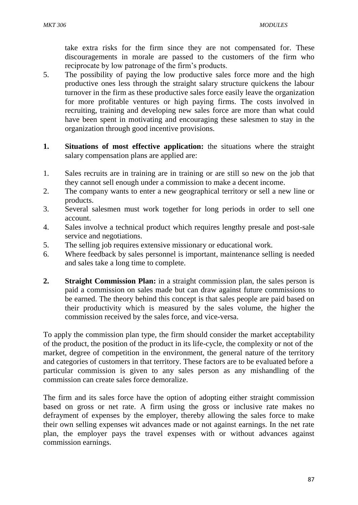take extra risks for the firm since they are not compensated for. These discouragements in morale are passed to the customers of the firm who reciprocate by low patronage of the firm's products.

- 5. The possibility of paying the low productive sales force more and the high productive ones less through the straight salary structure quickens the labour turnover in the firm as these productive sales force easily leave the organization for more profitable ventures or high paying firms. The costs involved in recruiting, training and developing new sales force are more than what could have been spent in motivating and encouraging these salesmen to stay in the organization through good incentive provisions.
- **1. Situations of most effective application:** the situations where the straight salary compensation plans are applied are:
- 1. Sales recruits are in training are in training or are still so new on the job that they cannot sell enough under a commission to make a decent income.
- 2. The company wants to enter a new geographical territory or sell a new line or products.
- 3. Several salesmen must work together for long periods in order to sell one account.
- 4. Sales involve a technical product which requires lengthy presale and post-sale service and negotiations.
- 5. The selling job requires extensive missionary or educational work.
- 6. Where feedback by sales personnel is important, maintenance selling is needed and sales take a long time to complete.
- **2. Straight Commission Plan:** in a straight commission plan, the sales person is paid a commission on sales made but can draw against future commissions to be earned. The theory behind this concept is that sales people are paid based on their productivity which is measured by the sales volume, the higher the commission received by the sales force, and vice-versa.

To apply the commission plan type, the firm should consider the market acceptability of the product, the position of the product in its life-cycle, the complexity or not of the market, degree of competition in the environment, the general nature of the territory and categories of customers in that territory. These factors are to be evaluated before a particular commission is given to any sales person as any mishandling of the commission can create sales force demoralize.

The firm and its sales force have the option of adopting either straight commission based on gross or net rate. A firm using the gross or inclusive rate makes no defrayment of expenses by the employer, thereby allowing the sales force to make their own selling expenses wit advances made or not against earnings. In the net rate plan, the employer pays the travel expenses with or without advances against commission earnings.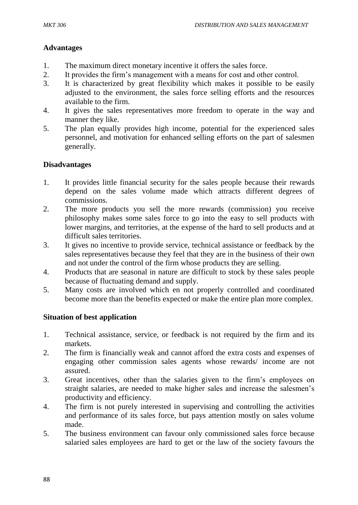## **Advantages**

- 1. The maximum direct monetary incentive it offers the sales force.
- 2. It provides the firm's management with a means for cost and other control.
- 3. It is characterized by great flexibility which makes it possible to be easily adjusted to the environment, the sales force selling efforts and the resources available to the firm.
- 4. It gives the sales representatives more freedom to operate in the way and manner they like.
- 5. The plan equally provides high income, potential for the experienced sales personnel, and motivation for enhanced selling efforts on the part of salesmen generally.

## **Disadvantages**

- 1. It provides little financial security for the sales people because their rewards depend on the sales volume made which attracts different degrees of commissions.
- 2. The more products you sell the more rewards (commission) you receive philosophy makes some sales force to go into the easy to sell products with lower margins, and territories, at the expense of the hard to sell products and at difficult sales territories.
- 3. It gives no incentive to provide service, technical assistance or feedback by the sales representatives because they feel that they are in the business of their own and not under the control of the firm whose products they are selling.
- 4. Products that are seasonal in nature are difficult to stock by these sales people because of fluctuating demand and supply.
- 5. Many costs are involved which en not properly controlled and coordinated become more than the benefits expected or make the entire plan more complex.

## **Situation of best application**

- 1. Technical assistance, service, or feedback is not required by the firm and its markets.
- 2. The firm is financially weak and cannot afford the extra costs and expenses of engaging other commission sales agents whose rewards/ income are not assured.
- 3. Great incentives, other than the salaries given to the firm's employees on straight salaries, are needed to make higher sales and increase the salesmen's productivity and efficiency.
- 4. The firm is not purely interested in supervising and controlling the activities and performance of its sales force, but pays attention mostly on sales volume made.
- 5. The business environment can favour only commissioned sales force because salaried sales employees are hard to get or the law of the society favours the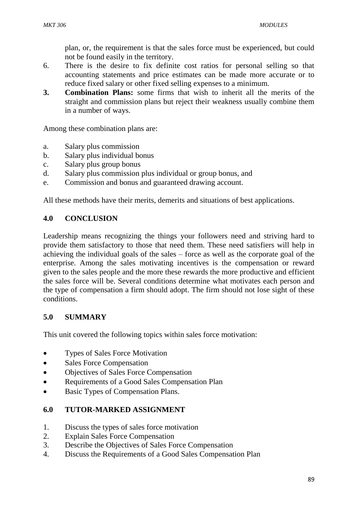plan, or, the requirement is that the sales force must be experienced, but could not be found easily in the territory.

- 6. There is the desire to fix definite cost ratios for personal selling so that accounting statements and price estimates can be made more accurate or to reduce fixed salary or other fixed selling expenses to a minimum.
- **3. Combination Plans:** some firms that wish to inherit all the merits of the straight and commission plans but reject their weakness usually combine them in a number of ways.

Among these combination plans are:

- a. Salary plus commission
- b. Salary plus individual bonus
- c. Salary plus group bonus
- d. Salary plus commission plus individual or group bonus, and
- e. Commission and bonus and guaranteed drawing account.

All these methods have their merits, demerits and situations of best applications.

### **4.0 CONCLUSION**

Leadership means recognizing the things your followers need and striving hard to provide them satisfactory to those that need them. These need satisfiers will help in achieving the individual goals of the sales – force as well as the corporate goal of the enterprise. Among the sales motivating incentives is the compensation or reward given to the sales people and the more these rewards the more productive and efficient the sales force will be. Several conditions determine what motivates each person and the type of compensation a firm should adopt. The firm should not lose sight of these conditions.

## **5.0 SUMMARY**

This unit covered the following topics within sales force motivation:

- Types of Sales Force Motivation
- Sales Force Compensation
- Objectives of Sales Force Compensation
- Requirements of a Good Sales Compensation Plan
- Basic Types of Compensation Plans.

## **6.0 TUTOR-MARKED ASSIGNMENT**

- 1. Discuss the types of sales force motivation
- 2. Explain Sales Force Compensation
- 3. Describe the Objectives of Sales Force Compensation
- 4. Discuss the Requirements of a Good Sales Compensation Plan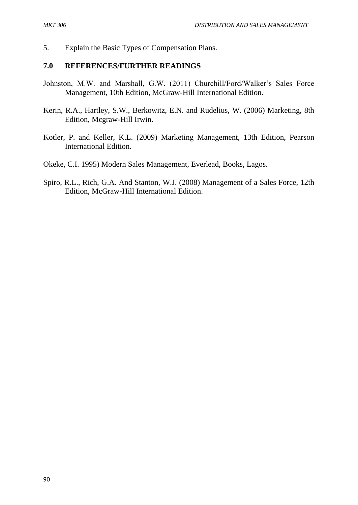5. Explain the Basic Types of Compensation Plans.

#### **7.0 REFERENCES/FURTHER READINGS**

- Johnston, M.W. and Marshall, G.W. (2011) Churchill/Ford/Walker's Sales Force Management, 10th Edition, McGraw-Hill International Edition.
- Kerin, R.A., Hartley, S.W., Berkowitz, E.N. and Rudelius, W. (2006) Marketing, 8th Edition, Mcgraw-Hill Irwin.
- Kotler, P. and Keller, K.L. (2009) Marketing Management, 13th Edition, Pearson International Edition.
- Okeke, C.I. 1995) Modern Sales Management, Everlead, Books, Lagos.
- Spiro, R.L., Rich, G.A. And Stanton, W.J. (2008) Management of a Sales Force, 12th Edition, McGraw-Hill International Edition.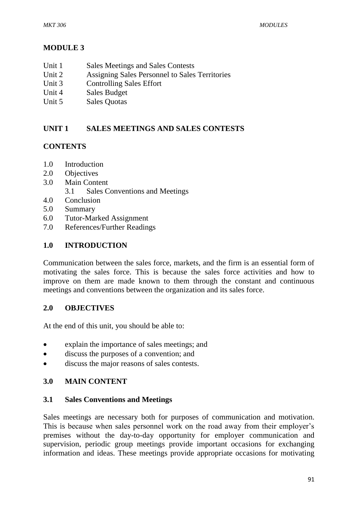## **MODULE 3**

- Unit 1 Sales Meetings and Sales Contests
- Unit 2 Assigning Sales Personnel to Sales Territories
- Unit 3 Controlling Sales Effort
- Unit 4 Sales Budget
- Unit 5 Sales Quotas

## **UNIT 1 SALES MEETINGS AND SALES CONTESTS**

#### **CONTENTS**

- 1.0 Introduction
- 2.0 Objectives
- 3.0 Main Content
	- 3.1 Sales Conventions and Meetings
- 4.0 Conclusion
- 5.0 Summary
- 6.0 Tutor-Marked Assignment
- 7.0 References/Further Readings

#### **1.0 INTRODUCTION**

Communication between the sales force, markets, and the firm is an essential form of motivating the sales force. This is because the sales force activities and how to improve on them are made known to them through the constant and continuous meetings and conventions between the organization and its sales force.

#### **2.0 OBJECTIVES**

At the end of this unit, you should be able to:

- explain the importance of sales meetings; and
- discuss the purposes of a convention; and
- discuss the major reasons of sales contests.

#### **3.0 MAIN CONTENT**

#### **3.1 Sales Conventions and Meetings**

Sales meetings are necessary both for purposes of communication and motivation. This is because when sales personnel work on the road away from their employer's premises without the day-to-day opportunity for employer communication and supervision, periodic group meetings provide important occasions for exchanging information and ideas. These meetings provide appropriate occasions for motivating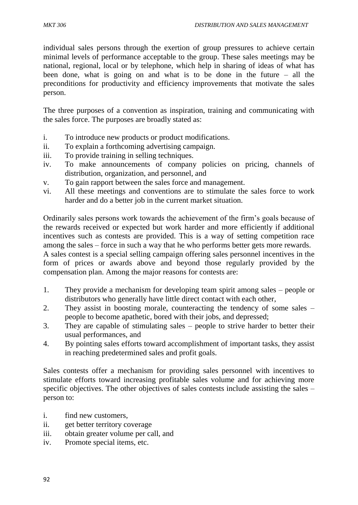individual sales persons through the exertion of group pressures to achieve certain minimal levels of performance acceptable to the group. These sales meetings may be national, regional, local or by telephone, which help in sharing of ideas of what has been done, what is going on and what is to be done in the future – all the preconditions for productivity and efficiency improvements that motivate the sales person.

The three purposes of a convention as inspiration, training and communicating with the sales force. The purposes are broadly stated as:

- i. To introduce new products or product modifications.
- ii. To explain a forthcoming advertising campaign.
- iii. To provide training in selling techniques.
- iv. To make announcements of company policies on pricing, channels of distribution, organization, and personnel, and
- v. To gain rapport between the sales force and management.
- vi. All these meetings and conventions are to stimulate the sales force to work harder and do a better job in the current market situation.

Ordinarily sales persons work towards the achievement of the firm's goals because of the rewards received or expected but work harder and more efficiently if additional incentives such as contests are provided. This is a way of setting competition race among the sales – force in such a way that he who performs better gets more rewards. A sales contest is a special selling campaign offering sales personnel incentives in the

form of prices or awards above and beyond those regularly provided by the compensation plan. Among the major reasons for contests are:

- 1. They provide a mechanism for developing team spirit among sales people or distributors who generally have little direct contact with each other,
- 2. They assist in boosting morale, counteracting the tendency of some sales people to become apathetic, bored with their jobs, and depressed;
- 3. They are capable of stimulating sales people to strive harder to better their usual performances, and
- 4. By pointing sales efforts toward accomplishment of important tasks, they assist in reaching predetermined sales and profit goals.

Sales contests offer a mechanism for providing sales personnel with incentives to stimulate efforts toward increasing profitable sales volume and for achieving more specific objectives. The other objectives of sales contests include assisting the sales – person to:

- i. find new customers,
- ii. get better territory coverage
- iii. obtain greater volume per call, and
- iv. Promote special items, etc.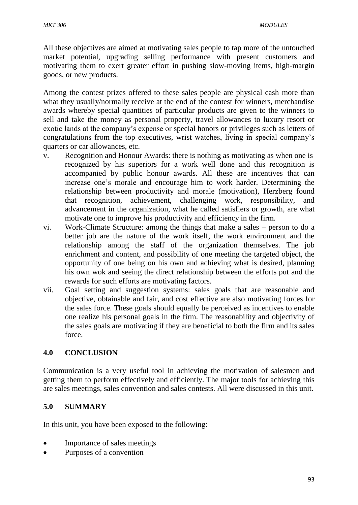All these objectives are aimed at motivating sales people to tap more of the untouched market potential, upgrading selling performance with present customers and motivating them to exert greater effort in pushing slow-moving items, high-margin goods, or new products.

Among the contest prizes offered to these sales people are physical cash more than what they usually/normally receive at the end of the contest for winners, merchandise awards whereby special quantities of particular products are given to the winners to sell and take the money as personal property, travel allowances to luxury resort or exotic lands at the company's expense or special honors or privileges such as letters of congratulations from the top executives, wrist watches, living in special company's quarters or car allowances, etc.

- v. Recognition and Honour Awards: there is nothing as motivating as when one is recognized by his superiors for a work well done and this recognition is accompanied by public honour awards. All these are incentives that can increase one's morale and encourage him to work harder. Determining the relationship between productivity and morale (motivation), Herzberg found that recognition, achievement, challenging work, responsibility, and advancement in the organization, what he called satisfiers or growth, are what motivate one to improve his productivity and efficiency in the firm.
- vi. Work-Climate Structure: among the things that make a sales person to do a better job are the nature of the work itself, the work environment and the relationship among the staff of the organization themselves. The job enrichment and content, and possibility of one meeting the targeted object, the opportunity of one being on his own and achieving what is desired, planning his own wok and seeing the direct relationship between the efforts put and the rewards for such efforts are motivating factors.
- vii. Goal setting and suggestion systems: sales goals that are reasonable and objective, obtainable and fair, and cost effective are also motivating forces for the sales force. These goals should equally be perceived as incentives to enable one realize his personal goals in the firm. The reasonability and objectivity of the sales goals are motivating if they are beneficial to both the firm and its sales force.

#### **4.0 CONCLUSION**

Communication is a very useful tool in achieving the motivation of salesmen and getting them to perform effectively and efficiently. The major tools for achieving this are sales meetings, sales convention and sales contests. All were discussed in this unit.

## **5.0 SUMMARY**

In this unit, you have been exposed to the following:

- Importance of sales meetings
- Purposes of a convention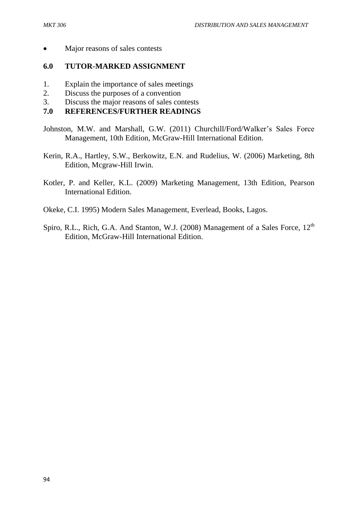• Major reasons of sales contests

#### **6.0 TUTOR-MARKED ASSIGNMENT**

- 1. Explain the importance of sales meetings
- 2. Discuss the purposes of a convention
- 3. Discuss the major reasons of sales contests

### **7.0 REFERENCES/FURTHER READINGS**

- Johnston, M.W. and Marshall, G.W. (2011) Churchill/Ford/Walker's Sales Force Management, 10th Edition, McGraw-Hill International Edition.
- Kerin, R.A., Hartley, S.W., Berkowitz, E.N. and Rudelius, W. (2006) Marketing, 8th Edition, Mcgraw-Hill Irwin.
- Kotler, P. and Keller, K.L. (2009) Marketing Management, 13th Edition, Pearson International Edition.
- Okeke, C.I. 1995) Modern Sales Management, Everlead, Books, Lagos.
- Spiro, R.L., Rich, G.A. And Stanton, W.J. (2008) Management of a Sales Force, 12<sup>th</sup> Edition, McGraw-Hill International Edition.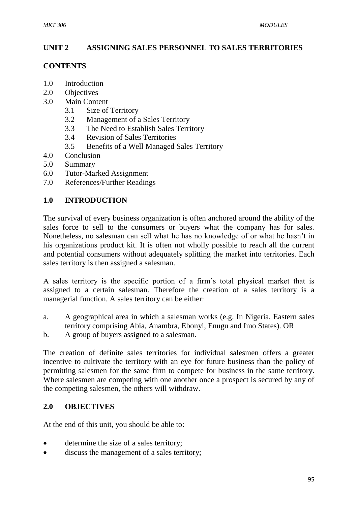## **UNIT 2 ASSIGNING SALES PERSONNEL TO SALES TERRITORIES**

#### **CONTENTS**

- 1.0 Introduction
- 2.0 Objectives
- 3.0 Main Content
	- 3.1 Size of Territory
	- 3.2 Management of a Sales Territory
	- 3.3 The Need to Establish Sales Territory
	- 3.4 Revision of Sales Territories
	- 3.5 Benefits of a Well Managed Sales Territory
- 4.0 Conclusion
- 5.0 Summary
- 6.0 Tutor-Marked Assignment
- 7.0 References/Further Readings

### **1.0 INTRODUCTION**

The survival of every business organization is often anchored around the ability of the sales force to sell to the consumers or buyers what the company has for sales. Nonetheless, no salesman can sell what he has no knowledge of or what he hasn't in his organizations product kit. It is often not wholly possible to reach all the current and potential consumers without adequately splitting the market into territories. Each sales territory is then assigned a salesman.

A sales territory is the specific portion of a firm's total physical market that is assigned to a certain salesman. Therefore the creation of a sales territory is a managerial function. A sales territory can be either:

- a. A geographical area in which a salesman works (e.g. In Nigeria, Eastern sales territory comprising Abia, Anambra, Ebonyi, Enugu and Imo States). OR
- b. A group of buyers assigned to a salesman.

The creation of definite sales territories for individual salesmen offers a greater incentive to cultivate the territory with an eye for future business than the policy of permitting salesmen for the same firm to compete for business in the same territory. Where salesmen are competing with one another once a prospect is secured by any of the competing salesmen, the others will withdraw.

#### **2.0 OBJECTIVES**

At the end of this unit, you should be able to:

- determine the size of a sales territory;
- discuss the management of a sales territory;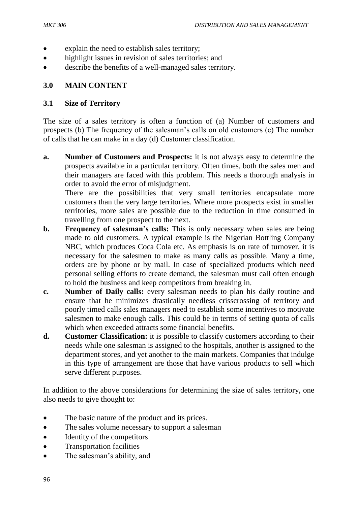- explain the need to establish sales territory;
- highlight issues in revision of sales territories; and
- describe the benefits of a well-managed sales territory.

## **3.0 MAIN CONTENT**

### **3.1 Size of Territory**

The size of a sales territory is often a function of (a) Number of customers and prospects (b) The frequency of the salesman's calls on old customers (c) The number of calls that he can make in a day (d) Customer classification.

**a. Number of Customers and Prospects:** it is not always easy to determine the prospects available in a particular territory. Often times, both the sales men and their managers are faced with this problem. This needs a thorough analysis in order to avoid the error of misjudgment.

There are the possibilities that very small territories encapsulate more customers than the very large territories. Where more prospects exist in smaller territories, more sales are possible due to the reduction in time consumed in travelling from one prospect to the next.

- **b.** Frequency of salesman's calls: This is only necessary when sales are being made to old customers. A typical example is the Nigerian Bottling Company NBC, which produces Coca Cola etc. As emphasis is on rate of turnover, it is necessary for the salesmen to make as many calls as possible. Many a time, orders are by phone or by mail. In case of specialized products which need personal selling efforts to create demand, the salesman must call often enough to hold the business and keep competitors from breaking in.
- **c. Number of Daily calls:** every salesman needs to plan his daily routine and ensure that he minimizes drastically needless crisscrossing of territory and poorly timed calls sales managers need to establish some incentives to motivate salesmen to make enough calls. This could be in terms of setting quota of calls which when exceeded attracts some financial benefits.
- **d. Customer Classification:** it is possible to classify customers according to their needs while one salesman is assigned to the hospitals, another is assigned to the department stores, and yet another to the main markets. Companies that indulge in this type of arrangement are those that have various products to sell which serve different purposes.

In addition to the above considerations for determining the size of sales territory, one also needs to give thought to:

- The basic nature of the product and its prices.
- The sales volume necessary to support a salesman
- Identity of the competitors
- Transportation facilities
- The salesman's ability, and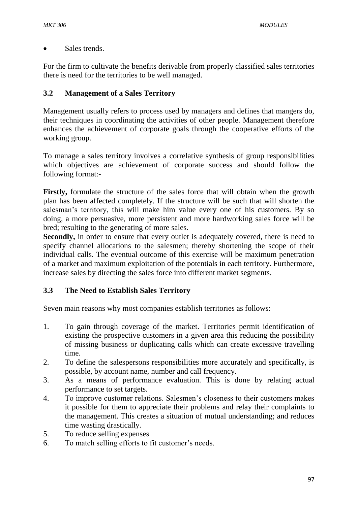Sales trends.

For the firm to cultivate the benefits derivable from properly classified sales territories there is need for the territories to be well managed.

# **3.2 Management of a Sales Territory**

Management usually refers to process used by managers and defines that mangers do, their techniques in coordinating the activities of other people. Management therefore enhances the achievement of corporate goals through the cooperative efforts of the working group.

To manage a sales territory involves a correlative synthesis of group responsibilities which objectives are achievement of corporate success and should follow the following format:-

**Firstly,** formulate the structure of the sales force that will obtain when the growth plan has been affected completely. If the structure will be such that will shorten the salesman's territory, this will make him value every one of his customers. By so doing, a more persuasive, more persistent and more hardworking sales force will be bred; resulting to the generating of more sales.

Secondly, in order to ensure that every outlet is adequately covered, there is need to specify channel allocations to the salesmen; thereby shortening the scope of their individual calls. The eventual outcome of this exercise will be maximum penetration of a market and maximum exploitation of the potentials in each territory. Furthermore, increase sales by directing the sales force into different market segments.

## **3.3 The Need to Establish Sales Territory**

Seven main reasons why most companies establish territories as follows:

- 1. To gain through coverage of the market. Territories permit identification of existing the prospective customers in a given area this reducing the possibility of missing business or duplicating calls which can create excessive travelling time.
- 2. To define the salespersons responsibilities more accurately and specifically, is possible, by account name, number and call frequency.
- 3. As a means of performance evaluation. This is done by relating actual performance to set targets.
- 4. To improve customer relations. Salesmen's closeness to their customers makes it possible for them to appreciate their problems and relay their complaints to the management. This creates a situation of mutual understanding; and reduces time wasting drastically.
- 5. To reduce selling expenses
- 6. To match selling efforts to fit customer's needs.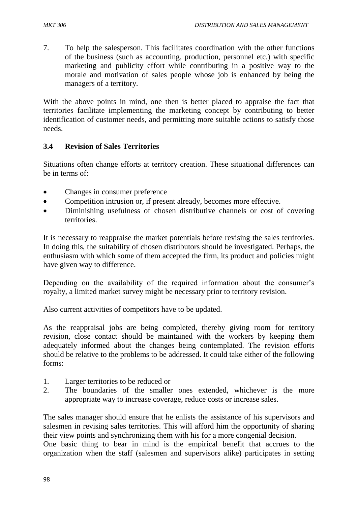7. To help the salesperson. This facilitates coordination with the other functions of the business (such as accounting, production, personnel etc.) with specific marketing and publicity effort while contributing in a positive way to the morale and motivation of sales people whose job is enhanced by being the managers of a territory.

With the above points in mind, one then is better placed to appraise the fact that territories facilitate implementing the marketing concept by contributing to better identification of customer needs, and permitting more suitable actions to satisfy those needs.

#### **3.4 Revision of Sales Territories**

Situations often change efforts at territory creation. These situational differences can be in terms of:

- Changes in consumer preference
- Competition intrusion or, if present already, becomes more effective.
- Diminishing usefulness of chosen distributive channels or cost of covering territories.

It is necessary to reappraise the market potentials before revising the sales territories. In doing this, the suitability of chosen distributors should be investigated. Perhaps, the enthusiasm with which some of them accepted the firm, its product and policies might have given way to difference.

Depending on the availability of the required information about the consumer's royalty, a limited market survey might be necessary prior to territory revision.

Also current activities of competitors have to be updated.

As the reappraisal jobs are being completed, thereby giving room for territory revision, close contact should be maintained with the workers by keeping them adequately informed about the changes being contemplated. The revision efforts should be relative to the problems to be addressed. It could take either of the following forms:

- 1. Larger territories to be reduced or
- 2. The boundaries of the smaller ones extended, whichever is the more appropriate way to increase coverage, reduce costs or increase sales.

The sales manager should ensure that he enlists the assistance of his supervisors and salesmen in revising sales territories. This will afford him the opportunity of sharing their view points and synchronizing them with his for a more congenial decision.

One basic thing to bear in mind is the empirical benefit that accrues to the organization when the staff (salesmen and supervisors alike) participates in setting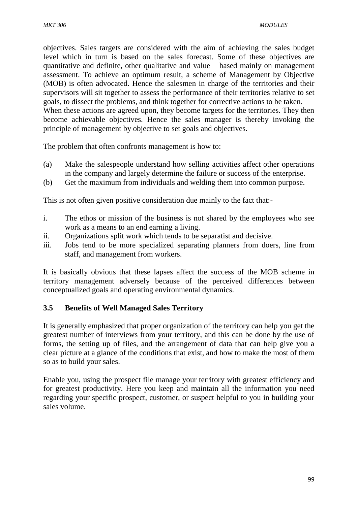objectives. Sales targets are considered with the aim of achieving the sales budget level which in turn is based on the sales forecast. Some of these objectives are quantitative and definite, other qualitative and value – based mainly on management assessment. To achieve an optimum result, a scheme of Management by Objective (MOB) is often advocated. Hence the salesmen in charge of the territories and their supervisors will sit together to assess the performance of their territories relative to set goals, to dissect the problems, and think together for corrective actions to be taken. When these actions are agreed upon, they become targets for the territories. They then become achievable objectives. Hence the sales manager is thereby invoking the principle of management by objective to set goals and objectives.

The problem that often confronts management is how to:

- (a) Make the salespeople understand how selling activities affect other operations in the company and largely determine the failure or success of the enterprise.
- (b) Get the maximum from individuals and welding them into common purpose.

This is not often given positive consideration due mainly to the fact that:-

- i. The ethos or mission of the business is not shared by the employees who see work as a means to an end earning a living.
- ii. Organizations split work which tends to be separatist and decisive.
- iii. Jobs tend to be more specialized separating planners from doers, line from staff, and management from workers.

It is basically obvious that these lapses affect the success of the MOB scheme in territory management adversely because of the perceived differences between conceptualized goals and operating environmental dynamics.

## **3.5 Benefits of Well Managed Sales Territory**

It is generally emphasized that proper organization of the territory can help you get the greatest number of interviews from your territory, and this can be done by the use of forms, the setting up of files, and the arrangement of data that can help give you a clear picture at a glance of the conditions that exist, and how to make the most of them so as to build your sales.

Enable you, using the prospect file manage your territory with greatest efficiency and for greatest productivity. Here you keep and maintain all the information you need regarding your specific prospect, customer, or suspect helpful to you in building your sales volume.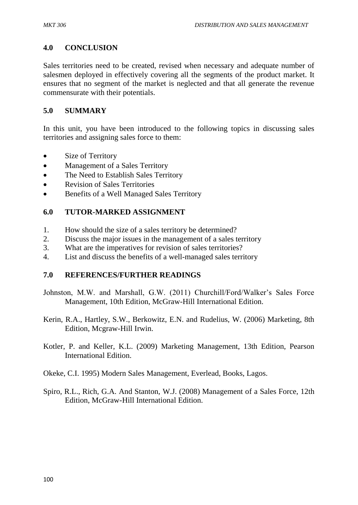### **4.0 CONCLUSION**

Sales territories need to be created, revised when necessary and adequate number of salesmen deployed in effectively covering all the segments of the product market. It ensures that no segment of the market is neglected and that all generate the revenue commensurate with their potentials.

#### **5.0 SUMMARY**

In this unit, you have been introduced to the following topics in discussing sales territories and assigning sales force to them:

- Size of Territory
- Management of a Sales Territory
- The Need to Establish Sales Territory
- Revision of Sales Territories
- Benefits of a Well Managed Sales Territory

#### **6.0 TUTOR-MARKED ASSIGNMENT**

- 1. How should the size of a sales territory be determined?
- 2. Discuss the major issues in the management of a sales territory
- 3. What are the imperatives for revision of sales territories?
- 4. List and discuss the benefits of a well-managed sales territory

#### **7.0 REFERENCES/FURTHER READINGS**

- Johnston, M.W. and Marshall, G.W. (2011) Churchill/Ford/Walker's Sales Force Management, 10th Edition, McGraw-Hill International Edition.
- Kerin, R.A., Hartley, S.W., Berkowitz, E.N. and Rudelius, W. (2006) Marketing, 8th Edition, Mcgraw-Hill Irwin.
- Kotler, P. and Keller, K.L. (2009) Marketing Management, 13th Edition, Pearson International Edition.
- Okeke, C.I. 1995) Modern Sales Management, Everlead, Books, Lagos.
- Spiro, R.L., Rich, G.A. And Stanton, W.J. (2008) Management of a Sales Force, 12th Edition, McGraw-Hill International Edition.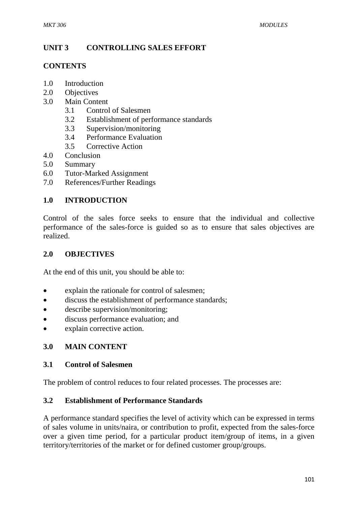# **UNIT 3 CONTROLLING SALES EFFORT**

#### **CONTENTS**

- 1.0 Introduction
- 2.0 Objectives
- 3.0 Main Content
	- 3.1 Control of Salesmen
	- 3.2 Establishment of performance standards
	- 3.3 Supervision/monitoring
	- 3.4 Performance Evaluation
	- 3.5 Corrective Action
- 4.0 Conclusion
- 5.0 Summary
- 6.0 Tutor-Marked Assignment
- 7.0 References/Further Readings

# **1.0 INTRODUCTION**

Control of the sales force seeks to ensure that the individual and collective performance of the sales-force is guided so as to ensure that sales objectives are realized.

### **2.0 OBJECTIVES**

At the end of this unit, you should be able to:

- explain the rationale for control of salesmen;
- discuss the establishment of performance standards;
- describe supervision/monitoring;
- discuss performance evaluation; and
- explain corrective action.

# **3.0 MAIN CONTENT**

#### **3.1 Control of Salesmen**

The problem of control reduces to four related processes. The processes are:

#### **3.2 Establishment of Performance Standards**

A performance standard specifies the level of activity which can be expressed in terms of sales volume in units/naira, or contribution to profit, expected from the sales-force over a given time period, for a particular product item/group of items, in a given territory/territories of the market or for defined customer group/groups.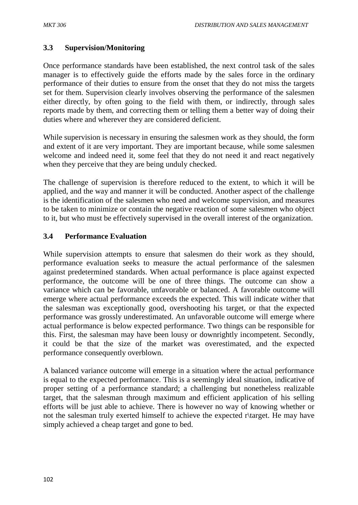# **3.3 Supervision/Monitoring**

Once performance standards have been established, the next control task of the sales manager is to effectively guide the efforts made by the sales force in the ordinary performance of their duties to ensure from the onset that they do not miss the targets set for them. Supervision clearly involves observing the performance of the salesmen either directly, by often going to the field with them, or indirectly, through sales reports made by them, and correcting them or telling them a better way of doing their duties where and wherever they are considered deficient.

While supervision is necessary in ensuring the salesmen work as they should, the form and extent of it are very important. They are important because, while some salesmen welcome and indeed need it, some feel that they do not need it and react negatively when they perceive that they are being unduly checked.

The challenge of supervision is therefore reduced to the extent, to which it will be applied, and the way and manner it will be conducted. Another aspect of the challenge is the identification of the salesmen who need and welcome supervision, and measures to be taken to minimize or contain the negative reaction of some salesmen who object to it, but who must be effectively supervised in the overall interest of the organization.

### **3.4 Performance Evaluation**

While supervision attempts to ensure that salesmen do their work as they should, performance evaluation seeks to measure the actual performance of the salesmen against predetermined standards. When actual performance is place against expected performance, the outcome will be one of three things. The outcome can show a variance which can be favorable, unfavorable or balanced. A favorable outcome will emerge where actual performance exceeds the expected. This will indicate wither that the salesman was exceptionally good, overshooting his target, or that the expected performance was grossly underestimated. An unfavorable outcome will emerge where actual performance is below expected performance. Two things can be responsible for this. First, the salesman may have been lousy or downrightly incompetent. Secondly, it could be that the size of the market was overestimated, and the expected performance consequently overblown.

A balanced variance outcome will emerge in a situation where the actual performance is equal to the expected performance. This is a seemingly ideal situation, indicative of proper setting of a performance standard; a challenging but nonetheless realizable target, that the salesman through maximum and efficient application of his selling efforts will be just able to achieve. There is however no way of knowing whether or not the salesman truly exerted himself to achieve the expected r\target. He may have simply achieved a cheap target and gone to bed.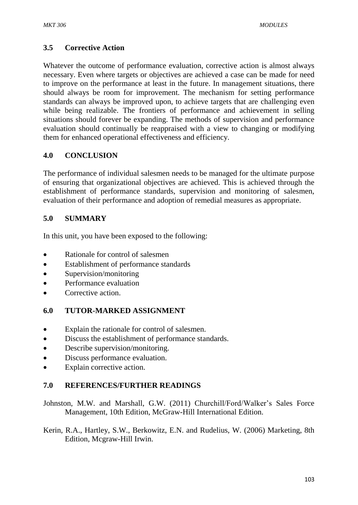### **3.5 Corrective Action**

Whatever the outcome of performance evaluation, corrective action is almost always necessary. Even where targets or objectives are achieved a case can be made for need to improve on the performance at least in the future. In management situations, there should always be room for improvement. The mechanism for setting performance standards can always be improved upon, to achieve targets that are challenging even while being realizable. The frontiers of performance and achievement in selling situations should forever be expanding. The methods of supervision and performance evaluation should continually be reappraised with a view to changing or modifying them for enhanced operational effectiveness and efficiency.

### **4.0 CONCLUSION**

The performance of individual salesmen needs to be managed for the ultimate purpose of ensuring that organizational objectives are achieved. This is achieved through the establishment of performance standards, supervision and monitoring of salesmen, evaluation of their performance and adoption of remedial measures as appropriate.

### **5.0 SUMMARY**

In this unit, you have been exposed to the following:

- Rationale for control of salesmen
- Establishment of performance standards
- Supervision/monitoring
- Performance evaluation
- Corrective action.

#### **6.0 TUTOR-MARKED ASSIGNMENT**

- Explain the rationale for control of salesmen.
- Discuss the establishment of performance standards.
- Describe supervision/monitoring.
- Discuss performance evaluation.
- Explain corrective action.

#### **7.0 REFERENCES/FURTHER READINGS**

Johnston, M.W. and Marshall, G.W. (2011) Churchill/Ford/Walker's Sales Force Management, 10th Edition, McGraw-Hill International Edition.

Kerin, R.A., Hartley, S.W., Berkowitz, E.N. and Rudelius, W. (2006) Marketing, 8th Edition, Mcgraw-Hill Irwin.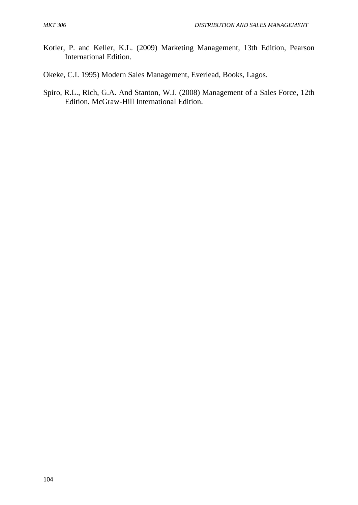- Kotler, P. and Keller, K.L. (2009) Marketing Management, 13th Edition, Pearson International Edition.
- Okeke, C.I. 1995) Modern Sales Management, Everlead, Books, Lagos.
- Spiro, R.L., Rich, G.A. And Stanton, W.J. (2008) Management of a Sales Force, 12th Edition, McGraw-Hill International Edition.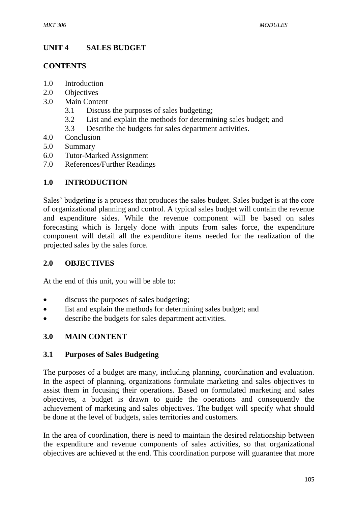# **UNIT 4 SALES BUDGET**

#### **CONTENTS**

- 1.0 Introduction
- 2.0 Objectives
- 3.0 Main Content
	- 3.1 Discuss the purposes of sales budgeting;
	- 3.2 List and explain the methods for determining sales budget; and
	- 3.3 Describe the budgets for sales department activities.
- 4.0 Conclusion
- 5.0 Summary
- 6.0 Tutor-Marked Assignment
- 7.0 References/Further Readings

# **1.0 INTRODUCTION**

Sales' budgeting is a process that produces the sales budget. Sales budget is at the core of organizational planning and control. A typical sales budget will contain the revenue and expenditure sides. While the revenue component will be based on sales forecasting which is largely done with inputs from sales force, the expenditure component will detail all the expenditure items needed for the realization of the projected sales by the sales force.

#### **2.0 OBJECTIVES**

At the end of this unit, you will be able to:

- discuss the purposes of sales budgeting;
- list and explain the methods for determining sales budget; and
- describe the budgets for sales department activities.

# **3.0 MAIN CONTENT**

#### **3.1 Purposes of Sales Budgeting**

The purposes of a budget are many, including planning, coordination and evaluation. In the aspect of planning, organizations formulate marketing and sales objectives to assist them in focusing their operations. Based on formulated marketing and sales objectives, a budget is drawn to guide the operations and consequently the achievement of marketing and sales objectives. The budget will specify what should be done at the level of budgets, sales territories and customers.

In the area of coordination, there is need to maintain the desired relationship between the expenditure and revenue components of sales activities, so that organizational objectives are achieved at the end. This coordination purpose will guarantee that more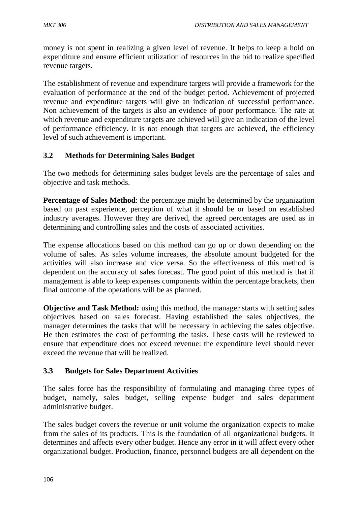money is not spent in realizing a given level of revenue. It helps to keep a hold on expenditure and ensure efficient utilization of resources in the bid to realize specified revenue targets.

The establishment of revenue and expenditure targets will provide a framework for the evaluation of performance at the end of the budget period. Achievement of projected revenue and expenditure targets will give an indication of successful performance. Non achievement of the targets is also an evidence of poor performance. The rate at which revenue and expenditure targets are achieved will give an indication of the level of performance efficiency. It is not enough that targets are achieved, the efficiency level of such achievement is important.

### **3.2 Methods for Determining Sales Budget**

The two methods for determining sales budget levels are the percentage of sales and objective and task methods.

**Percentage of Sales Method**: the percentage might be determined by the organization based on past experience, perception of what it should be or based on established industry averages. However they are derived, the agreed percentages are used as in determining and controlling sales and the costs of associated activities.

The expense allocations based on this method can go up or down depending on the volume of sales. As sales volume increases, the absolute amount budgeted for the activities will also increase and vice versa. So the effectiveness of this method is dependent on the accuracy of sales forecast. The good point of this method is that if management is able to keep expenses components within the percentage brackets, then final outcome of the operations will be as planned.

**Objective and Task Method:** using this method, the manager starts with setting sales objectives based on sales forecast. Having established the sales objectives, the manager determines the tasks that will be necessary in achieving the sales objective. He then estimates the cost of performing the tasks. These costs will be reviewed to ensure that expenditure does not exceed revenue: the expenditure level should never exceed the revenue that will be realized.

# **3.3 Budgets for Sales Department Activities**

The sales force has the responsibility of formulating and managing three types of budget, namely, sales budget, selling expense budget and sales department administrative budget.

The sales budget covers the revenue or unit volume the organization expects to make from the sales of its products. This is the foundation of all organizational budgets. It determines and affects every other budget. Hence any error in it will affect every other organizational budget. Production, finance, personnel budgets are all dependent on the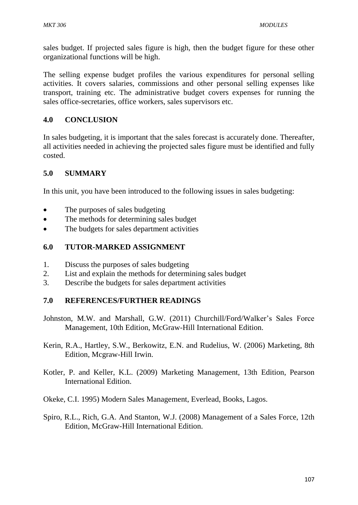sales budget. If projected sales figure is high, then the budget figure for these other organizational functions will be high.

The selling expense budget profiles the various expenditures for personal selling activities. It covers salaries, commissions and other personal selling expenses like transport, training etc. The administrative budget covers expenses for running the sales office-secretaries, office workers, sales supervisors etc.

# **4.0 CONCLUSION**

In sales budgeting, it is important that the sales forecast is accurately done. Thereafter, all activities needed in achieving the projected sales figure must be identified and fully costed.

### **5.0 SUMMARY**

In this unit, you have been introduced to the following issues in sales budgeting:

- The purposes of sales budgeting
- The methods for determining sales budget
- The budgets for sales department activities

### **6.0 TUTOR-MARKED ASSIGNMENT**

- 1. Discuss the purposes of sales budgeting
- 2. List and explain the methods for determining sales budget
- 3. Describe the budgets for sales department activities

#### **7.0 REFERENCES/FURTHER READINGS**

- Johnston, M.W. and Marshall, G.W. (2011) Churchill/Ford/Walker's Sales Force Management, 10th Edition, McGraw-Hill International Edition.
- Kerin, R.A., Hartley, S.W., Berkowitz, E.N. and Rudelius, W. (2006) Marketing, 8th Edition, Mcgraw-Hill Irwin.
- Kotler, P. and Keller, K.L. (2009) Marketing Management, 13th Edition, Pearson International Edition.
- Okeke, C.I. 1995) Modern Sales Management, Everlead, Books, Lagos.
- Spiro, R.L., Rich, G.A. And Stanton, W.J. (2008) Management of a Sales Force, 12th Edition, McGraw-Hill International Edition.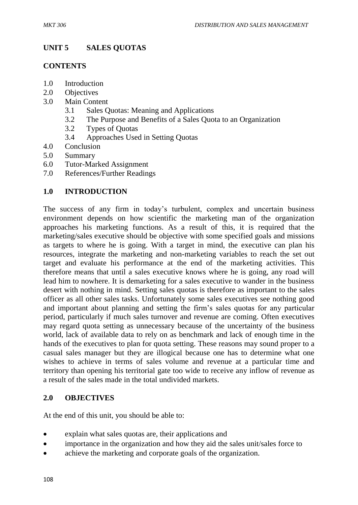# **UNIT 5 SALES QUOTAS**

#### **CONTENTS**

- 1.0 Introduction
- 2.0 Objectives
- 3.0 Main Content
	- 3.1 Sales Quotas: Meaning and Applications
	- 3.2 The Purpose and Benefits of a Sales Quota to an Organization
	- 3.2 Types of Quotas
	- 3.4 Approaches Used in Setting Quotas
- 4.0 Conclusion
- 5.0 Summary
- 6.0 Tutor-Marked Assignment
- 7.0 References/Further Readings

### **1.0 INTRODUCTION**

The success of any firm in today's turbulent, complex and uncertain business environment depends on how scientific the marketing man of the organization approaches his marketing functions. As a result of this, it is required that the marketing/sales executive should be objective with some specified goals and missions as targets to where he is going. With a target in mind, the executive can plan his resources, integrate the marketing and non-marketing variables to reach the set out target and evaluate his performance at the end of the marketing activities. This therefore means that until a sales executive knows where he is going, any road will lead him to nowhere. It is demarketing for a sales executive to wander in the business desert with nothing in mind. Setting sales quotas is therefore as important to the sales officer as all other sales tasks. Unfortunately some sales executives see nothing good and important about planning and setting the firm's sales quotas for any particular period, particularly if much sales turnover and revenue are coming. Often executives may regard quota setting as unnecessary because of the uncertainty of the business world, lack of available data to rely on as benchmark and lack of enough time in the hands of the executives to plan for quota setting. These reasons may sound proper to a casual sales manager but they are illogical because one has to determine what one wishes to achieve in terms of sales volume and revenue at a particular time and territory than opening his territorial gate too wide to receive any inflow of revenue as a result of the sales made in the total undivided markets.

#### **2.0 OBJECTIVES**

At the end of this unit, you should be able to:

- explain what sales quotas are, their applications and
- importance in the organization and how they aid the sales unit/sales force to
- achieve the marketing and corporate goals of the organization.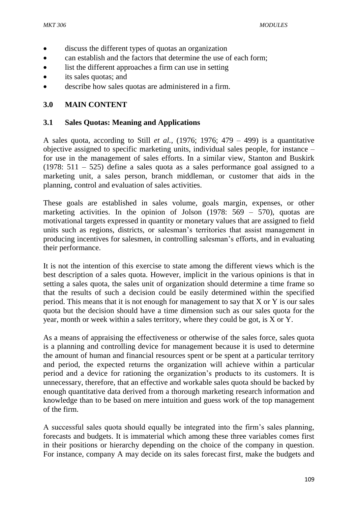- discuss the different types of quotas an organization
- can establish and the factors that determine the use of each form;
- list the different approaches a firm can use in setting
- its sales quotas; and
- describe how sales quotas are administered in a firm.

#### **3.0 MAIN CONTENT**

#### **3.1 Sales Quotas: Meaning and Applications**

A sales quota, according to Still *et al.,* (1976; 1976; 479 – 499) is a quantitative objective assigned to specific marketing units, individual sales people, for instance – for use in the management of sales efforts. In a similar view, Stanton and Buskirk (1978: 511 – 525) define a sales quota as a sales performance goal assigned to a marketing unit, a sales person, branch middleman, or customer that aids in the planning, control and evaluation of sales activities.

These goals are established in sales volume, goals margin, expenses, or other marketing activities. In the opinion of Jolson (1978: 569 – 570), quotas are motivational targets expressed in quantity or monetary values that are assigned to field units such as regions, districts, or salesman's territories that assist management in producing incentives for salesmen, in controlling salesman's efforts, and in evaluating their performance.

It is not the intention of this exercise to state among the different views which is the best description of a sales quota. However, implicit in the various opinions is that in setting a sales quota, the sales unit of organization should determine a time frame so that the results of such a decision could be easily determined within the specified period. This means that it is not enough for management to say that X or Y is our sales quota but the decision should have a time dimension such as our sales quota for the year, month or week within a sales territory, where they could be got, is X or Y.

As a means of appraising the effectiveness or otherwise of the sales force, sales quota is a planning and controlling device for management because it is used to determine the amount of human and financial resources spent or be spent at a particular territory and period, the expected returns the organization will achieve within a particular period and a device for rationing the organization's products to its customers. It is unnecessary, therefore, that an effective and workable sales quota should be backed by enough quantitative data derived from a thorough marketing research information and knowledge than to be based on mere intuition and guess work of the top management of the firm.

A successful sales quota should equally be integrated into the firm's sales planning, forecasts and budgets. It is immaterial which among these three variables comes first in their positions or hierarchy depending on the choice of the company in question. For instance, company A may decide on its sales forecast first, make the budgets and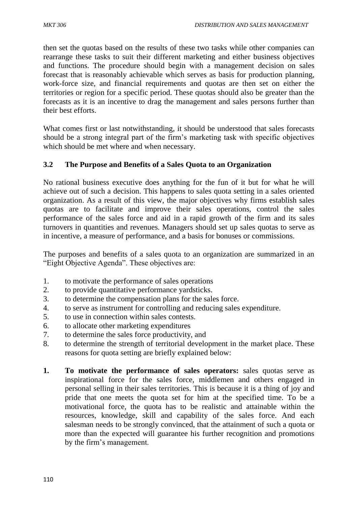then set the quotas based on the results of these two tasks while other companies can rearrange these tasks to suit their different marketing and either business objectives and functions. The procedure should begin with a management decision on sales forecast that is reasonably achievable which serves as basis for production planning, work-force size, and financial requirements and quotas are then set on either the territories or region for a specific period. These quotas should also be greater than the forecasts as it is an incentive to drag the management and sales persons further than their best efforts.

What comes first or last notwithstanding, it should be understood that sales forecasts should be a strong integral part of the firm's marketing task with specific objectives which should be met where and when necessary.

# **3.2 The Purpose and Benefits of a Sales Quota to an Organization**

No rational business executive does anything for the fun of it but for what he will achieve out of such a decision. This happens to sales quota setting in a sales oriented organization. As a result of this view, the major objectives why firms establish sales quotas are to facilitate and improve their sales operations, control the sales performance of the sales force and aid in a rapid growth of the firm and its sales turnovers in quantities and revenues. Managers should set up sales quotas to serve as in incentive, a measure of performance, and a basis for bonuses or commissions.

The purposes and benefits of a sales quota to an organization are summarized in an "Eight Objective Agenda". These objectives are:

- 1. to motivate the performance of sales operations
- 2. to provide quantitative performance yardsticks.
- 3. to determine the compensation plans for the sales force.
- 4. to serve as instrument for controlling and reducing sales expenditure.
- 5. to use in connection within sales contests.
- 6. to allocate other marketing expenditures
- 7. to determine the sales force productivity, and
- 8. to determine the strength of territorial development in the market place. These reasons for quota setting are briefly explained below:
- **1. To motivate the performance of sales operators:** sales quotas serve as inspirational force for the sales force, middlemen and others engaged in personal selling in their sales territories. This is because it is a thing of joy and pride that one meets the quota set for him at the specified time. To be a motivational force, the quota has to be realistic and attainable within the resources, knowledge, skill and capability of the sales force. And each salesman needs to be strongly convinced, that the attainment of such a quota or more than the expected will guarantee his further recognition and promotions by the firm's management.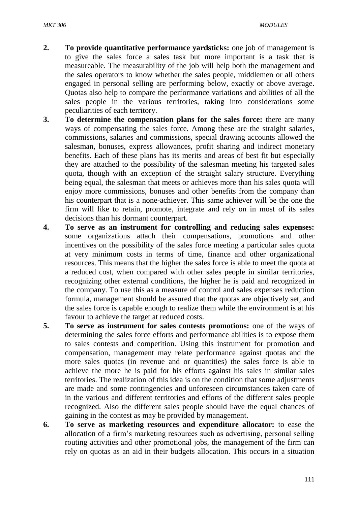- **2. To provide quantitative performance yardsticks:** one job of management is to give the sales force a sales task but more important is a task that is measureable. The measurability of the job will help both the management and the sales operators to know whether the sales people, middlemen or all others engaged in personal selling are performing below, exactly or above average. Quotas also help to compare the performance variations and abilities of all the sales people in the various territories, taking into considerations some peculiarities of each territory.
- **3. To determine the compensation plans for the sales force:** there are many ways of compensating the sales force. Among these are the straight salaries, commissions, salaries and commissions, special drawing accounts allowed the salesman, bonuses, express allowances, profit sharing and indirect monetary benefits. Each of these plans has its merits and areas of best fit but especially they are attached to the possibility of the salesman meeting his targeted sales quota, though with an exception of the straight salary structure. Everything being equal, the salesman that meets or achieves more than his sales quota will enjoy more commissions, bonuses and other benefits from the company than his counterpart that is a none-achiever. This same achiever will be the one the firm will like to retain, promote, integrate and rely on in most of its sales decisions than his dormant counterpart.
- **4. To serve as an instrument for controlling and reducing sales expenses:**  some organizations attach their compensations, promotions and other incentives on the possibility of the sales force meeting a particular sales quota at very minimum costs in terms of time, finance and other organizational resources. This means that the higher the sales force is able to meet the quota at a reduced cost, when compared with other sales people in similar territories, recognizing other external conditions, the higher he is paid and recognized in the company. To use this as a measure of control and sales expenses reduction formula, management should be assured that the quotas are objectively set, and the sales force is capable enough to realize them while the environment is at his favour to achieve the target at reduced costs.
- **5. To serve as instrument for sales contests promotions:** one of the ways of determining the sales force efforts and performance abilities is to expose them to sales contests and competition. Using this instrument for promotion and compensation, management may relate performance against quotas and the more sales quotas (in revenue and or quantities) the sales force is able to achieve the more he is paid for his efforts against his sales in similar sales territories. The realization of this idea is on the condition that some adjustments are made and some contingencies and unforeseen circumstances taken care of in the various and different territories and efforts of the different sales people recognized. Also the different sales people should have the equal chances of gaining in the contest as may be provided by management.
- **6. To serve as marketing resources and expenditure allocator:** to ease the allocation of a firm's marketing resources such as advertising, personal selling routing activities and other promotional jobs, the management of the firm can rely on quotas as an aid in their budgets allocation. This occurs in a situation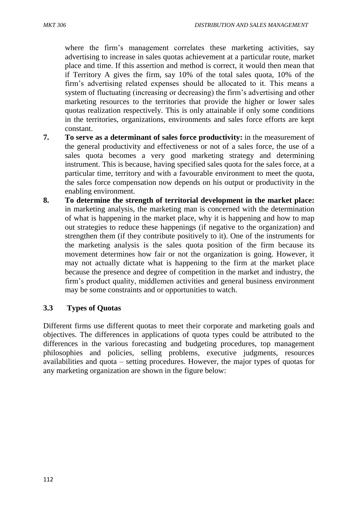where the firm's management correlates these marketing activities, say advertising to increase in sales quotas achievement at a particular route, market place and time. If this assertion and method is correct, it would then mean that if Territory A gives the firm, say 10% of the total sales quota, 10% of the firm's advertising related expenses should be allocated to it. This means a system of fluctuating (increasing or decreasing) the firm's advertising and other marketing resources to the territories that provide the higher or lower sales quotas realization respectively. This is only attainable if only some conditions in the territories, organizations, environments and sales force efforts are kept constant.

- **7. To serve as a determinant of sales force productivity:** in the measurement of the general productivity and effectiveness or not of a sales force, the use of a sales quota becomes a very good marketing strategy and determining instrument. This is because, having specified sales quota for the sales force, at a particular time, territory and with a favourable environment to meet the quota, the sales force compensation now depends on his output or productivity in the enabling environment.
- **8. To determine the strength of territorial development in the market place:**  in marketing analysis, the marketing man is concerned with the determination of what is happening in the market place, why it is happening and how to map out strategies to reduce these happenings (if negative to the organization) and strengthen them (if they contribute positively to it). One of the instruments for the marketing analysis is the sales quota position of the firm because its movement determines how fair or not the organization is going. However, it may not actually dictate what is happening to the firm at the market place because the presence and degree of competition in the market and industry, the firm's product quality, middlemen activities and general business environment may be some constraints and or opportunities to watch.

#### **3.3 Types of Quotas**

Different firms use different quotas to meet their corporate and marketing goals and objectives. The differences in applications of quota types could be attributed to the differences in the various forecasting and budgeting procedures, top management philosophies and policies, selling problems, executive judgments, resources availabilities and quota – setting procedures. However, the major types of quotas for any marketing organization are shown in the figure below: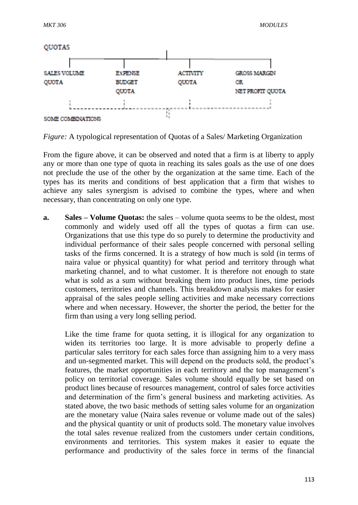

*Figure:* A typological representation of Quotas of a Sales/ Marketing Organization

From the figure above, it can be observed and noted that a firm is at liberty to apply any or more than one type of quota in reaching its sales goals as the use of one does not preclude the use of the other by the organization at the same time. Each of the types has its merits and conditions of best application that a firm that wishes to achieve any sales synergism is advised to combine the types, where and when necessary, than concentrating on only one type.

**a. Sales – Volume Quotas:** the sales – volume quota seems to be the oldest, most commonly and widely used off all the types of quotas a firm can use. Organizations that use this type do so purely to determine the productivity and individual performance of their sales people concerned with personal selling tasks of the firms concerned. It is a strategy of how much is sold (in terms of naira value or physical quantity) for what period and territory through what marketing channel, and to what customer. It is therefore not enough to state what is sold as a sum without breaking them into product lines, time periods customers, territories and channels. This breakdown analysis makes for easier appraisal of the sales people selling activities and make necessary corrections where and when necessary. However, the shorter the period, the better for the firm than using a very long selling period.

Like the time frame for quota setting, it is illogical for any organization to widen its territories too large. It is more advisable to properly define a particular sales territory for each sales force than assigning him to a very mass and un-segmented market. This will depend on the products sold, the product's features, the market opportunities in each territory and the top management's policy on territorial coverage. Sales volume should equally be set based on product lines because of resources management, control of sales force activities and determination of the firm's general business and marketing activities. As stated above, the two basic methods of setting sales volume for an organization are the monetary value (Naira sales revenue or volume made out of the sales) and the physical quantity or unit of products sold. The monetary value involves the total sales revenue realized from the customers under certain conditions, environments and territories. This system makes it easier to equate the performance and productivity of the sales force in terms of the financial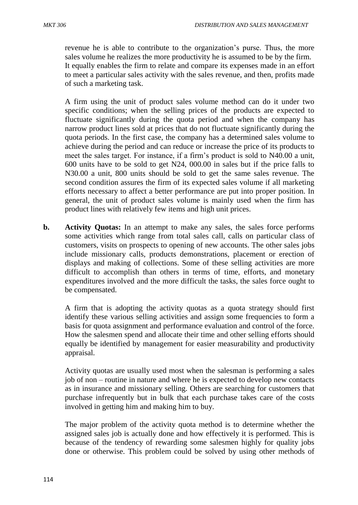revenue he is able to contribute to the organization's purse. Thus, the more sales volume he realizes the more productivity he is assumed to be by the firm. It equally enables the firm to relate and compare its expenses made in an effort to meet a particular sales activity with the sales revenue, and then, profits made of such a marketing task.

A firm using the unit of product sales volume method can do it under two specific conditions; when the selling prices of the products are expected to fluctuate significantly during the quota period and when the company has narrow product lines sold at prices that do not fluctuate significantly during the quota periods. In the first case, the company has a determined sales volume to achieve during the period and can reduce or increase the price of its products to meet the sales target. For instance, if a firm's product is sold to N40.00 a unit, 600 units have to be sold to get N24, 000.00 in sales but if the price falls to N30.00 a unit, 800 units should be sold to get the same sales revenue. The second condition assures the firm of its expected sales volume if all marketing efforts necessary to affect a better performance are put into proper position. In general, the unit of product sales volume is mainly used when the firm has product lines with relatively few items and high unit prices.

**b. Activity Quotas:** In an attempt to make any sales, the sales force performs some activities which range from total sales call, calls on particular class of customers, visits on prospects to opening of new accounts. The other sales jobs include missionary calls, products demonstrations, placement or erection of displays and making of collections. Some of these selling activities are more difficult to accomplish than others in terms of time, efforts, and monetary expenditures involved and the more difficult the tasks, the sales force ought to be compensated.

A firm that is adopting the activity quotas as a quota strategy should first identify these various selling activities and assign some frequencies to form a basis for quota assignment and performance evaluation and control of the force. How the salesmen spend and allocate their time and other selling efforts should equally be identified by management for easier measurability and productivity appraisal.

Activity quotas are usually used most when the salesman is performing a sales job of non – routine in nature and where he is expected to develop new contacts as in insurance and missionary selling. Others are searching for customers that purchase infrequently but in bulk that each purchase takes care of the costs involved in getting him and making him to buy.

The major problem of the activity quota method is to determine whether the assigned sales job is actually done and how effectively it is performed. This is because of the tendency of rewarding some salesmen highly for quality jobs done or otherwise. This problem could be solved by using other methods of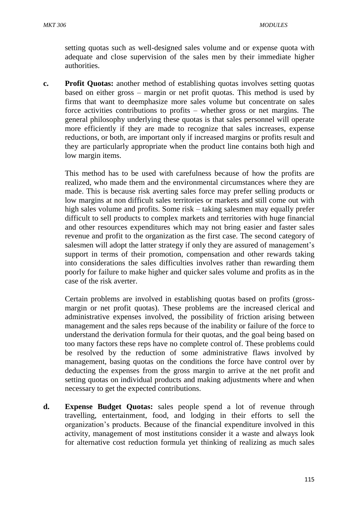setting quotas such as well-designed sales volume and or expense quota with adequate and close supervision of the sales men by their immediate higher authorities.

**c. Profit Quotas:** another method of establishing quotas involves setting quotas based on either gross – margin or net profit quotas. This method is used by firms that want to deemphasize more sales volume but concentrate on sales force activities contributions to profits – whether gross or net margins. The general philosophy underlying these quotas is that sales personnel will operate more efficiently if they are made to recognize that sales increases, expense reductions, or both, are important only if increased margins or profits result and they are particularly appropriate when the product line contains both high and low margin items.

This method has to be used with carefulness because of how the profits are realized, who made them and the environmental circumstances where they are made. This is because risk averting sales force may prefer selling products or low margins at non difficult sales territories or markets and still come out with high sales volume and profits. Some risk – taking salesmen may equally prefer difficult to sell products to complex markets and territories with huge financial and other resources expenditures which may not bring easier and faster sales revenue and profit to the organization as the first case. The second category of salesmen will adopt the latter strategy if only they are assured of management's support in terms of their promotion, compensation and other rewards taking into considerations the sales difficulties involves rather than rewarding them poorly for failure to make higher and quicker sales volume and profits as in the case of the risk averter.

Certain problems are involved in establishing quotas based on profits (grossmargin or net profit quotas). These problems are the increased clerical and administrative expenses involved, the possibility of friction arising between management and the sales reps because of the inability or failure of the force to understand the derivation formula for their quotas, and the goal being based on too many factors these reps have no complete control of. These problems could be resolved by the reduction of some administrative flaws involved by management, basing quotas on the conditions the force have control over by deducting the expenses from the gross margin to arrive at the net profit and setting quotas on individual products and making adjustments where and when necessary to get the expected contributions.

**d. Expense Budget Quotas:** sales people spend a lot of revenue through travelling, entertainment, food, and lodging in their efforts to sell the organization's products. Because of the financial expenditure involved in this activity, management of most institutions consider it a waste and always look for alternative cost reduction formula yet thinking of realizing as much sales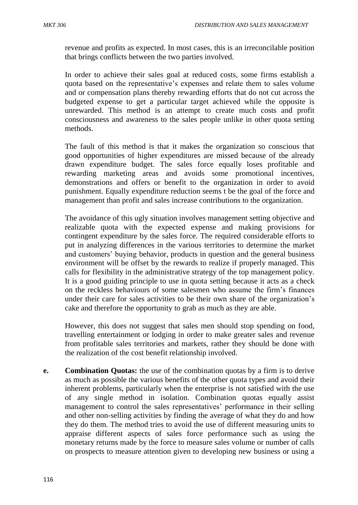revenue and profits as expected. In most cases, this is an irreconcilable position that brings conflicts between the two parties involved.

In order to achieve their sales goal at reduced costs, some firms establish a quota based on the representative's expenses and relate them to sales volume and or compensation plans thereby rewarding efforts that do not cut across the budgeted expense to get a particular target achieved while the opposite is unrewarded. This method is an attempt to create much costs and profit consciousness and awareness to the sales people unlike in other quota setting methods.

The fault of this method is that it makes the organization so conscious that good opportunities of higher expenditures are missed because of the already drawn expenditure budget. The sales force equally loses profitable and rewarding marketing areas and avoids some promotional incentives, demonstrations and offers or benefit to the organization in order to avoid punishment. Equally expenditure reduction seems t be the goal of the force and management than profit and sales increase contributions to the organization.

The avoidance of this ugly situation involves management setting objective and realizable quota with the expected expense and making provisions for contingent expenditure by the sales force. The required considerable efforts to put in analyzing differences in the various territories to determine the market and customers' buying behavior, products in question and the general business environment will be offset by the rewards to realize if properly managed. This calls for flexibility in the administrative strategy of the top management policy. It is a good guiding principle to use in quota setting because it acts as a check on the reckless behaviours of some salesmen who assume the firm's finances under their care for sales activities to be their own share of the organization's cake and therefore the opportunity to grab as much as they are able.

However, this does not suggest that sales men should stop spending on food, travelling entertainment or lodging in order to make greater sales and revenue from profitable sales territories and markets, rather they should be done with the realization of the cost benefit relationship involved.

**e. Combination Quotas:** the use of the combination quotas by a firm is to derive as much as possible the various benefits of the other quota types and avoid their inherent problems, particularly when the enterprise is not satisfied with the use of any single method in isolation. Combination quotas equally assist management to control the sales representatives' performance in their selling and other non-selling activities by finding the average of what they do and how they do them. The method tries to avoid the use of different measuring units to appraise different aspects of sales force performance such as using the monetary returns made by the force to measure sales volume or number of calls on prospects to measure attention given to developing new business or using a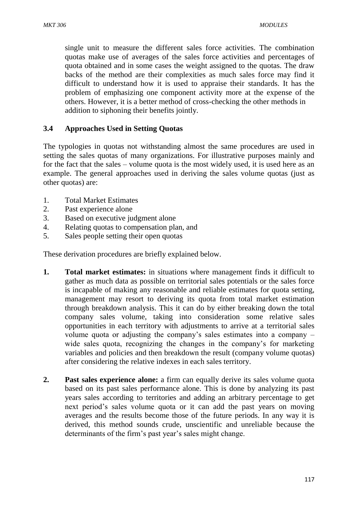single unit to measure the different sales force activities. The combination quotas make use of averages of the sales force activities and percentages of quota obtained and in some cases the weight assigned to the quotas. The draw backs of the method are their complexities as much sales force may find it difficult to understand how it is used to appraise their standards. It has the problem of emphasizing one component activity more at the expense of the others. However, it is a better method of cross-checking the other methods in addition to siphoning their benefits jointly.

### **3.4 Approaches Used in Setting Quotas**

The typologies in quotas not withstanding almost the same procedures are used in setting the sales quotas of many organizations. For illustrative purposes mainly and for the fact that the sales – volume quota is the most widely used, it is used here as an example. The general approaches used in deriving the sales volume quotas (just as other quotas) are:

- 1. Total Market Estimates
- 2. Past experience alone
- 3. Based on executive judgment alone
- 4. Relating quotas to compensation plan, and
- 5. Sales people setting their open quotas

These derivation procedures are briefly explained below.

- **1. Total market estimates:** in situations where management finds it difficult to gather as much data as possible on territorial sales potentials or the sales force is incapable of making any reasonable and reliable estimates for quota setting, management may resort to deriving its quota from total market estimation through breakdown analysis. This it can do by either breaking down the total company sales volume, taking into consideration some relative sales opportunities in each territory with adjustments to arrive at a territorial sales volume quota or adjusting the company's sales estimates into a company – wide sales quota, recognizing the changes in the company's for marketing variables and policies and then breakdown the result (company volume quotas) after considering the relative indexes in each sales territory.
- **2. Past sales experience alone:** a firm can equally derive its sales volume quota based on its past sales performance alone. This is done by analyzing its past years sales according to territories and adding an arbitrary percentage to get next period's sales volume quota or it can add the past years on moving averages and the results become those of the future periods. In any way it is derived, this method sounds crude, unscientific and unreliable because the determinants of the firm's past year's sales might change.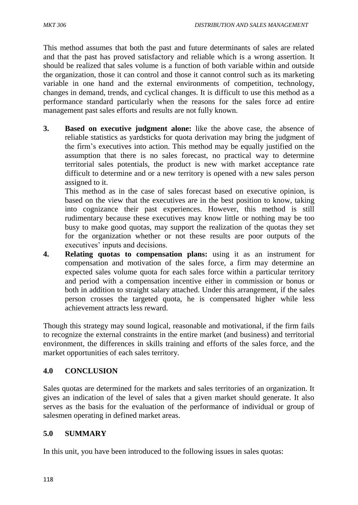This method assumes that both the past and future determinants of sales are related and that the past has proved satisfactory and reliable which is a wrong assertion. It should be realized that sales volume is a function of both variable within and outside the organization, those it can control and those it cannot control such as its marketing variable in one hand and the external environments of competition, technology, changes in demand, trends, and cyclical changes. It is difficult to use this method as a performance standard particularly when the reasons for the sales force ad entire management past sales efforts and results are not fully known.

**3. Based on executive judgment alone:** like the above case, the absence of reliable statistics as yardsticks for quota derivation may bring the judgment of the firm's executives into action. This method may be equally justified on the assumption that there is no sales forecast, no practical way to determine territorial sales potentials, the product is new with market acceptance rate difficult to determine and or a new territory is opened with a new sales person assigned to it.

This method as in the case of sales forecast based on executive opinion, is based on the view that the executives are in the best position to know, taking into cognizance their past experiences. However, this method is still rudimentary because these executives may know little or nothing may be too busy to make good quotas, may support the realization of the quotas they set for the organization whether or not these results are poor outputs of the executives' inputs and decisions.

**4. Relating quotas to compensation plans:** using it as an instrument for compensation and motivation of the sales force, a firm may determine an expected sales volume quota for each sales force within a particular territory and period with a compensation incentive either in commission or bonus or both in addition to straight salary attached. Under this arrangement, if the sales person crosses the targeted quota, he is compensated higher while less achievement attracts less reward.

Though this strategy may sound logical, reasonable and motivational, if the firm fails to recognize the external constraints in the entire market (and business) and territorial environment, the differences in skills training and efforts of the sales force, and the market opportunities of each sales territory.

# **4.0 CONCLUSION**

Sales quotas are determined for the markets and sales territories of an organization. It gives an indication of the level of sales that a given market should generate. It also serves as the basis for the evaluation of the performance of individual or group of salesmen operating in defined market areas.

# **5.0 SUMMARY**

In this unit, you have been introduced to the following issues in sales quotas: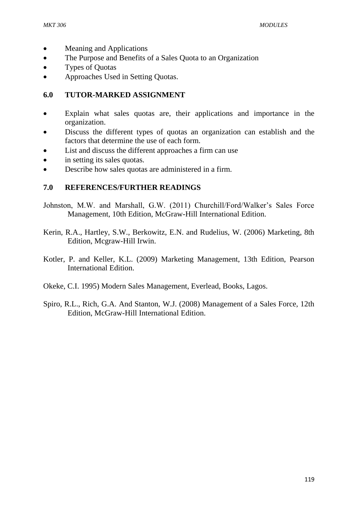- Meaning and Applications
- The Purpose and Benefits of a Sales Quota to an Organization
- Types of Quotas
- Approaches Used in Setting Quotas.

### **6.0 TUTOR-MARKED ASSIGNMENT**

- Explain what sales quotas are, their applications and importance in the organization.
- Discuss the different types of quotas an organization can establish and the factors that determine the use of each form.
- List and discuss the different approaches a firm can use
- in setting its sales quotas.
- Describe how sales quotas are administered in a firm.

### **7.0 REFERENCES/FURTHER READINGS**

- Johnston, M.W. and Marshall, G.W. (2011) Churchill/Ford/Walker's Sales Force Management, 10th Edition, McGraw-Hill International Edition.
- Kerin, R.A., Hartley, S.W., Berkowitz, E.N. and Rudelius, W. (2006) Marketing, 8th Edition, Mcgraw-Hill Irwin.
- Kotler, P. and Keller, K.L. (2009) Marketing Management, 13th Edition, Pearson International Edition.
- Okeke, C.I. 1995) Modern Sales Management, Everlead, Books, Lagos.
- Spiro, R.L., Rich, G.A. And Stanton, W.J. (2008) Management of a Sales Force, 12th Edition, McGraw-Hill International Edition.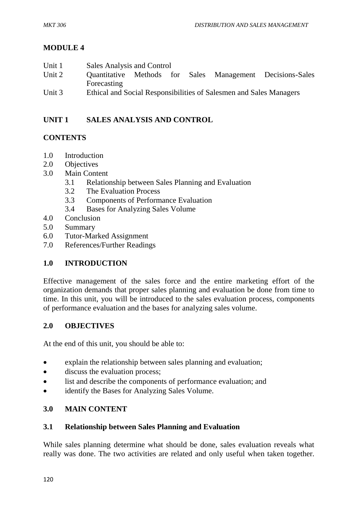# **MODULE 4**

- Unit 1 Sales Analysis and Control Unit 2 Quantitative Methods for Sales Management Decisions-Sales Forecasting
- Unit 3 Ethical and Social Responsibilities of Salesmen and Sales Managers

# **UNIT 1 SALES ANALYSIS AND CONTROL**

# **CONTENTS**

- 1.0 Introduction
- 2.0 Objectives
- 3.0 Main Content
	- 3.1 Relationship between Sales Planning and Evaluation
	- 3.2 The Evaluation Process
	- 3.3 Components of Performance Evaluation
	- 3.4 Bases for Analyzing Sales Volume
- 4.0 Conclusion
- 5.0 Summary
- 6.0 Tutor-Marked Assignment
- 7.0 References/Further Readings

# **1.0 INTRODUCTION**

Effective management of the sales force and the entire marketing effort of the organization demands that proper sales planning and evaluation be done from time to time. In this unit, you will be introduced to the sales evaluation process, components of performance evaluation and the bases for analyzing sales volume.

# **2.0 OBJECTIVES**

At the end of this unit, you should be able to:

- explain the relationship between sales planning and evaluation;
- discuss the evaluation process;
- list and describe the components of performance evaluation; and
- identify the Bases for Analyzing Sales Volume.

# **3.0 MAIN CONTENT**

# **3.1 Relationship between Sales Planning and Evaluation**

While sales planning determine what should be done, sales evaluation reveals what really was done. The two activities are related and only useful when taken together.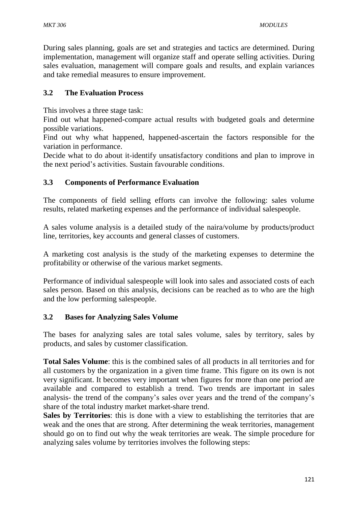During sales planning, goals are set and strategies and tactics are determined. During implementation, management will organize staff and operate selling activities. During sales evaluation, management will compare goals and results, and explain variances and take remedial measures to ensure improvement.

# **3.2 The Evaluation Process**

This involves a three stage task:

Find out what happened-compare actual results with budgeted goals and determine possible variations.

Find out why what happened, happened-ascertain the factors responsible for the variation in performance.

Decide what to do about it-identify unsatisfactory conditions and plan to improve in the next period's activities. Sustain favourable conditions.

### **3.3 Components of Performance Evaluation**

The components of field selling efforts can involve the following: sales volume results, related marketing expenses and the performance of individual salespeople.

A sales volume analysis is a detailed study of the naira/volume by products/product line, territories, key accounts and general classes of customers.

A marketing cost analysis is the study of the marketing expenses to determine the profitability or otherwise of the various market segments.

Performance of individual salespeople will look into sales and associated costs of each sales person. Based on this analysis, decisions can be reached as to who are the high and the low performing salespeople.

#### **3.2 Bases for Analyzing Sales Volume**

The bases for analyzing sales are total sales volume, sales by territory, sales by products, and sales by customer classification.

**Total Sales Volume**: this is the combined sales of all products in all territories and for all customers by the organization in a given time frame. This figure on its own is not very significant. It becomes very important when figures for more than one period are available and compared to establish a trend. Two trends are important in sales analysis- the trend of the company's sales over years and the trend of the company's share of the total industry market market-share trend.

**Sales by Territories**: this is done with a view to establishing the territories that are weak and the ones that are strong. After determining the weak territories, management should go on to find out why the weak territories are weak. The simple procedure for analyzing sales volume by territories involves the following steps: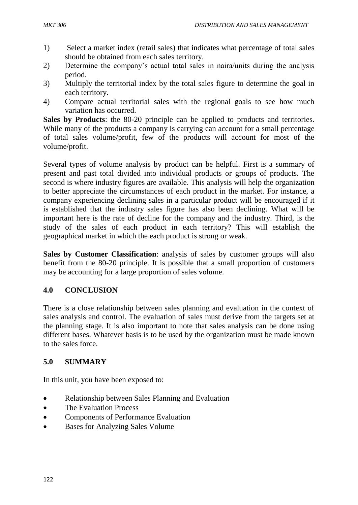- 1) Select a market index (retail sales) that indicates what percentage of total sales should be obtained from each sales territory.
- 2) Determine the company's actual total sales in naira/units during the analysis period.
- 3) Multiply the territorial index by the total sales figure to determine the goal in each territory.
- 4) Compare actual territorial sales with the regional goals to see how much variation has occurred.

**Sales by Products**: the 80-20 principle can be applied to products and territories. While many of the products a company is carrying can account for a small percentage of total sales volume/profit, few of the products will account for most of the volume/profit.

Several types of volume analysis by product can be helpful. First is a summary of present and past total divided into individual products or groups of products. The second is where industry figures are available. This analysis will help the organization to better appreciate the circumstances of each product in the market. For instance, a company experiencing declining sales in a particular product will be encouraged if it is established that the industry sales figure has also been declining. What will be important here is the rate of decline for the company and the industry. Third, is the study of the sales of each product in each territory? This will establish the geographical market in which the each product is strong or weak.

**Sales by Customer Classification**: analysis of sales by customer groups will also benefit from the 80-20 principle. It is possible that a small proportion of customers may be accounting for a large proportion of sales volume.

# **4.0 CONCLUSION**

There is a close relationship between sales planning and evaluation in the context of sales analysis and control. The evaluation of sales must derive from the targets set at the planning stage. It is also important to note that sales analysis can be done using different bases. Whatever basis is to be used by the organization must be made known to the sales force.

# **5.0 SUMMARY**

In this unit, you have been exposed to:

- Relationship between Sales Planning and Evaluation
- The Evaluation Process
- Components of Performance Evaluation
- Bases for Analyzing Sales Volume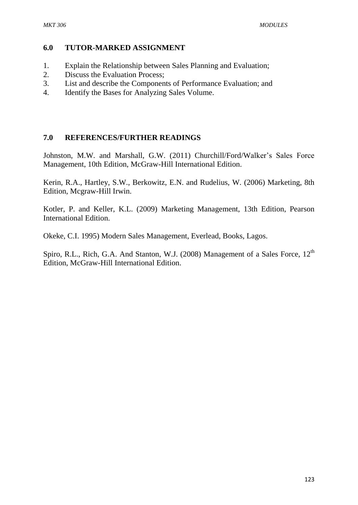#### **6.0 TUTOR-MARKED ASSIGNMENT**

- 1. Explain the Relationship between Sales Planning and Evaluation;
- 2. Discuss the Evaluation Process;
- 3. List and describe the Components of Performance Evaluation; and
- 4. Identify the Bases for Analyzing Sales Volume.

#### **7.0 REFERENCES/FURTHER READINGS**

Johnston, M.W. and Marshall, G.W. (2011) Churchill/Ford/Walker's Sales Force Management, 10th Edition, McGraw-Hill International Edition.

Kerin, R.A., Hartley, S.W., Berkowitz, E.N. and Rudelius, W. (2006) Marketing, 8th Edition, Mcgraw-Hill Irwin.

Kotler, P. and Keller, K.L. (2009) Marketing Management, 13th Edition, Pearson International Edition.

Okeke, C.I. 1995) Modern Sales Management, Everlead, Books, Lagos.

Spiro, R.L., Rich, G.A. And Stanton, W.J. (2008) Management of a Sales Force, 12<sup>th</sup> Edition, McGraw-Hill International Edition.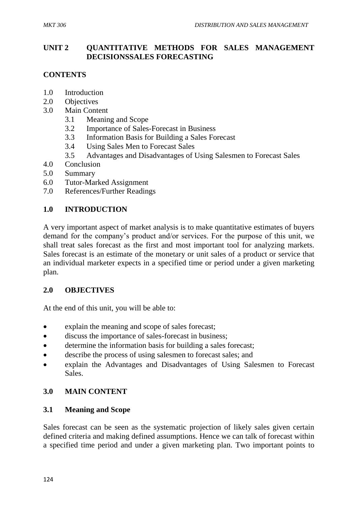### **UNIT 2 QUANTITATIVE METHODS FOR SALES MANAGEMENT DECISIONSSALES FORECASTING**

# **CONTENTS**

- 1.0 Introduction
- 2.0 Objectives
- 3.0 Main Content
	- 3.1 Meaning and Scope
	- 3.2 Importance of Sales-Forecast in Business
	- 3.3 Information Basis for Building a Sales Forecast
	- 3.4 Using Sales Men to Forecast Sales
	- 3.5 Advantages and Disadvantages of Using Salesmen to Forecast Sales
- 4.0 Conclusion
- 5.0 Summary
- 6.0 Tutor-Marked Assignment
- 7.0 References/Further Readings

### **1.0 INTRODUCTION**

A very important aspect of market analysis is to make quantitative estimates of buyers demand for the company's product and/or services. For the purpose of this unit, we shall treat sales forecast as the first and most important tool for analyzing markets. Sales forecast is an estimate of the monetary or unit sales of a product or service that an individual marketer expects in a specified time or period under a given marketing plan.

#### **2.0 OBJECTIVES**

At the end of this unit, you will be able to:

- explain the meaning and scope of sales forecast;
- discuss the importance of sales-forecast in business;
- determine the information basis for building a sales forecast;
- describe the process of using salesmen to forecast sales; and
- explain the Advantages and Disadvantages of Using Salesmen to Forecast Sales.

# **3.0 MAIN CONTENT**

#### **3.1 Meaning and Scope**

Sales forecast can be seen as the systematic projection of likely sales given certain defined criteria and making defined assumptions. Hence we can talk of forecast within a specified time period and under a given marketing plan. Two important points to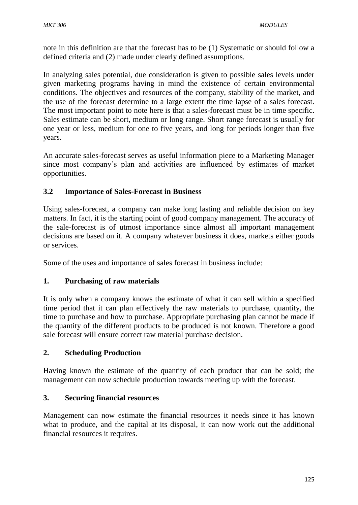note in this definition are that the forecast has to be (1) Systematic or should follow a defined criteria and (2) made under clearly defined assumptions.

In analyzing sales potential, due consideration is given to possible sales levels under given marketing programs having in mind the existence of certain environmental conditions. The objectives and resources of the company, stability of the market, and the use of the forecast determine to a large extent the time lapse of a sales forecast. The most important point to note here is that a sales-forecast must be in time specific. Sales estimate can be short, medium or long range. Short range forecast is usually for one year or less, medium for one to five years, and long for periods longer than five years.

An accurate sales-forecast serves as useful information piece to a Marketing Manager since most company's plan and activities are influenced by estimates of market opportunities.

# **3.2 Importance of Sales-Forecast in Business**

Using sales-forecast, a company can make long lasting and reliable decision on key matters. In fact, it is the starting point of good company management. The accuracy of the sale-forecast is of utmost importance since almost all important management decisions are based on it. A company whatever business it does, markets either goods or services.

Some of the uses and importance of sales forecast in business include:

# **1. Purchasing of raw materials**

It is only when a company knows the estimate of what it can sell within a specified time period that it can plan effectively the raw materials to purchase, quantity, the time to purchase and how to purchase. Appropriate purchasing plan cannot be made if the quantity of the different products to be produced is not known. Therefore a good sale forecast will ensure correct raw material purchase decision.

# **2. Scheduling Production**

Having known the estimate of the quantity of each product that can be sold; the management can now schedule production towards meeting up with the forecast.

# **3. Securing financial resources**

Management can now estimate the financial resources it needs since it has known what to produce, and the capital at its disposal, it can now work out the additional financial resources it requires.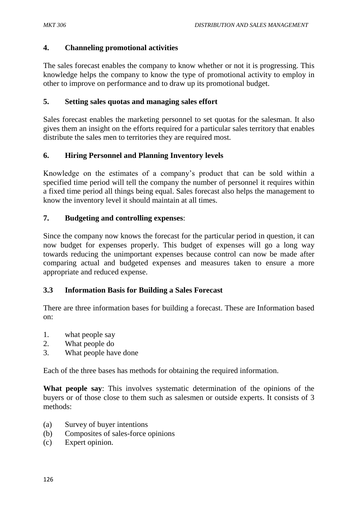### **4. Channeling promotional activities**

The sales forecast enables the company to know whether or not it is progressing. This knowledge helps the company to know the type of promotional activity to employ in other to improve on performance and to draw up its promotional budget.

### **5. Setting sales quotas and managing sales effort**

Sales forecast enables the marketing personnel to set quotas for the salesman. It also gives them an insight on the efforts required for a particular sales territory that enables distribute the sales men to territories they are required most.

# **6. Hiring Personnel and Planning Inventory levels**

Knowledge on the estimates of a company's product that can be sold within a specified time period will tell the company the number of personnel it requires within a fixed time period all things being equal. Sales forecast also helps the management to know the inventory level it should maintain at all times.

### **7. Budgeting and controlling expenses**:

Since the company now knows the forecast for the particular period in question, it can now budget for expenses properly. This budget of expenses will go a long way towards reducing the unimportant expenses because control can now be made after comparing actual and budgeted expenses and measures taken to ensure a more appropriate and reduced expense.

#### **3.3 Information Basis for Building a Sales Forecast**

There are three information bases for building a forecast. These are Information based on:

- 1. what people say
- 2. What people do
- 3. What people have done

Each of the three bases has methods for obtaining the required information.

**What people say**: This involves systematic determination of the opinions of the buyers or of those close to them such as salesmen or outside experts. It consists of 3 methods:

- (a) Survey of buyer intentions
- (b) Composites of sales-force opinions
- (c) Expert opinion.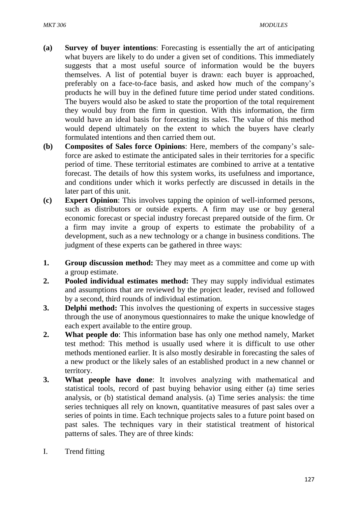- **(a) Survey of buyer intentions**: Forecasting is essentially the art of anticipating what buyers are likely to do under a given set of conditions. This immediately suggests that a most useful source of information would be the buyers themselves. A list of potential buyer is drawn: each buyer is approached, preferably on a face-to-face basis, and asked how much of the company's products he will buy in the defined future time period under stated conditions. The buyers would also be asked to state the proportion of the total requirement they would buy from the firm in question. With this information, the firm would have an ideal basis for forecasting its sales. The value of this method would depend ultimately on the extent to which the buyers have clearly formulated intentions and then carried them out.
- **(b) Composites of Sales force Opinions**: Here, members of the company's saleforce are asked to estimate the anticipated sales in their territories for a specific period of time. These territorial estimates are combined to arrive at a tentative forecast. The details of how this system works, its usefulness and importance, and conditions under which it works perfectly are discussed in details in the later part of this unit.
- **(c) Expert Opinion**: This involves tapping the opinion of well-informed persons, such as distributors or outside experts. A firm may use or buy general economic forecast or special industry forecast prepared outside of the firm. Or a firm may invite a group of experts to estimate the probability of a development, such as a new technology or a change in business conditions. The judgment of these experts can be gathered in three ways:
- **1.** Group discussion method: They may meet as a committee and come up with a group estimate.
- **2. Pooled individual estimates method:** They may supply individual estimates and assumptions that are reviewed by the project leader, revised and followed by a second, third rounds of individual estimation.
- **3. Delphi method:** This involves the questioning of experts in successive stages through the use of anonymous questionnaires to make the unique knowledge of each expert available to the entire group.
- **2. What people do**: This information base has only one method namely, Market test method: This method is usually used where it is difficult to use other methods mentioned earlier. It is also mostly desirable in forecasting the sales of a new product or the likely sales of an established product in a new channel or territory.
- **3. What people have done**: It involves analyzing with mathematical and statistical tools, record of past buying behavior using either (a) time series analysis, or (b) statistical demand analysis. (a) Time series analysis: the time series techniques all rely on known, quantitative measures of past sales over a series of points in time. Each technique projects sales to a future point based on past sales. The techniques vary in their statistical treatment of historical patterns of sales. They are of three kinds:
- I. Trend fitting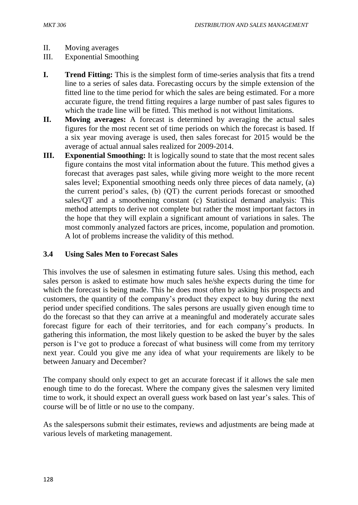- II. Moving averages
- III. Exponential Smoothing
- **I. Trend Fitting:** This is the simplest form of time-series analysis that fits a trend line to a series of sales data. Forecasting occurs by the simple extension of the fitted line to the time period for which the sales are being estimated. For a more accurate figure, the trend fitting requires a large number of past sales figures to which the trade line will be fitted. This method is not without limitations.
- **II. Moving averages:** A forecast is determined by averaging the actual sales figures for the most recent set of time periods on which the forecast is based. If a six year moving average is used, then sales forecast for 2015 would be the average of actual annual sales realized for 2009-2014.
- **III.** Exponential Smoothing: It is logically sound to state that the most recent sales figure contains the most vital information about the future. This method gives a forecast that averages past sales, while giving more weight to the more recent sales level; Exponential smoothing needs only three pieces of data namely, (a) the current period's sales, (b) (QT) the current periods forecast or smoothed sales/QT and a smoothening constant (c) Statistical demand analysis: This method attempts to derive not complete but rather the most important factors in the hope that they will explain a significant amount of variations in sales. The most commonly analyzed factors are prices, income, population and promotion. A lot of problems increase the validity of this method.

# **3.4 Using Sales Men to Forecast Sales**

This involves the use of salesmen in estimating future sales. Using this method, each sales person is asked to estimate how much sales he/she expects during the time for which the forecast is being made. This he does most often by asking his prospects and customers, the quantity of the company's product they expect to buy during the next period under specified conditions. The sales persons are usually given enough time to do the forecast so that they can arrive at a meaningful and moderately accurate sales forecast figure for each of their territories, and for each company's products. In gathering this information, the most likely question to be asked the buyer by the sales person is I've got to produce a forecast of what business will come from my territory next year. Could you give me any idea of what your requirements are likely to be between January and December?

The company should only expect to get an accurate forecast if it allows the sale men enough time to do the forecast. Where the company gives the salesmen very limited time to work, it should expect an overall guess work based on last year's sales. This of course will be of little or no use to the company.

As the salespersons submit their estimates, reviews and adjustments are being made at various levels of marketing management.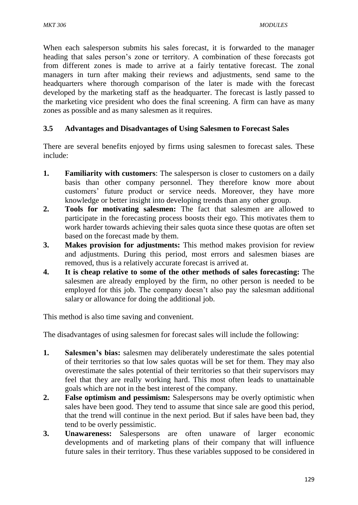When each salesperson submits his sales forecast, it is forwarded to the manager heading that sales person's zone or territory. A combination of these forecasts got from different zones is made to arrive at a fairly tentative forecast. The zonal managers in turn after making their reviews and adjustments, send same to the headquarters where thorough comparison of the later is made with the forecast developed by the marketing staff as the headquarter. The forecast is lastly passed to the marketing vice president who does the final screening. A firm can have as many zones as possible and as many salesmen as it requires.

# **3.5 Advantages and Disadvantages of Using Salesmen to Forecast Sales**

There are several benefits enjoyed by firms using salesmen to forecast sales. These include:

- **1. Familiarity with customers**: The salesperson is closer to customers on a daily basis than other company personnel. They therefore know more about customers' future product or service needs. Moreover, they have more knowledge or better insight into developing trends than any other group.
- **2. Tools for motivating salesmen:** The fact that salesmen are allowed to participate in the forecasting process boosts their ego. This motivates them to work harder towards achieving their sales quota since these quotas are often set based on the forecast made by them.
- **3. Makes provision for adjustments:** This method makes provision for review and adjustments. During this period, most errors and salesmen biases are removed, thus is a relatively accurate forecast is arrived at.
- **4. It is cheap relative to some of the other methods of sales forecasting:** The salesmen are already employed by the firm, no other person is needed to be employed for this job. The company doesn't also pay the salesman additional salary or allowance for doing the additional job.

This method is also time saving and convenient.

The disadvantages of using salesmen for forecast sales will include the following:

- **1. Salesmen's bias:** salesmen may deliberately underestimate the sales potential of their territories so that low sales quotas will be set for them. They may also overestimate the sales potential of their territories so that their supervisors may feel that they are really working hard. This most often leads to unattainable goals which are not in the best interest of the company.
- **2. False optimism and pessimism:** Salespersons may be overly optimistic when sales have been good. They tend to assume that since sale are good this period, that the trend will continue in the next period. But if sales have been bad, they tend to be overly pessimistic.
- **3. Unawareness:** Salespersons are often unaware of larger economic developments and of marketing plans of their company that will influence future sales in their territory. Thus these variables supposed to be considered in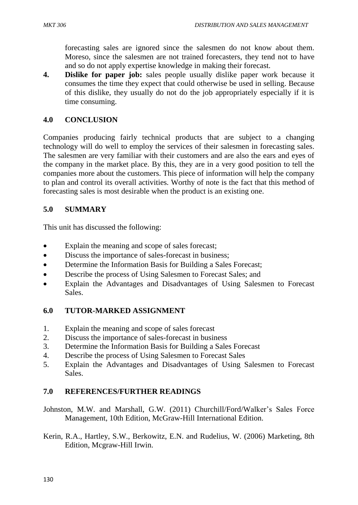forecasting sales are ignored since the salesmen do not know about them. Moreso, since the salesmen are not trained forecasters, they tend not to have and so do not apply expertise knowledge in making their forecast.

**4. Dislike for paper job:** sales people usually dislike paper work because it consumes the time they expect that could otherwise be used in selling. Because of this dislike, they usually do not do the job appropriately especially if it is time consuming.

### **4.0 CONCLUSION**

Companies producing fairly technical products that are subject to a changing technology will do well to employ the services of their salesmen in forecasting sales. The salesmen are very familiar with their customers and are also the ears and eyes of the company in the market place. By this, they are in a very good position to tell the companies more about the customers. This piece of information will help the company to plan and control its overall activities. Worthy of note is the fact that this method of forecasting sales is most desirable when the product is an existing one.

### **5.0 SUMMARY**

This unit has discussed the following:

- Explain the meaning and scope of sales forecast;
- Discuss the importance of sales-forecast in business;
- Determine the Information Basis for Building a Sales Forecast;
- Describe the process of Using Salesmen to Forecast Sales; and
- Explain the Advantages and Disadvantages of Using Salesmen to Forecast Sales.

#### **6.0 TUTOR-MARKED ASSIGNMENT**

- 1. Explain the meaning and scope of sales forecast
- 2. Discuss the importance of sales-forecast in business
- 3. Determine the Information Basis for Building a Sales Forecast
- 4. Describe the process of Using Salesmen to Forecast Sales
- 5. Explain the Advantages and Disadvantages of Using Salesmen to Forecast Sales.

# **7.0 REFERENCES/FURTHER READINGS**

Johnston, M.W. and Marshall, G.W. (2011) Churchill/Ford/Walker's Sales Force Management, 10th Edition, McGraw-Hill International Edition.

Kerin, R.A., Hartley, S.W., Berkowitz, E.N. and Rudelius, W. (2006) Marketing, 8th Edition, Mcgraw-Hill Irwin.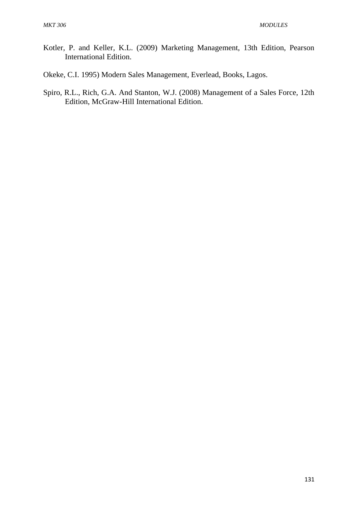- Kotler, P. and Keller, K.L. (2009) Marketing Management, 13th Edition, Pearson International Edition.
- Okeke, C.I. 1995) Modern Sales Management, Everlead, Books, Lagos.
- Spiro, R.L., Rich, G.A. And Stanton, W.J. (2008) Management of a Sales Force, 12th Edition, McGraw-Hill International Edition.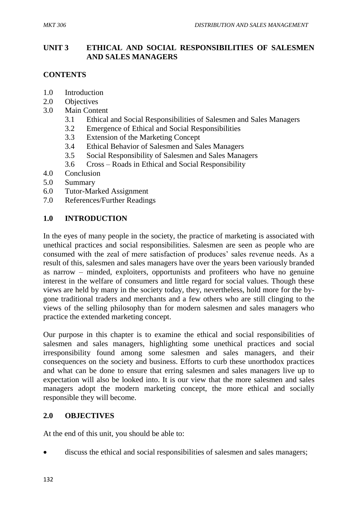### **UNIT 3 ETHICAL AND SOCIAL RESPONSIBILITIES OF SALESMEN AND SALES MANAGERS**

# **CONTENTS**

- 1.0 Introduction
- 2.0 Objectives
- 3.0 Main Content
	- 3.1 Ethical and Social Responsibilities of Salesmen and Sales Managers
	- 3.2 Emergence of Ethical and Social Responsibilities
	- 3.3 Extension of the Marketing Concept
	- 3.4 Ethical Behavior of Salesmen and Sales Managers
	- 3.5 Social Responsibility of Salesmen and Sales Managers
	- 3.6 Cross Roads in Ethical and Social Responsibility
- 4.0 Conclusion
- 5.0 Summary
- 6.0 Tutor-Marked Assignment
- 7.0 References/Further Readings

### **1.0 INTRODUCTION**

In the eyes of many people in the society, the practice of marketing is associated with unethical practices and social responsibilities. Salesmen are seen as people who are consumed with the zeal of mere satisfaction of produces' sales revenue needs. As a result of this, salesmen and sales managers have over the years been variously branded as narrow – minded, exploiters, opportunists and profiteers who have no genuine interest in the welfare of consumers and little regard for social values. Though these views are held by many in the society today, they, nevertheless, hold more for the bygone traditional traders and merchants and a few others who are still clinging to the views of the selling philosophy than for modern salesmen and sales managers who practice the extended marketing concept.

Our purpose in this chapter is to examine the ethical and social responsibilities of salesmen and sales managers, highlighting some unethical practices and social irresponsibility found among some salesmen and sales managers, and their consequences on the society and business. Efforts to curb these unorthodox practices and what can be done to ensure that erring salesmen and sales managers live up to expectation will also be looked into. It is our view that the more salesmen and sales managers adopt the modern marketing concept, the more ethical and socially responsible they will become.

#### **2.0 OBJECTIVES**

At the end of this unit, you should be able to:

discuss the ethical and social responsibilities of salesmen and sales managers;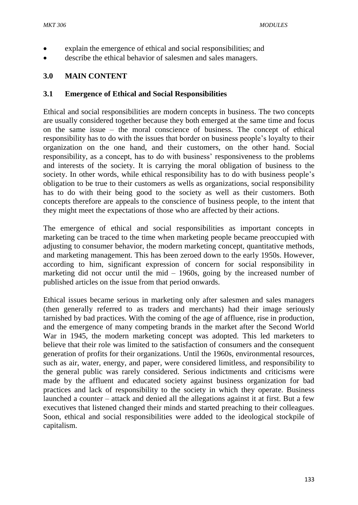- explain the emergence of ethical and social responsibilities; and
- describe the ethical behavior of salesmen and sales managers.

### **3.0 MAIN CONTENT**

#### **3.1 Emergence of Ethical and Social Responsibilities**

Ethical and social responsibilities are modern concepts in business. The two concepts are usually considered together because they both emerged at the same time and focus on the same issue – the moral conscience of business. The concept of ethical responsibility has to do with the issues that border on business people's loyalty to their organization on the one hand, and their customers, on the other hand. Social responsibility, as a concept, has to do with business' responsiveness to the problems and interests of the society. It is carrying the moral obligation of business to the society. In other words, while ethical responsibility has to do with business people's obligation to be true to their customers as wells as organizations, social responsibility has to do with their being good to the society as well as their customers. Both concepts therefore are appeals to the conscience of business people, to the intent that they might meet the expectations of those who are affected by their actions.

The emergence of ethical and social responsibilities as important concepts in marketing can be traced to the time when marketing people became preoccupied with adjusting to consumer behavior, the modern marketing concept, quantitative methods, and marketing management. This has been zeroed down to the early 1950s. However, according to him, significant expression of concern for social responsibility in marketing did not occur until the mid – 1960s, going by the increased number of published articles on the issue from that period onwards.

Ethical issues became serious in marketing only after salesmen and sales managers (then generally referred to as traders and merchants) had their image seriously tarnished by bad practices. With the coming of the age of affluence, rise in production, and the emergence of many competing brands in the market after the Second World War in 1945, the modern marketing concept was adopted. This led marketers to believe that their role was limited to the satisfaction of consumers and the consequent generation of profits for their organizations. Until the 1960s, environmental resources, such as air, water, energy, and paper, were considered limitless, and responsibility to the general public was rarely considered. Serious indictments and criticisms were made by the affluent and educated society against business organization for bad practices and lack of responsibility to the society in which they operate. Business launched a counter – attack and denied all the allegations against it at first. But a few executives that listened changed their minds and started preaching to their colleagues. Soon, ethical and social responsibilities were added to the ideological stockpile of capitalism.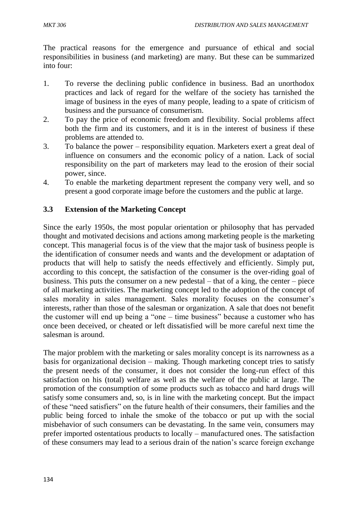The practical reasons for the emergence and pursuance of ethical and social responsibilities in business (and marketing) are many. But these can be summarized into four:

- 1. To reverse the declining public confidence in business. Bad an unorthodox practices and lack of regard for the welfare of the society has tarnished the image of business in the eyes of many people, leading to a spate of criticism of business and the pursuance of consumerism.
- 2. To pay the price of economic freedom and flexibility. Social problems affect both the firm and its customers, and it is in the interest of business if these problems are attended to.
- 3. To balance the power responsibility equation. Marketers exert a great deal of influence on consumers and the economic policy of a nation. Lack of social responsibility on the part of marketers may lead to the erosion of their social power, since.
- 4. To enable the marketing department represent the company very well, and so present a good corporate image before the customers and the public at large.

# **3.3 Extension of the Marketing Concept**

Since the early 1950s, the most popular orientation or philosophy that has pervaded thought and motivated decisions and actions among marketing people is the marketing concept. This managerial focus is of the view that the major task of business people is the identification of consumer needs and wants and the development or adaptation of products that will help to satisfy the needs effectively and efficiently. Simply put, according to this concept, the satisfaction of the consumer is the over-riding goal of business. This puts the consumer on a new pedestal – that of a king, the center – piece of all marketing activities. The marketing concept led to the adoption of the concept of sales morality in sales management. Sales morality focuses on the consumer's interests, rather than those of the salesman or organization. A sale that does not benefit the customer will end up being a "one – time business" because a customer who has once been deceived, or cheated or left dissatisfied will be more careful next time the salesman is around.

The major problem with the marketing or sales morality concept is its narrowness as a basis for organizational decision – making. Though marketing concept tries to satisfy the present needs of the consumer, it does not consider the long-run effect of this satisfaction on his (total) welfare as well as the welfare of the public at large. The promotion of the consumption of some products such as tobacco and hard drugs will satisfy some consumers and, so, is in line with the marketing concept. But the impact of these "need satisfiers" on the future health of their consumers, their families and the public being forced to inhale the smoke of the tobacco or put up with the social misbehavior of such consumers can be devastating. In the same vein, consumers may prefer imported ostentatious products to locally – manufactured ones. The satisfaction of these consumers may lead to a serious drain of the nation's scarce foreign exchange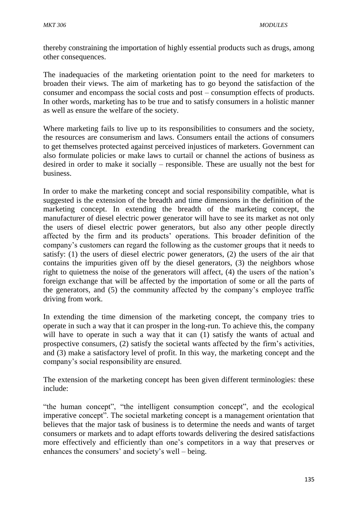thereby constraining the importation of highly essential products such as drugs, among other consequences.

The inadequacies of the marketing orientation point to the need for marketers to broaden their views. The aim of marketing has to go beyond the satisfaction of the consumer and encompass the social costs and post – consumption effects of products. In other words, marketing has to be true and to satisfy consumers in a holistic manner as well as ensure the welfare of the society.

Where marketing fails to live up to its responsibilities to consumers and the society, the resources are consumerism and laws. Consumers entail the actions of consumers to get themselves protected against perceived injustices of marketers. Government can also formulate policies or make laws to curtail or channel the actions of business as desired in order to make it socially – responsible. These are usually not the best for business.

In order to make the marketing concept and social responsibility compatible, what is suggested is the extension of the breadth and time dimensions in the definition of the marketing concept. In extending the breadth of the marketing concept, the manufacturer of diesel electric power generator will have to see its market as not only the users of diesel electric power generators, but also any other people directly affected by the firm and its products' operations. This broader definition of the company's customers can regard the following as the customer groups that it needs to satisfy: (1) the users of diesel electric power generators, (2) the users of the air that contains the impurities given off by the diesel generators, (3) the neighbors whose right to quietness the noise of the generators will affect, (4) the users of the nation's foreign exchange that will be affected by the importation of some or all the parts of the generators, and (5) the community affected by the company's employee traffic driving from work.

In extending the time dimension of the marketing concept, the company tries to operate in such a way that it can prosper in the long-run. To achieve this, the company will have to operate in such a way that it can (1) satisfy the wants of actual and prospective consumers, (2) satisfy the societal wants affected by the firm's activities, and (3) make a satisfactory level of profit. In this way, the marketing concept and the company's social responsibility are ensured.

The extension of the marketing concept has been given different terminologies: these include:

"the human concept", "the intelligent consumption concept", and the ecological imperative concept". The societal marketing concept is a management orientation that believes that the major task of business is to determine the needs and wants of target consumers or markets and to adapt efforts towards delivering the desired satisfactions more effectively and efficiently than one's competitors in a way that preserves or enhances the consumers' and society's well – being.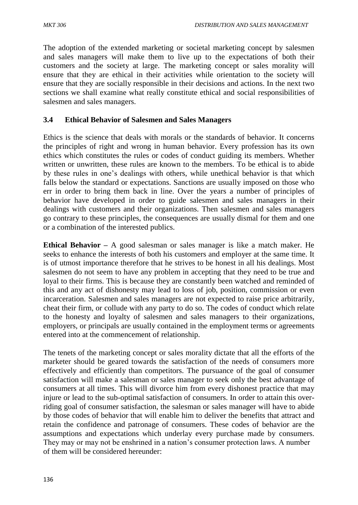The adoption of the extended marketing or societal marketing concept by salesmen and sales managers will make them to live up to the expectations of both their customers and the society at large. The marketing concept or sales morality will ensure that they are ethical in their activities while orientation to the society will ensure that they are socially responsible in their decisions and actions. In the next two sections we shall examine what really constitute ethical and social responsibilities of salesmen and sales managers.

# **3.4 Ethical Behavior of Salesmen and Sales Managers**

Ethics is the science that deals with morals or the standards of behavior. It concerns the principles of right and wrong in human behavior. Every profession has its own ethics which constitutes the rules or codes of conduct guiding its members. Whether written or unwritten, these rules are known to the members. To be ethical is to abide by these rules in one's dealings with others, while unethical behavior is that which falls below the standard or expectations. Sanctions are usually imposed on those who err in order to bring them back in line. Over the years a number of principles of behavior have developed in order to guide salesmen and sales managers in their dealings with customers and their organizations. Then salesmen and sales managers go contrary to these principles, the consequences are usually dismal for them and one or a combination of the interested publics.

**Ethical Behavior –** A good salesman or sales manager is like a match maker. He seeks to enhance the interests of both his customers and employer at the same time. It is of utmost importance therefore that he strives to be honest in all his dealings. Most salesmen do not seem to have any problem in accepting that they need to be true and loyal to their firms. This is because they are constantly been watched and reminded of this and any act of dishonesty may lead to loss of job, position, commission or even incarceration. Salesmen and sales managers are not expected to raise price arbitrarily, cheat their firm, or collude with any party to do so. The codes of conduct which relate to the honesty and loyalty of salesmen and sales managers to their organizations, employers, or principals are usually contained in the employment terms or agreements entered into at the commencement of relationship.

The tenets of the marketing concept or sales morality dictate that all the efforts of the marketer should be geared towards the satisfaction of the needs of consumers more effectively and efficiently than competitors. The pursuance of the goal of consumer satisfaction will make a salesman or sales manager to seek only the best advantage of consumers at all times. This will divorce him from every dishonest practice that may injure or lead to the sub-optimal satisfaction of consumers. In order to attain this overriding goal of consumer satisfaction, the salesman or sales manager will have to abide by those codes of behavior that will enable him to deliver the benefits that attract and retain the confidence and patronage of consumers. These codes of behavior are the assumptions and expectations which underlay every purchase made by consumers. They may or may not be enshrined in a nation's consumer protection laws. A number of them will be considered hereunder: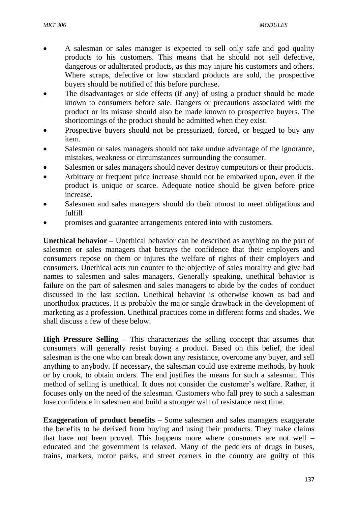- A salesman or sales manager is expected to sell only safe and god quality products to his customers. This means that he should not sell defective, dangerous or adulterated products, as this may injure his customers and others. Where scraps, defective or low standard products are sold, the prospective buyers should be notified of this before purchase.
- The disadvantages or side effects (if any) of using a product should be made known to consumers before sale. Dangers or precautions associated with the product or its misuse should also be made known to prospective buyers. The shortcomings of the product should be admitted when they exist.
- Prospective buyers should not be pressurized, forced, or begged to buy any item.
- Salesmen or sales managers should not take undue advantage of the ignorance, mistakes, weakness or circumstances surrounding the consumer.
- Salesmen or sales managers should never destroy competitors or their products.
- Arbitrary or frequent price increase should not be embarked upon, even if the product is unique or scarce. Adequate notice should be given before price increase.
- Salesmen and sales managers should do their utmost to meet obligations and fulfill
- promises and guarantee arrangements entered into with customers.

**Unethical behavior –** Unethical behavior can be described as anything on the part of salesmen or sales managers that betrays the confidence that their employers and consumers repose on them or injures the welfare of rights of their employers and consumers. Unethical acts run counter to the objective of sales morality and give bad names to salesmen and sales managers. Generally speaking, unethical behavior is failure on the part of salesmen and sales managers to abide by the codes of conduct discussed in the last section. Unethical behavior is otherwise known as bad and unorthodox practices. It is probably the major single drawback in the development of marketing as a profession. Unethical practices come in different forms and shades. We shall discuss a few of these below.

**High Pressure Selling –** This characterizes the selling concept that assumes that consumers will generally resist buying a product. Based on this belief, the ideal salesman is the one who can break down any resistance, overcome any buyer, and sell anything to anybody. If necessary, the salesman could use extreme methods, by hook or by crook, to obtain orders. The end justifies the means for such a salesman. This method of selling is unethical. It does not consider the customer's welfare. Rather, it focuses only on the need of the salesman. Customers who fall prey to such a salesman lose confidence in salesmen and build a stronger wall of resistance next time.

**Exaggeration of product benefits –** Some salesmen and sales managers exaggerate the benefits to be derived from buying and using their products. They make claims that have not been proved. This happens more where consumers are not well – educated and the government is relaxed. Many of the peddlers of drugs in buses, trains, markets, motor parks, and street corners in the country are guilty of this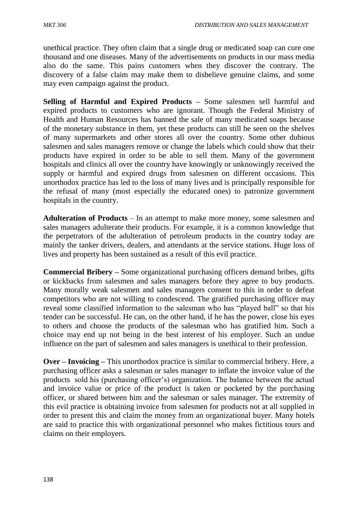unethical practice. They often claim that a single drug or medicated soap can cure one thousand and one diseases. Many of the advertisements on products in our mass media also do the same. This pains customers when they discover the contrary. The discovery of a false claim may make them to disbelieve genuine claims, and some may even campaign against the product.

**Selling of Harmful and Expired Products –** Some salesmen sell harmful and expired products to customers who are ignorant. Though the Federal Ministry of Health and Human Resources has banned the sale of many medicated soaps because of the monetary substance in them, yet these products can still be seen on the shelves of many supermarkets and other stores all over the country. Some other dubious salesmen and sales managers remove or change the labels which could show that their products have expired in order to be able to sell them. Many of the government hospitals and clinics all over the country have knowingly or unknowingly received the supply or harmful and expired drugs from salesmen on different occasions. This unorthodox practice has led to the loss of many lives and is principally responsible for the refusal of many (most especially the educated ones) to patronize government hospitals in the country.

**Adulteration of Products** – In an attempt to make more money, some salesmen and sales managers adulterate their products. For example, it is a common knowledge that the perpetrators of the adulteration of petroleum products in the country today are mainly the tanker drivers, dealers, and attendants at the service stations. Huge loss of lives and property has been sustained as a result of this evil practice.

**Commercial Bribery –** Some organizational purchasing officers demand bribes, gifts or kickbacks from salesmen and sales managers before they agree to buy products. Many morally weak salesmen and sales managers consent to this in order to defeat competitors who are not willing to condescend. The gratified purchasing officer may reveal some classified information to the salesman who has "played ball" so that his tender can be successful. He can, on the other hand, if he has the power, close his eyes to others and choose the products of the salesman who has gratified him. Such a choice may end up not being in the best interest of his employer. Such an undue influence on the part of salesmen and sales managers is unethical to their profession.

**Over – Invoicing –** This unorthodox practice is similar to commercial bribery. Here, a purchasing officer asks a salesman or sales manager to inflate the invoice value of the products sold his (purchasing officer's) organization. The balance between the actual and invoice value or price of the product is taken or pocketed by the purchasing officer, or shared between him and the salesman or sales manager. The extremity of this evil practice is obtaining invoice from salesmen for products not at all supplied in order to present this and claim the money from an organizational buyer. Many hotels are said to practice this with organizational personnel who makes fictitious tours and claims on their employers.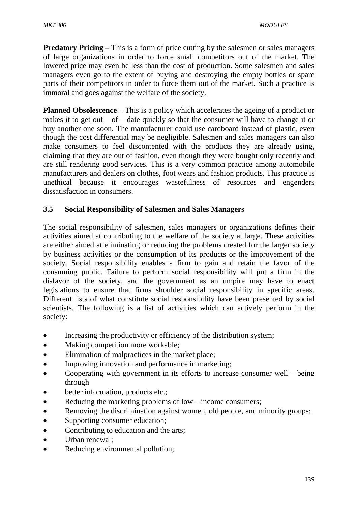**Predatory Pricing** – This is a form of price cutting by the salesmen or sales managers of large organizations in order to force small competitors out of the market. The lowered price may even be less than the cost of production. Some salesmen and sales managers even go to the extent of buying and destroying the empty bottles or spare parts of their competitors in order to force them out of the market. Such a practice is immoral and goes against the welfare of the society.

**Planned Obsolescence** – This is a policy which accelerates the ageing of a product or makes it to get out – of – date quickly so that the consumer will have to change it or buy another one soon. The manufacturer could use cardboard instead of plastic, even though the cost differential may be negligible. Salesmen and sales managers can also make consumers to feel discontented with the products they are already using, claiming that they are out of fashion, even though they were bought only recently and are still rendering good services. This is a very common practice among automobile manufacturers and dealers on clothes, foot wears and fashion products. This practice is unethical because it encourages wastefulness of resources and engenders dissatisfaction in consumers.

# **3.5 Social Responsibility of Salesmen and Sales Managers**

The social responsibility of salesmen, sales managers or organizations defines their activities aimed at contributing to the welfare of the society at large. These activities are either aimed at eliminating or reducing the problems created for the larger society by business activities or the consumption of its products or the improvement of the society. Social responsibility enables a firm to gain and retain the favor of the consuming public. Failure to perform social responsibility will put a firm in the disfavor of the society, and the government as an umpire may have to enact legislations to ensure that firms shoulder social responsibility in specific areas. Different lists of what constitute social responsibility have been presented by social scientists. The following is a list of activities which can actively perform in the society:

- Increasing the productivity or efficiency of the distribution system;
- Making competition more workable;
- Elimination of malpractices in the market place;
- Improving innovation and performance in marketing;
- Cooperating with government in its efforts to increase consumer well being through
- better information, products etc.;
- Reducing the marketing problems of low income consumers;
- Removing the discrimination against women, old people, and minority groups;
- Supporting consumer education;
- Contributing to education and the arts;
- Urban renewal;
- Reducing environmental pollution;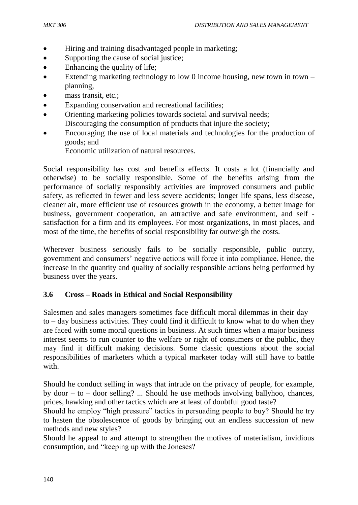- Hiring and training disadvantaged people in marketing;
- Supporting the cause of social justice;
- Enhancing the quality of life;
- Extending marketing technology to low 0 income housing, new town in town  $$ planning,
- mass transit, etc.;
- Expanding conservation and recreational facilities;
- Orienting marketing policies towards societal and survival needs; Discouraging the consumption of products that injure the society;
- Encouraging the use of local materials and technologies for the production of goods; and

Economic utilization of natural resources.

Social responsibility has cost and benefits effects. It costs a lot (financially and otherwise) to be socially responsible. Some of the benefits arising from the performance of socially responsibly activities are improved consumers and public safety, as reflected in fewer and less severe accidents; longer life spans, less disease, cleaner air, more efficient use of resources growth in the economy, a better image for business, government cooperation, an attractive and safe environment, and self satisfaction for a firm and its employees. For most organizations, in most places, and most of the time, the benefits of social responsibility far outweigh the costs.

Wherever business seriously fails to be socially responsible, public outcry, government and consumers' negative actions will force it into compliance. Hence, the increase in the quantity and quality of socially responsible actions being performed by business over the years.

#### **3.6 Cross – Roads in Ethical and Social Responsibility**

Salesmen and sales managers sometimes face difficult moral dilemmas in their day – to – day business activities. They could find it difficult to know what to do when they are faced with some moral questions in business. At such times when a major business interest seems to run counter to the welfare or right of consumers or the public, they may find it difficult making decisions. Some classic questions about the social responsibilities of marketers which a typical marketer today will still have to battle with.

Should he conduct selling in ways that intrude on the privacy of people, for example, by door – to – door selling? ... Should he use methods involving ballyhoo, chances, prices, hawking and other tactics which are at least of doubtful good taste?

Should he employ "high pressure" tactics in persuading people to buy? Should he try to hasten the obsolescence of goods by bringing out an endless succession of new methods and new styles?

Should he appeal to and attempt to strengthen the motives of materialism, invidious consumption, and "keeping up with the Joneses?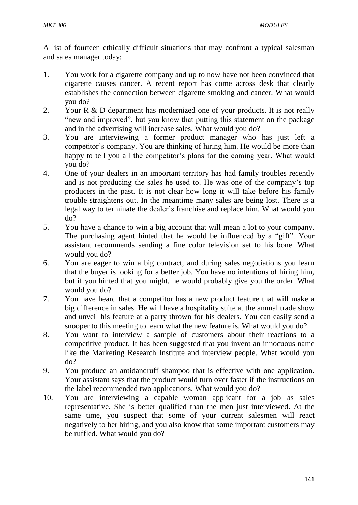A list of fourteen ethically difficult situations that may confront a typical salesman and sales manager today:

- 1. You work for a cigarette company and up to now have not been convinced that cigarette causes cancer. A recent report has come across desk that clearly establishes the connection between cigarette smoking and cancer. What would you do?
- 2. Your R & D department has modernized one of your products. It is not really "new and improved", but you know that putting this statement on the package and in the advertising will increase sales. What would you do?
- 3. You are interviewing a former product manager who has just left a competitor's company. You are thinking of hiring him. He would be more than happy to tell you all the competitor's plans for the coming year. What would you do?
- 4. One of your dealers in an important territory has had family troubles recently and is not producing the sales he used to. He was one of the company's top producers in the past. It is not clear how long it will take before his family trouble straightens out. In the meantime many sales are being lost. There is a legal way to terminate the dealer's franchise and replace him. What would you do?
- 5. You have a chance to win a big account that will mean a lot to your company. The purchasing agent hinted that he would be influenced by a "gift". Your assistant recommends sending a fine color television set to his bone. What would you do?
- 6. You are eager to win a big contract, and during sales negotiations you learn that the buyer is looking for a better job. You have no intentions of hiring him, but if you hinted that you might, he would probably give you the order. What would you do?
- 7. You have heard that a competitor has a new product feature that will make a big difference in sales. He will have a hospitality suite at the annual trade show and unveil his feature at a party thrown for his dealers. You can easily send a snooper to this meeting to learn what the new feature is. What would you do?
- 8. You want to interview a sample of customers about their reactions to a competitive product. It has been suggested that you invent an innocuous name like the Marketing Research Institute and interview people. What would you do?
- 9. You produce an antidandruff shampoo that is effective with one application. Your assistant says that the product would turn over faster if the instructions on the label recommended two applications. What would you do?
- 10. You are interviewing a capable woman applicant for a job as sales representative. She is better qualified than the men just interviewed. At the same time, you suspect that some of your current salesmen will react negatively to her hiring, and you also know that some important customers may be ruffled. What would you do?